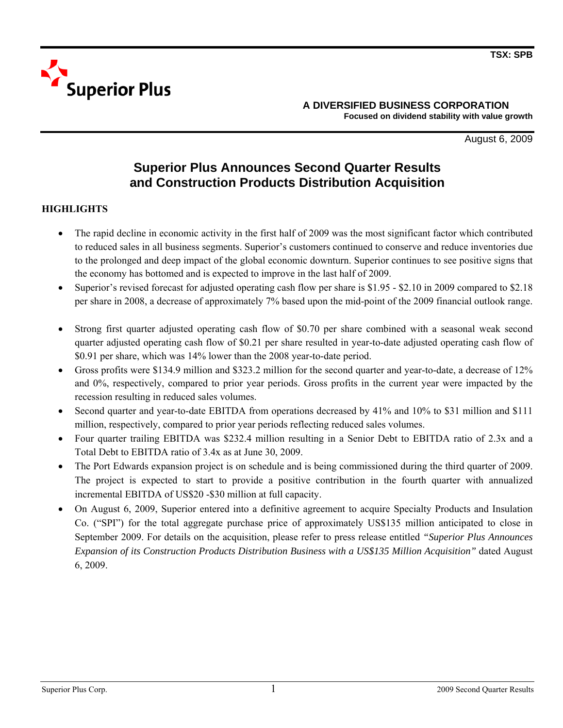

August 6, 2009

# **Superior Plus Announces Second Quarter Results and Construction Products Distribution Acquisition**

## **HIGHLIGHTS**

- The rapid decline in economic activity in the first half of 2009 was the most significant factor which contributed to reduced sales in all business segments. Superior's customers continued to conserve and reduce inventories due to the prolonged and deep impact of the global economic downturn. Superior continues to see positive signs that the economy has bottomed and is expected to improve in the last half of 2009.
- Superior's revised forecast for adjusted operating cash flow per share is \$1.95 \$2.10 in 2009 compared to \$2.18 per share in 2008, a decrease of approximately 7% based upon the mid-point of the 2009 financial outlook range.
- Strong first quarter adjusted operating cash flow of \$0.70 per share combined with a seasonal weak second quarter adjusted operating cash flow of \$0.21 per share resulted in year-to-date adjusted operating cash flow of \$0.91 per share, which was 14% lower than the 2008 year-to-date period.
- Gross profits were \$134.9 million and \$323.2 million for the second quarter and year-to-date, a decrease of 12% and 0%, respectively, compared to prior year periods. Gross profits in the current year were impacted by the recession resulting in reduced sales volumes.
- Second quarter and year-to-date EBITDA from operations decreased by 41% and 10% to \$31 million and \$111 million, respectively, compared to prior year periods reflecting reduced sales volumes.
- Four quarter trailing EBITDA was \$232.4 million resulting in a Senior Debt to EBITDA ratio of 2.3x and a Total Debt to EBITDA ratio of 3.4x as at June 30, 2009.
- The Port Edwards expansion project is on schedule and is being commissioned during the third quarter of 2009. The project is expected to start to provide a positive contribution in the fourth quarter with annualized incremental EBITDA of US\$20 -\$30 million at full capacity.
- On August 6, 2009, Superior entered into a definitive agreement to acquire Specialty Products and Insulation Co. ("SPI") for the total aggregate purchase price of approximately US\$135 million anticipated to close in September 2009. For details on the acquisition, please refer to press release entitled *"Superior Plus Announces Expansion of its Construction Products Distribution Business with a US\$135 Million Acquisition"* dated August 6, 2009.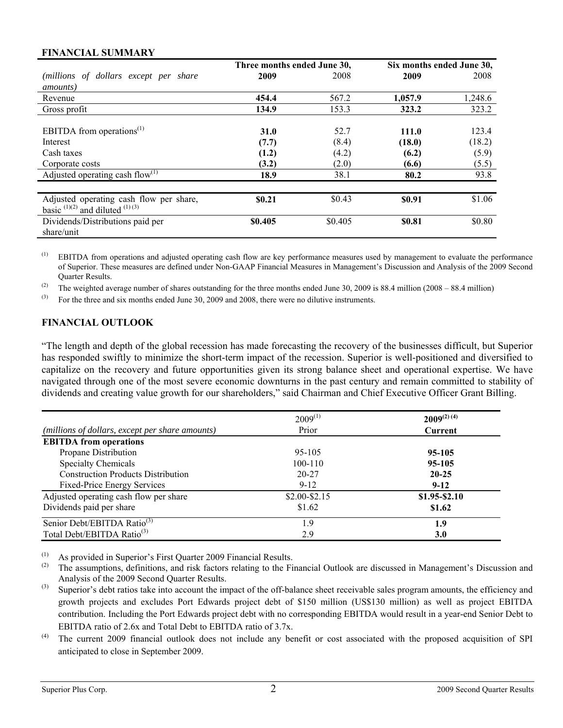### **FINANCIAL SUMMARY**

|                                         | Three months ended June 30, |         | Six months ended June 30, |         |
|-----------------------------------------|-----------------------------|---------|---------------------------|---------|
| (millions of dollars except per share   | 2009                        | 2008    | 2009                      | 2008    |
| <i>amounts</i> )                        |                             |         |                           |         |
| Revenue                                 | 454.4                       | 567.2   | 1,057.9                   | 1,248.6 |
| Gross profit                            | 134.9                       | 153.3   | 323.2                     | 323.2   |
|                                         |                             |         |                           |         |
| EBITDA from operations <sup>(1)</sup>   | 31.0                        | 52.7    | 111.0                     | 123.4   |
| Interest                                | (7.7)                       | (8.4)   | (18.0)                    | (18.2)  |
| Cash taxes                              | (1.2)                       | (4.2)   | (6.2)                     | (5.9)   |
| Corporate costs                         | (3.2)                       | (2.0)   | (6.6)                     | (5.5)   |
| Adjusted operating cash flow $^{(1)}$   | 18.9                        | 38.1    | 80.2                      | 93.8    |
|                                         |                             |         |                           |         |
| Adjusted operating cash flow per share, | \$0.21                      | \$0.43  | \$0.91                    | \$1.06  |
| basic $(1)(2)$ and diluted $(1)(3)$     |                             |         |                           |         |
| Dividends/Distributions paid per        | \$0.405                     | \$0.405 | \$0.81                    | \$0.80  |
| share/unit                              |                             |         |                           |         |

<sup>(1)</sup> EBITDA from operations and adjusted operating cash flow are key performance measures used by management to evaluate the performance of Superior. These measures are defined under Non-GAAP Financial Measures in Management's Discussion and Analysis of the 2009 Second Quarter Results.

<sup>(2)</sup> The weighted average number of shares outstanding for the three months ended June 30, 2009 is 88.4 million (2008 – 88.4 million)

 $^{(3)}$  For the three and six months ended June 30, 2009 and 2008, there were no dilutive instruments.

### **FINANCIAL OUTLOOK**

"The length and depth of the global recession has made forecasting the recovery of the businesses difficult, but Superior has responded swiftly to minimize the short-term impact of the recession. Superior is well-positioned and diversified to capitalize on the recovery and future opportunities given its strong balance sheet and operational expertise. We have navigated through one of the most severe economic downturns in the past century and remain committed to stability of dividends and creating value growth for our shareholders," said Chairman and Chief Executive Officer Grant Billing.

|                                                 | $2009^{(1)}$  | $2009^{(2)(4)}$ |
|-------------------------------------------------|---------------|-----------------|
| (millions of dollars, except per share amounts) | Prior         | Current         |
| <b>EBITDA</b> from operations                   |               |                 |
| Propane Distribution                            | 95-105        | 95-105          |
| <b>Specialty Chemicals</b>                      | $100 - 110$   | $95 - 105$      |
| <b>Construction Products Distribution</b>       | $20 - 27$     | $20 - 25$       |
| <b>Fixed-Price Energy Services</b>              | $9 - 12$      | $9-12$          |
| Adjusted operating cash flow per share          | $$2.00-S2.15$ | $$1.95 - $2.10$ |
| Dividends paid per share                        | \$1.62        | \$1.62          |
| Senior Debt/EBITDA Ratio <sup>(3)</sup>         | 1.9           | 1.9             |
| Total Debt/EBITDA Ratio <sup>(3)</sup>          | 2.9           | <b>3.0</b>      |

(1) As provided in Superior's First Quarter 2009 Financial Results.<br>(2) The assumptions, definitions, and risk factors relating to the Ei

(2) The assumptions, definitions, and risk factors relating to the Financial Outlook are discussed in Management's Discussion and Analysis of the 2009 Second Quarter Results.

- <sup>(3)</sup> Superior's debt ratios take into account the impact of the off-balance sheet receivable sales program amounts, the efficiency and growth projects and excludes Port Edwards project debt of \$150 million (US\$130 million) as well as project EBITDA contribution. Including the Port Edwards project debt with no corresponding EBITDA would result in a year-end Senior Debt to EBITDA ratio of 2.6x and Total Debt to EBITDA ratio of 3.7x.
- $(4)$  The current 2009 financial outlook does not include any benefit or cost associated with the proposed acquisition of SPI anticipated to close in September 2009.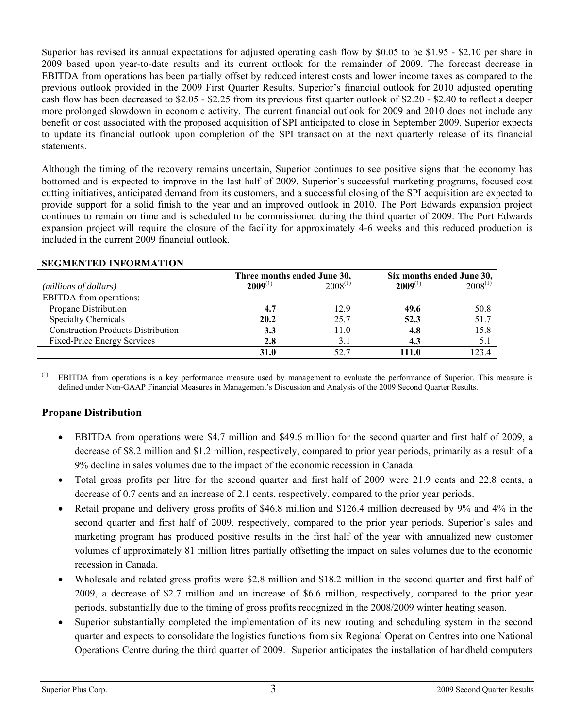Superior has revised its annual expectations for adjusted operating cash flow by \$0.05 to be \$1.95 - \$2.10 per share in 2009 based upon year-to-date results and its current outlook for the remainder of 2009. The forecast decrease in EBITDA from operations has been partially offset by reduced interest costs and lower income taxes as compared to the previous outlook provided in the 2009 First Quarter Results. Superior's financial outlook for 2010 adjusted operating cash flow has been decreased to \$2.05 - \$2.25 from its previous first quarter outlook of \$2.20 - \$2.40 to reflect a deeper more prolonged slowdown in economic activity. The current financial outlook for 2009 and 2010 does not include any benefit or cost associated with the proposed acquisition of SPI anticipated to close in September 2009. Superior expects to update its financial outlook upon completion of the SPI transaction at the next quarterly release of its financial statements.

Although the timing of the recovery remains uncertain, Superior continues to see positive signs that the economy has bottomed and is expected to improve in the last half of 2009. Superior's successful marketing programs, focused cost cutting initiatives, anticipated demand from its customers, and a successful closing of the SPI acquisition are expected to provide support for a solid finish to the year and an improved outlook in 2010. The Port Edwards expansion project continues to remain on time and is scheduled to be commissioned during the third quarter of 2009. The Port Edwards expansion project will require the closure of the facility for approximately 4-6 weeks and this reduced production is included in the current 2009 financial outlook.

|                                           | Three months ended June 30, |              | Six months ended June 30, |              |  |
|-------------------------------------------|-----------------------------|--------------|---------------------------|--------------|--|
| (millions of dollars)                     | $2009^{(1)}$                | $2008^{(1)}$ | $2009^{(1)}$              | $2008^{(1)}$ |  |
| <b>EBITDA</b> from operations:            |                             |              |                           |              |  |
| Propane Distribution                      | 4.7                         | 129          | 49.6                      | 50.8         |  |
| <b>Specialty Chemicals</b>                | 20.2                        | 25.7         | 52.3                      | 51.7         |  |
| <b>Construction Products Distribution</b> | 3.3                         | 11.0         | 4.8                       | 15.8         |  |
| <b>Fixed-Price Energy Services</b>        | 2.8                         |              | 4.3                       | 5.1          |  |
|                                           | <b>31.0</b>                 | 52.7         | 111.0                     | 1234         |  |

#### **SEGMENTED INFORMATION**

(1) EBITDA from operations is a key performance measure used by management to evaluate the performance of Superior. This measure is defined under Non-GAAP Financial Measures in Management's Discussion and Analysis of the 2009 Second Quarter Results.

## **Propane Distribution**

- EBITDA from operations were \$4.7 million and \$49.6 million for the second quarter and first half of 2009, a decrease of \$8.2 million and \$1.2 million, respectively, compared to prior year periods, primarily as a result of a 9% decline in sales volumes due to the impact of the economic recession in Canada.
- Total gross profits per litre for the second quarter and first half of 2009 were 21.9 cents and 22.8 cents, a decrease of 0.7 cents and an increase of 2.1 cents, respectively, compared to the prior year periods.
- Retail propane and delivery gross profits of \$46.8 million and \$126.4 million decreased by 9% and 4% in the second quarter and first half of 2009, respectively, compared to the prior year periods. Superior's sales and marketing program has produced positive results in the first half of the year with annualized new customer volumes of approximately 81 million litres partially offsetting the impact on sales volumes due to the economic recession in Canada.
- Wholesale and related gross profits were \$2.8 million and \$18.2 million in the second quarter and first half of 2009, a decrease of \$2.7 million and an increase of \$6.6 million, respectively, compared to the prior year periods, substantially due to the timing of gross profits recognized in the 2008/2009 winter heating season.
- Superior substantially completed the implementation of its new routing and scheduling system in the second quarter and expects to consolidate the logistics functions from six Regional Operation Centres into one National Operations Centre during the third quarter of 2009. Superior anticipates the installation of handheld computers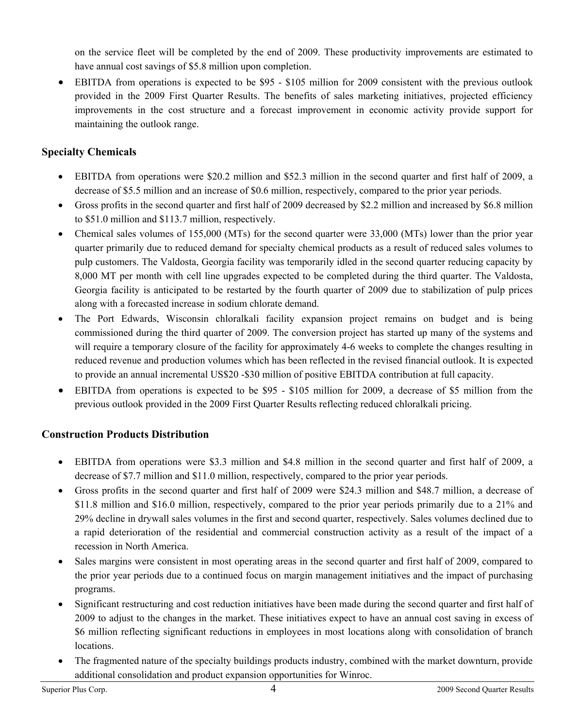on the service fleet will be completed by the end of 2009. These productivity improvements are estimated to have annual cost savings of \$5.8 million upon completion.

• EBITDA from operations is expected to be \$95 - \$105 million for 2009 consistent with the previous outlook provided in the 2009 First Quarter Results. The benefits of sales marketing initiatives, projected efficiency improvements in the cost structure and a forecast improvement in economic activity provide support for maintaining the outlook range.

## **Specialty Chemicals**

- EBITDA from operations were \$20.2 million and \$52.3 million in the second quarter and first half of 2009, a decrease of \$5.5 million and an increase of \$0.6 million, respectively, compared to the prior year periods.
- Gross profits in the second quarter and first half of 2009 decreased by \$2.2 million and increased by \$6.8 million to \$51.0 million and \$113.7 million, respectively.
- Chemical sales volumes of 155,000 (MTs) for the second quarter were 33,000 (MTs) lower than the prior year quarter primarily due to reduced demand for specialty chemical products as a result of reduced sales volumes to pulp customers. The Valdosta, Georgia facility was temporarily idled in the second quarter reducing capacity by 8,000 MT per month with cell line upgrades expected to be completed during the third quarter. The Valdosta, Georgia facility is anticipated to be restarted by the fourth quarter of 2009 due to stabilization of pulp prices along with a forecasted increase in sodium chlorate demand.
- The Port Edwards, Wisconsin chloralkali facility expansion project remains on budget and is being commissioned during the third quarter of 2009. The conversion project has started up many of the systems and will require a temporary closure of the facility for approximately 4-6 weeks to complete the changes resulting in reduced revenue and production volumes which has been reflected in the revised financial outlook. It is expected to provide an annual incremental US\$20 -\$30 million of positive EBITDA contribution at full capacity.
- EBITDA from operations is expected to be \$95 \$105 million for 2009, a decrease of \$5 million from the previous outlook provided in the 2009 First Quarter Results reflecting reduced chloralkali pricing.

## **Construction Products Distribution**

- EBITDA from operations were \$3.3 million and \$4.8 million in the second quarter and first half of 2009, a decrease of \$7.7 million and \$11.0 million, respectively, compared to the prior year periods.
- Gross profits in the second quarter and first half of 2009 were \$24.3 million and \$48.7 million, a decrease of \$11.8 million and \$16.0 million, respectively, compared to the prior year periods primarily due to a 21% and 29% decline in drywall sales volumes in the first and second quarter, respectively. Sales volumes declined due to a rapid deterioration of the residential and commercial construction activity as a result of the impact of a recession in North America.
- Sales margins were consistent in most operating areas in the second quarter and first half of 2009, compared to the prior year periods due to a continued focus on margin management initiatives and the impact of purchasing programs.
- Significant restructuring and cost reduction initiatives have been made during the second quarter and first half of 2009 to adjust to the changes in the market. These initiatives expect to have an annual cost saving in excess of \$6 million reflecting significant reductions in employees in most locations along with consolidation of branch locations.
- The fragmented nature of the specialty buildings products industry, combined with the market downturn, provide additional consolidation and product expansion opportunities for Winroc.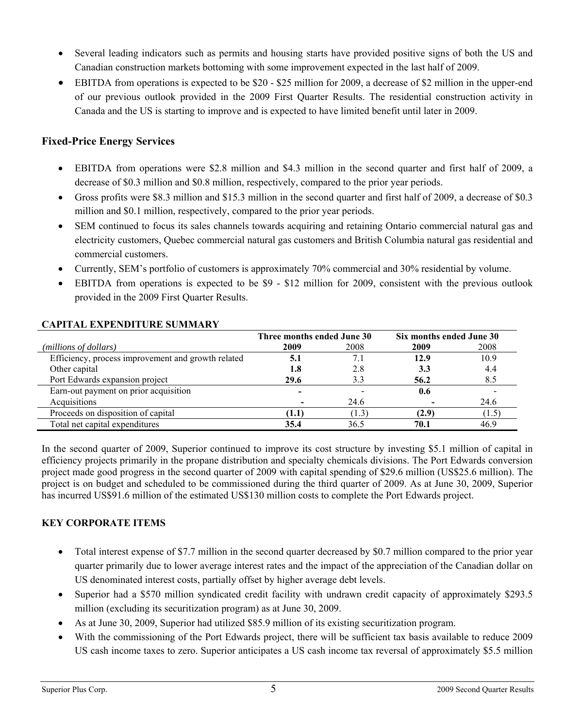- Several leading indicators such as permits and housing starts have provided positive signs of both the US and Canadian construction markets bottoming with some improvement expected in the last half of 2009.
- EBITDA from operations is expected to be \$20 \$25 million for 2009, a decrease of \$2 million in the upper-end of our previous outlook provided in the 2009 First Quarter Results. The residential construction activity in Canada and the US is starting to improve and is expected to have limited benefit until later in 2009.

## **Fixed-Price Energy Services**

- EBITDA from operations were \$2.8 million and \$4.3 million in the second quarter and first half of 2009, a decrease of \$0.3 million and \$0.8 million, respectively, compared to the prior year periods.
- Gross profits were \$8.3 million and \$15.3 million in the second quarter and first half of 2009, a decrease of \$0.3 million and \$0.1 million, respectively, compared to the prior year periods.
- SEM continued to focus its sales channels towards acquiring and retaining Ontario commercial natural gas and electricity customers, Quebec commercial natural gas customers and British Columbia natural gas residential and commercial customers.
- Currently, SEM's portfolio of customers is approximately 70% commercial and 30% residential by volume.
- EBITDA from operations is expected to be \$9 \$12 million for 2009, consistent with the previous outlook provided in the 2009 First Quarter Results.

|                                                    | Three months ended June 30 |       | Six months ended June 30 |       |  |
|----------------------------------------------------|----------------------------|-------|--------------------------|-------|--|
| (millions of dollars)                              | 2009                       | 2008  | 2009                     | 2008  |  |
| Efficiency, process improvement and growth related | 5.1                        |       | 12.9                     | 10.9  |  |
| Other capital                                      | 1.8                        | 2.8   | 3.3                      | 4.4   |  |
| Port Edwards expansion project                     | 29.6                       | 3.3   | 56.2                     | 8.5   |  |
| Earn-out payment on prior acquisition              |                            |       | 0.6                      |       |  |
| Acquisitions                                       |                            | 24.6  |                          | 24.6  |  |
| Proceeds on disposition of capital                 | (1.1)                      | (1.3) | (2.9)                    | (1.5) |  |
| Total net capital expenditures                     | 35.4                       | 36.5  | 70.1                     | 46.9  |  |

## **CAPITAL EXPENDITURE SUMMARY**

In the second quarter of 2009, Superior continued to improve its cost structure by investing \$5.1 million of capital in efficiency projects primarily in the propane distribution and specialty chemicals divisions. The Port Edwards conversion project made good progress in the second quarter of 2009 with capital spending of \$29.6 million (US\$25.6 million). The project is on budget and scheduled to be commissioned during the third quarter of 2009. As at June 30, 2009, Superior has incurred US\$91.6 million of the estimated US\$130 million costs to complete the Port Edwards project.

## **KEY CORPORATE ITEMS**

- Total interest expense of \$7.7 million in the second quarter decreased by \$0.7 million compared to the prior year quarter primarily due to lower average interest rates and the impact of the appreciation of the Canadian dollar on US denominated interest costs, partially offset by higher average debt levels.
- Superior had a \$570 million syndicated credit facility with undrawn credit capacity of approximately \$293.5 million (excluding its securitization program) as at June 30, 2009.
- As at June 30, 2009, Superior had utilized \$85.9 million of its existing securitization program.
- With the commissioning of the Port Edwards project, there will be sufficient tax basis available to reduce 2009 US cash income taxes to zero. Superior anticipates a US cash income tax reversal of approximately \$5.5 million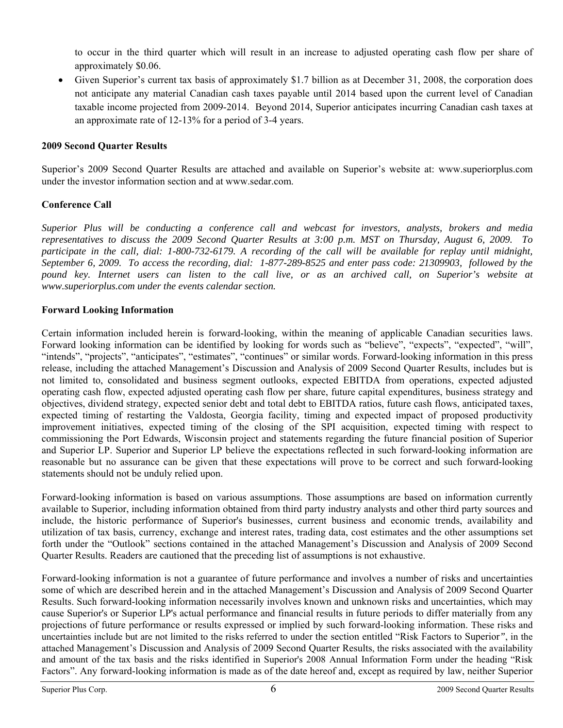to occur in the third quarter which will result in an increase to adjusted operating cash flow per share of approximately \$0.06.

• Given Superior's current tax basis of approximately \$1.7 billion as at December 31, 2008, the corporation does not anticipate any material Canadian cash taxes payable until 2014 based upon the current level of Canadian taxable income projected from 2009-2014. Beyond 2014, Superior anticipates incurring Canadian cash taxes at an approximate rate of 12-13% for a period of 3-4 years.

## **2009 Second Quarter Results**

Superior's 2009 Second Quarter Results are attached and available on Superior's website at: [www.superiorplus.com](http://www.superiorplus.com/) under the investor information section and at [www.sedar.com.](http://www.sedar.com/)

## **Conference Call**

*Superior Plus will be conducting a conference call and webcast for investors, analysts, brokers and media representatives to discuss the 2009 Second Quarter Results at 3:00 p.m. MST on Thursday, August 6, 2009. To participate in the call, dial: 1-800-732-6179. A recording of the call will be available for replay until midnight, September 6, 2009. To access the recording, dial: 1-877-289-8525 and enter pass code: 21309903, followed by the pound key. Internet users can listen to the call live, or as an archived call, on Superior's website at www.superiorplus.com under the events calendar section.* 

## **Forward Looking Information**

Certain information included herein is forward-looking, within the meaning of applicable Canadian securities laws. Forward looking information can be identified by looking for words such as "believe", "expects", "expected", "will", "intends", "projects", "anticipates", "estimates", "continues" or similar words. Forward-looking information in this press release, including the attached Management's Discussion and Analysis of 2009 Second Quarter Results, includes but is not limited to, consolidated and business segment outlooks, expected EBITDA from operations, expected adjusted operating cash flow, expected adjusted operating cash flow per share, future capital expenditures, business strategy and objectives, dividend strategy, expected senior debt and total debt to EBITDA ratios, future cash flows, anticipated taxes, expected timing of restarting the Valdosta, Georgia facility, timing and expected impact of proposed productivity improvement initiatives, expected timing of the closing of the SPI acquisition, expected timing with respect to commissioning the Port Edwards, Wisconsin project and statements regarding the future financial position of Superior and Superior LP. Superior and Superior LP believe the expectations reflected in such forward-looking information are reasonable but no assurance can be given that these expectations will prove to be correct and such forward-looking statements should not be unduly relied upon.

Forward-looking information is based on various assumptions. Those assumptions are based on information currently available to Superior, including information obtained from third party industry analysts and other third party sources and include, the historic performance of Superior's businesses, current business and economic trends, availability and utilization of tax basis, currency, exchange and interest rates, trading data, cost estimates and the other assumptions set forth under the "Outlook" sections contained in the attached Management's Discussion and Analysis of 2009 Second Quarter Results. Readers are cautioned that the preceding list of assumptions is not exhaustive.

Forward-looking information is not a guarantee of future performance and involves a number of risks and uncertainties some of which are described herein and in the attached Management's Discussion and Analysis of 2009 Second Quarter Results. Such forward-looking information necessarily involves known and unknown risks and uncertainties, which may cause Superior's or Superior LP's actual performance and financial results in future periods to differ materially from any projections of future performance or results expressed or implied by such forward-looking information. These risks and uncertainties include but are not limited to the risks referred to under the section entitled "Risk Factors to Superior*"*, in the attached Management's Discussion and Analysis of 2009 Second Quarter Results, the risks associated with the availability and amount of the tax basis and the risks identified in Superior's 2008 Annual Information Form under the heading "Risk Factors". Any forward-looking information is made as of the date hereof and, except as required by law, neither Superior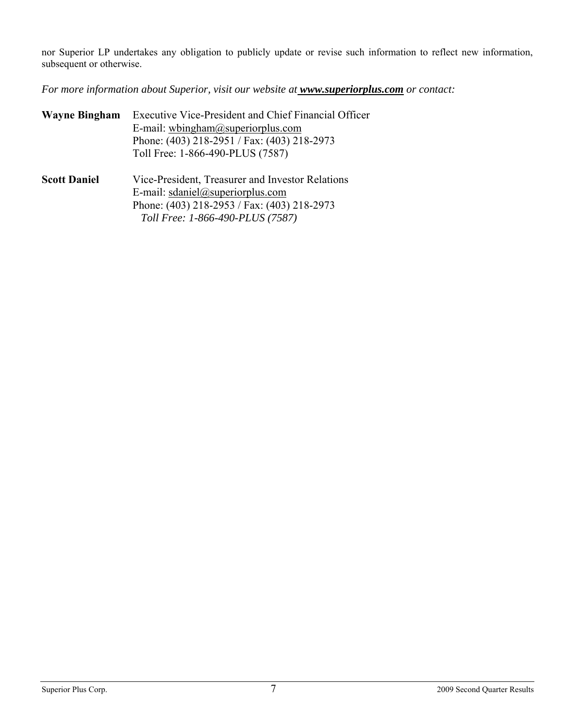nor Superior LP undertakes any obligation to publicly update or revise such information to reflect new information, subsequent or otherwise.

*For more information about Superior, visit our website at www.superiorplus.com or contact:* 

| <b>Wayne Bingham</b> | Executive Vice-President and Chief Financial Officer |
|----------------------|------------------------------------------------------|
|                      | E-mail: whingham@superiorplus.com                    |
|                      | Phone: (403) 218-2951 / Fax: (403) 218-2973          |
|                      | Toll Free: 1-866-490-PLUS (7587)                     |
|                      |                                                      |
| <b>Scott Daniel</b>  | Vice-President, Treasurer and Investor Relations     |
|                      | E-mail: sdaniel@superiorplus.com                     |
|                      | Phone: (403) 218-2953 / Fax: (403) 218-2973          |
|                      | Toll Free: 1-866-490-PLUS (7587)                     |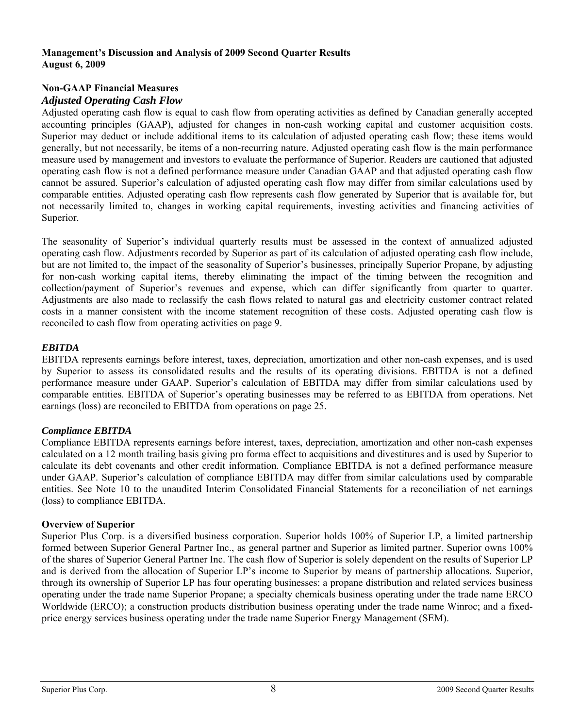#### **Management's Discussion and Analysis of 2009 Second Quarter Results August 6, 2009**

## **Non-GAAP Financial Measures**

## *Adjusted Operating Cash Flow*

Adjusted operating cash flow is equal to cash flow from operating activities as defined by Canadian generally accepted accounting principles (GAAP), adjusted for changes in non-cash working capital and customer acquisition costs. Superior may deduct or include additional items to its calculation of adjusted operating cash flow; these items would generally, but not necessarily, be items of a non-recurring nature. Adjusted operating cash flow is the main performance measure used by management and investors to evaluate the performance of Superior. Readers are cautioned that adjusted operating cash flow is not a defined performance measure under Canadian GAAP and that adjusted operating cash flow cannot be assured. Superior's calculation of adjusted operating cash flow may differ from similar calculations used by comparable entities. Adjusted operating cash flow represents cash flow generated by Superior that is available for, but not necessarily limited to, changes in working capital requirements, investing activities and financing activities of Superior.

The seasonality of Superior's individual quarterly results must be assessed in the context of annualized adjusted operating cash flow. Adjustments recorded by Superior as part of its calculation of adjusted operating cash flow include, but are not limited to, the impact of the seasonality of Superior's businesses, principally Superior Propane, by adjusting for non-cash working capital items, thereby eliminating the impact of the timing between the recognition and collection/payment of Superior's revenues and expense, which can differ significantly from quarter to quarter. Adjustments are also made to reclassify the cash flows related to natural gas and electricity customer contract related costs in a manner consistent with the income statement recognition of these costs. Adjusted operating cash flow is reconciled to cash flow from operating activities on page 9.

## *EBITDA*

EBITDA represents earnings before interest, taxes, depreciation, amortization and other non-cash expenses, and is used by Superior to assess its consolidated results and the results of its operating divisions. EBITDA is not a defined performance measure under GAAP. Superior's calculation of EBITDA may differ from similar calculations used by comparable entities. EBITDA of Superior's operating businesses may be referred to as EBITDA from operations. Net earnings (loss) are reconciled to EBITDA from operations on page 25.

## *Compliance EBITDA*

Compliance EBITDA represents earnings before interest, taxes, depreciation, amortization and other non-cash expenses calculated on a 12 month trailing basis giving pro forma effect to acquisitions and divestitures and is used by Superior to calculate its debt covenants and other credit information. Compliance EBITDA is not a defined performance measure under GAAP. Superior's calculation of compliance EBITDA may differ from similar calculations used by comparable entities. See Note 10 to the unaudited Interim Consolidated Financial Statements for a reconciliation of net earnings (loss) to compliance EBITDA.

## **Overview of Superior**

Superior Plus Corp. is a diversified business corporation. Superior holds 100% of Superior LP, a limited partnership formed between Superior General Partner Inc., as general partner and Superior as limited partner. Superior owns 100% of the shares of Superior General Partner Inc. The cash flow of Superior is solely dependent on the results of Superior LP and is derived from the allocation of Superior LP's income to Superior by means of partnership allocations. Superior, through its ownership of Superior LP has four operating businesses: a propane distribution and related services business operating under the trade name Superior Propane; a specialty chemicals business operating under the trade name ERCO Worldwide (ERCO); a construction products distribution business operating under the trade name Winroc; and a fixedprice energy services business operating under the trade name Superior Energy Management (SEM).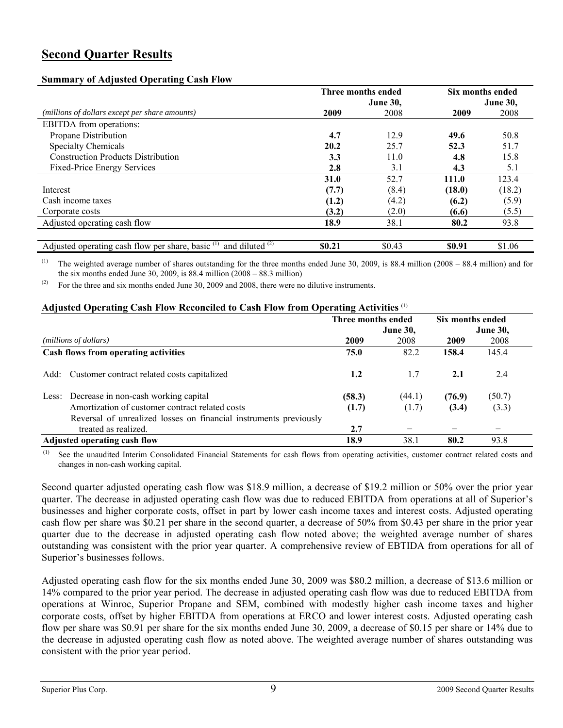# **Second Quarter Results**

## **Summary of Adjusted Operating Cash Flow**

|                                                                                   | Three months ended |                 | Six months ended |                 |
|-----------------------------------------------------------------------------------|--------------------|-----------------|------------------|-----------------|
|                                                                                   |                    | <b>June 30,</b> |                  | <b>June 30,</b> |
| (millions of dollars except per share amounts)                                    | 2009               | 2008            | 2009             | 2008            |
| EBITDA from operations:                                                           |                    |                 |                  |                 |
| Propane Distribution                                                              | 4.7                | 12.9            | 49.6             | 50.8            |
| <b>Specialty Chemicals</b>                                                        | 20.2               | 25.7            | 52.3             | 51.7            |
| <b>Construction Products Distribution</b>                                         | 3.3                | 11.0            | 4.8              | 15.8            |
| <b>Fixed-Price Energy Services</b>                                                | 2.8                | 3.1             | 4.3              | 5.1             |
|                                                                                   | 31.0               | 52.7            | 111.0            | 123.4           |
| Interest                                                                          | (7.7)              | (8.4)           | (18.0)           | (18.2)          |
| Cash income taxes                                                                 | (1.2)              | (4.2)           | (6.2)            | (5.9)           |
| Corporate costs                                                                   | (3.2)              | (2.0)           | (6.6)            | (5.5)           |
| Adjusted operating cash flow                                                      | 18.9               | 38.1            | 80.2             | 93.8            |
|                                                                                   |                    |                 |                  |                 |
| Adjusted operating cash flow per share, basic <sup>(1)</sup><br>and diluted $(2)$ | \$0.21             | \$0.43          | \$0.91           | \$1.06          |

(1) The weighted average number of shares outstanding for the three months ended June 30, 2009, is 88.4 million (2008 – 88.4 million) and for the six months ended June 30, 2009, is  $88.4$  million  $(2008 - 88.3$  million)

(2) For the three and six months ended June 30, 2009 and 2008, there were no dilutive instruments.

### **Adjusted Operating Cash Flow Reconciled to Cash Flow from Operating Activities** (1)

|      |                                                                   | Three months ended |                 | Six months ended |                 |
|------|-------------------------------------------------------------------|--------------------|-----------------|------------------|-----------------|
|      |                                                                   |                    | <b>June 30,</b> |                  | <b>June 30,</b> |
|      | (millions of dollars)                                             | 2009               | 2008            | 2009             | 2008            |
|      | Cash flows from operating activities                              | 75.0               | 82.2            | 158.4            | 145.4           |
| Add: | Customer contract related costs capitalized                       | $1.2\,$            | 1.7             | 2.1              | 2.4             |
|      | Less: Decrease in non-cash working capital                        | (58.3)             | (44.1)          | (76.9)           | (50.7)          |
|      | Amortization of customer contract related costs                   | (1.7)              | (1.7)           | (3.4)            | (3.3)           |
|      | Reversal of unrealized losses on financial instruments previously |                    |                 |                  |                 |
|      | treated as realized.                                              | 2.7                |                 |                  |                 |
|      | Adjusted operating cash flow                                      | 18.9               | 38.1            | 80.2             | 93.8            |

 (1) See the unaudited Interim Consolidated Financial Statements for cash flows from operating activities, customer contract related costs and changes in non-cash working capital.

Second quarter adjusted operating cash flow was \$18.9 million, a decrease of \$19.2 million or 50% over the prior year quarter. The decrease in adjusted operating cash flow was due to reduced EBITDA from operations at all of Superior's businesses and higher corporate costs, offset in part by lower cash income taxes and interest costs. Adjusted operating cash flow per share was \$0.21 per share in the second quarter, a decrease of 50% from \$0.43 per share in the prior year quarter due to the decrease in adjusted operating cash flow noted above; the weighted average number of shares outstanding was consistent with the prior year quarter. A comprehensive review of EBTIDA from operations for all of Superior's businesses follows.

Adjusted operating cash flow for the six months ended June 30, 2009 was \$80.2 million, a decrease of \$13.6 million or 14% compared to the prior year period. The decrease in adjusted operating cash flow was due to reduced EBITDA from operations at Winroc, Superior Propane and SEM, combined with modestly higher cash income taxes and higher corporate costs, offset by higher EBITDA from operations at ERCO and lower interest costs. Adjusted operating cash flow per share was \$0.91 per share for the six months ended June 30, 2009, a decrease of \$0.15 per share or 14% due to the decrease in adjusted operating cash flow as noted above. The weighted average number of shares outstanding was consistent with the prior year period.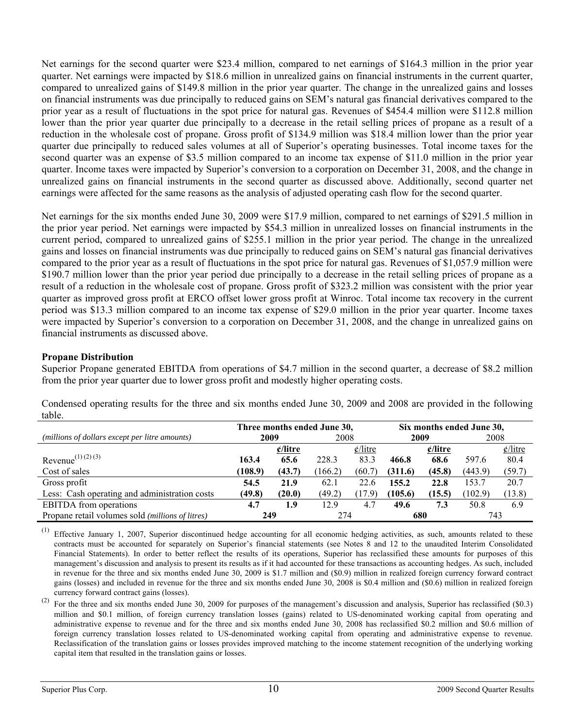Net earnings for the second quarter were \$23.4 million, compared to net earnings of \$164.3 million in the prior year quarter. Net earnings were impacted by \$18.6 million in unrealized gains on financial instruments in the current quarter, compared to unrealized gains of \$149.8 million in the prior year quarter. The change in the unrealized gains and losses on financial instruments was due principally to reduced gains on SEM's natural gas financial derivatives compared to the prior year as a result of fluctuations in the spot price for natural gas. Revenues of \$454.4 million were \$112.8 million lower than the prior year quarter due principally to a decrease in the retail selling prices of propane as a result of a reduction in the wholesale cost of propane. Gross profit of \$134.9 million was \$18.4 million lower than the prior year quarter due principally to reduced sales volumes at all of Superior's operating businesses. Total income taxes for the second quarter was an expense of \$3.5 million compared to an income tax expense of \$11.0 million in the prior year quarter. Income taxes were impacted by Superior's conversion to a corporation on December 31, 2008, and the change in unrealized gains on financial instruments in the second quarter as discussed above. Additionally, second quarter net earnings were affected for the same reasons as the analysis of adjusted operating cash flow for the second quarter.

Net earnings for the six months ended June 30, 2009 were \$17.9 million, compared to net earnings of \$291.5 million in the prior year period. Net earnings were impacted by \$54.3 million in unrealized losses on financial instruments in the current period, compared to unrealized gains of \$255.1 million in the prior year period. The change in the unrealized gains and losses on financial instruments was due principally to reduced gains on SEM's natural gas financial derivatives compared to the prior year as a result of fluctuations in the spot price for natural gas. Revenues of \$1,057.9 million were \$190.7 million lower than the prior year period due principally to a decrease in the retail selling prices of propane as a result of a reduction in the wholesale cost of propane. Gross profit of \$323.2 million was consistent with the prior year quarter as improved gross profit at ERCO offset lower gross profit at Winroc. Total income tax recovery in the current period was \$13.3 million compared to an income tax expense of \$29.0 million in the prior year quarter. Income taxes were impacted by Superior's conversion to a corporation on December 31, 2008, and the change in unrealized gains on financial instruments as discussed above.

## **Propane Distribution**

Superior Propane generated EBITDA from operations of \$4.7 million in the second quarter, a decrease of \$8.2 million from the prior year quarter due to lower gross profit and modestly higher operating costs.

|                                                  | Three months ended June 30, |                          |        | Six months ended June 30, |         |                          |         |                             |
|--------------------------------------------------|-----------------------------|--------------------------|--------|---------------------------|---------|--------------------------|---------|-----------------------------|
| (millions of dollars except per litre amounts)   | 2008<br>2009                |                          |        | 2009                      |         | 2008                     |         |                             |
|                                                  |                             | $\frac{\ell}{\ell}$ itre |        | $\phi$ /litre             |         | $\frac{\ell}{\ell}$ itre |         | $\frac{\phi}{\text{litre}}$ |
| Revenue <sup>(1) (2) (3)</sup>                   | 163.4                       | 65.6                     | 228.3  | 83.3                      | 466.8   | 68.6                     | 597.6   | 80.4                        |
| Cost of sales                                    | (108.9)                     | (43.7)                   | 166.2) | (60.7)                    | (311.6) | (45.8)                   | (443.9) | (59.7)                      |
| Gross profit                                     | 54.5                        | 21.9                     | 62.1   | 22.6                      | 155.2   | 22.8                     | 153.7   | 20.7                        |
| Less: Cash operating and administration costs    | (49.8)                      | (20.0)                   | (49.2) | (17.9)                    | (105.6) | (15.5)                   | (102.9) | (13.8)                      |
| <b>EBITDA</b> from operations                    | 4.7                         | 1.9                      | 12.9   | 4.7                       | 49.6    | 7.3                      | 50.8    | 6.9                         |
| Propane retail volumes sold (millions of litres) | 249                         |                          | 274    |                           | 680     |                          | 743     |                             |

Condensed operating results for the three and six months ended June 30, 2009 and 2008 are provided in the following table.

 $<sup>(1)</sup>$  Effective January 1, 2007, Superior discontinued hedge accounting for all economic hedging activities, as such, amounts related to these</sup> contracts must be accounted for separately on Superior's financial statements (see Notes 8 and 12 to the unaudited Interim Consolidated Financial Statements). In order to better reflect the results of its operations, Superior has reclassified these amounts for purposes of this management's discussion and analysis to present its results as if it had accounted for these transactions as accounting hedges. As such, included in revenue for the three and six months ended June 30, 2009 is \$1.7 million and (\$0.9) million in realized foreign currency forward contract gains (losses) and included in revenue for the three and six months ended June 30, 2008 is \$0.4 million and (\$0.6) million in realized foreign currency forward contract gains (losses).

<sup>(2)</sup> For the three and six months ended June 30, 2009 for purposes of the management's discussion and analysis, Superior has reclassified (\$0.3) million and \$0.1 million, of foreign currency translation losses (gains) related to US-denominated working capital from operating and administrative expense to revenue and for the three and six months ended June 30, 2008 has reclassified \$0.2 million and \$0.6 million of foreign currency translation losses related to US-denominated working capital from operating and administrative expense to revenue. Reclassification of the translation gains or losses provides improved matching to the income statement recognition of the underlying working capital item that resulted in the translation gains or losses.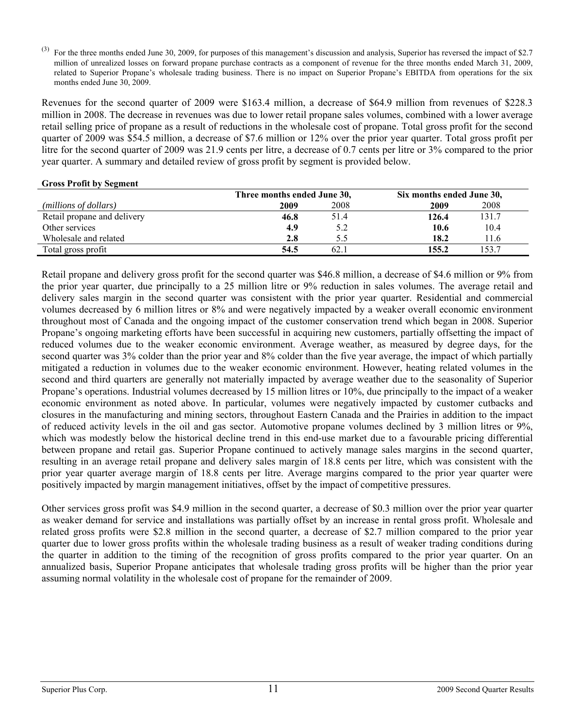(3) For the three months ended June 30, 2009, for purposes of this management's discussion and analysis, Superior has reversed the impact of \$2.7 million of unrealized losses on forward propane purchase contracts as a component of revenue for the three months ended March 31, 2009, related to Superior Propane's wholesale trading business. There is no impact on Superior Propane's EBITDA from operations for the six months ended June 30, 2009.

Revenues for the second quarter of 2009 were \$163.4 million, a decrease of \$64.9 million from revenues of \$228.3 million in 2008. The decrease in revenues was due to lower retail propane sales volumes, combined with a lower average retail selling price of propane as a result of reductions in the wholesale cost of propane. Total gross profit for the second quarter of 2009 was \$54.5 million, a decrease of \$7.6 million or 12% over the prior year quarter. Total gross profit per litre for the second quarter of 2009 was 21.9 cents per litre, a decrease of 0.7 cents per litre or 3% compared to the prior year quarter. A summary and detailed review of gross profit by segment is provided below.

#### **Gross Profit by Segment**

|                             | Three months ended June 30, |      | Six months ended June 30, |       |
|-----------------------------|-----------------------------|------|---------------------------|-------|
| (millions of dollars)       | 2009                        | 2008 | 2009                      | 2008  |
| Retail propane and delivery | 46.8                        | 51.4 | 126.4                     | 131.7 |
| Other services              | 4.9                         | 5.2  | 10.6                      | 10.4  |
| Wholesale and related       | 2.8                         | 5.5  | 18.2                      | 1.6   |
| Total gross profit          | 54.5                        | 62.1 | 155.2                     | 153.7 |

Retail propane and delivery gross profit for the second quarter was \$46.8 million, a decrease of \$4.6 million or 9% from the prior year quarter, due principally to a 25 million litre or 9% reduction in sales volumes. The average retail and delivery sales margin in the second quarter was consistent with the prior year quarter. Residential and commercial volumes decreased by 6 million litres or 8% and were negatively impacted by a weaker overall economic environment throughout most of Canada and the ongoing impact of the customer conservation trend which began in 2008. Superior Propane's ongoing marketing efforts have been successful in acquiring new customers, partially offsetting the impact of reduced volumes due to the weaker economic environment. Average weather, as measured by degree days, for the second quarter was 3% colder than the prior year and 8% colder than the five year average, the impact of which partially mitigated a reduction in volumes due to the weaker economic environment. However, heating related volumes in the second and third quarters are generally not materially impacted by average weather due to the seasonality of Superior Propane's operations. Industrial volumes decreased by 15 million litres or 10%, due principally to the impact of a weaker economic environment as noted above. In particular, volumes were negatively impacted by customer cutbacks and closures in the manufacturing and mining sectors, throughout Eastern Canada and the Prairies in addition to the impact of reduced activity levels in the oil and gas sector. Automotive propane volumes declined by 3 million litres or 9%, which was modestly below the historical decline trend in this end-use market due to a favourable pricing differential between propane and retail gas. Superior Propane continued to actively manage sales margins in the second quarter, resulting in an average retail propane and delivery sales margin of 18.8 cents per litre, which was consistent with the prior year quarter average margin of 18.8 cents per litre. Average margins compared to the prior year quarter were positively impacted by margin management initiatives, offset by the impact of competitive pressures.

Other services gross profit was \$4.9 million in the second quarter, a decrease of \$0.3 million over the prior year quarter as weaker demand for service and installations was partially offset by an increase in rental gross profit. Wholesale and related gross profits were \$2.8 million in the second quarter, a decrease of \$2.7 million compared to the prior year quarter due to lower gross profits within the wholesale trading business as a result of weaker trading conditions during the quarter in addition to the timing of the recognition of gross profits compared to the prior year quarter. On an annualized basis, Superior Propane anticipates that wholesale trading gross profits will be higher than the prior year assuming normal volatility in the wholesale cost of propane for the remainder of 2009.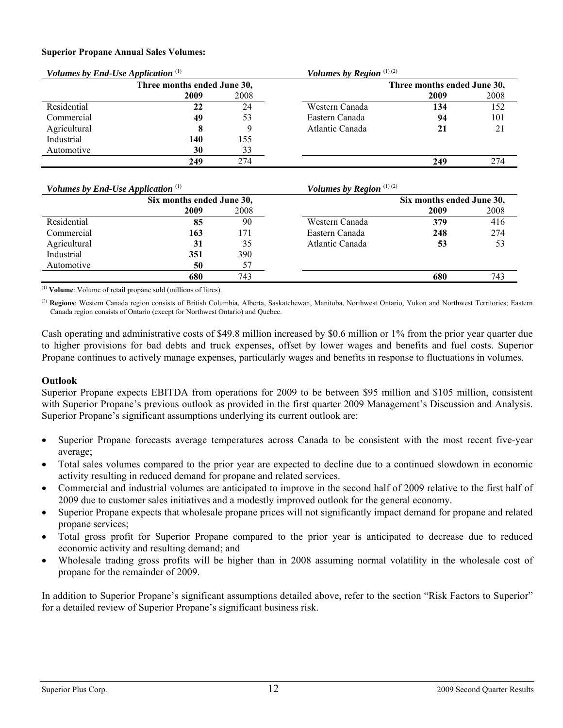#### **Superior Propane Annual Sales Volumes:**

| Volumes by End-Use Application $(1)$ |                             |      | Volumes by Region $(1)(2)$ |                             |      |
|--------------------------------------|-----------------------------|------|----------------------------|-----------------------------|------|
|                                      | Three months ended June 30, |      |                            | Three months ended June 30, |      |
|                                      | 2009                        | 2008 |                            | 2009                        | 2008 |
| Residential                          | 22                          | 24   | Western Canada             | 134                         | 152  |
| Commercial                           | 49                          | 53   | Eastern Canada             | 94                          | 101  |
| Agricultural                         |                             | Q    | Atlantic Canada            |                             | 21   |
| Industrial                           | 140                         | 155  |                            |                             |      |
| Automotive                           | 30                          | 33   |                            |                             |      |
|                                      | 249                         | 274  |                            | 249                         | 274  |

| rotumes by Enu-Ose Application<br><i>VOIUMES UV IAEXIUM</i> |                           |      |
|-------------------------------------------------------------|---------------------------|------|
| Six months ended June 30,                                   | Six months ended June 30, |      |
| 2008<br>2009                                                | 2009                      | 2008 |
| 90<br>Residential<br>85<br>Western Canada                   | 379                       | 416  |
| Commercial<br>Eastern Canada<br>171<br>163                  | 248                       | 274  |
| Agricultural<br>Atlantic Canada<br>35<br>31                 | 53                        | 53   |
| Industrial<br>390<br>351                                    |                           |      |
| 57<br>Automotive<br>50                                      |                           |      |
| 743<br>680                                                  | 680                       | 743  |

(1) **Volume**: Volume of retail propane sold (millions of litres).

(2) **Regions**: Western Canada region consists of British Columbia, Alberta, Saskatchewan, Manitoba, Northwest Ontario, Yukon and Northwest Territories; Eastern Canada region consists of Ontario (except for Northwest Ontario) and Quebec.

Cash operating and administrative costs of \$49.8 million increased by \$0.6 million or 1% from the prior year quarter due to higher provisions for bad debts and truck expenses, offset by lower wages and benefits and fuel costs. Superior Propane continues to actively manage expenses, particularly wages and benefits in response to fluctuations in volumes.

#### **Outlook**

Superior Propane expects EBITDA from operations for 2009 to be between \$95 million and \$105 million, consistent with Superior Propane's previous outlook as provided in the first quarter 2009 Management's Discussion and Analysis. Superior Propane's significant assumptions underlying its current outlook are:

- Superior Propane forecasts average temperatures across Canada to be consistent with the most recent five-year average;
- Total sales volumes compared to the prior year are expected to decline due to a continued slowdown in economic activity resulting in reduced demand for propane and related services.
- Commercial and industrial volumes are anticipated to improve in the second half of 2009 relative to the first half of 2009 due to customer sales initiatives and a modestly improved outlook for the general economy.
- Superior Propane expects that wholesale propane prices will not significantly impact demand for propane and related propane services;
- Total gross profit for Superior Propane compared to the prior year is anticipated to decrease due to reduced economic activity and resulting demand; and
- Wholesale trading gross profits will be higher than in 2008 assuming normal volatility in the wholesale cost of propane for the remainder of 2009.

In addition to Superior Propane's significant assumptions detailed above, refer to the section "Risk Factors to Superior" for a detailed review of Superior Propane's significant business risk.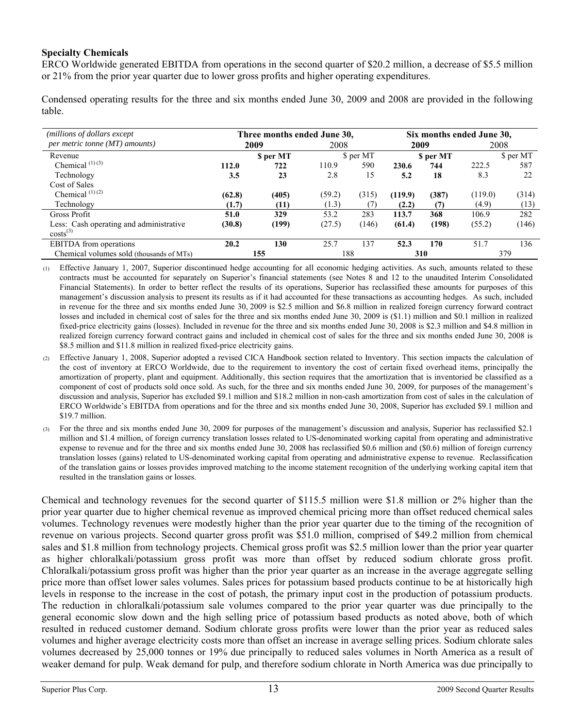## **Specialty Chemicals**

ERCO Worldwide generated EBITDA from operations in the second quarter of \$20.2 million, a decrease of \$5.5 million or 21% from the prior year quarter due to lower gross profits and higher operating expenditures.

Condensed operating results for the three and six months ended June 30, 2009 and 2008 are provided in the following table.

| (millions of dollars except)             | Three months ended June 30, |           |        |           |         | Six months ended June 30, |         |           |  |
|------------------------------------------|-----------------------------|-----------|--------|-----------|---------|---------------------------|---------|-----------|--|
| per metric tonne (MT) amounts)           |                             | 2009      | 2008   |           | 2009    |                           | 2008    |           |  |
| Revenue                                  |                             | \$ per MT |        | \$ per MT |         | \$ per MT                 |         | \$ per MT |  |
| Chemical <sup><math>(1)(3)</math></sup>  | 112.0                       | 722       | 110.9  | 590       | 230.6   | 744                       | 222.5   | 587       |  |
| Technology                               | 3.5                         | 23        | 2.8    | 15        | 5.2     | 18                        | 8.3     | 22        |  |
| Cost of Sales                            |                             |           |        |           |         |                           |         |           |  |
| Chemical <sup><math>(1)(2)</math></sup>  | (62.8)                      | (405)     | (59.2) | (315)     | (119.9) | (387)                     | (119.0) | (314)     |  |
| Technology                               | (1.7)                       | (11)      | (1.3)  |           | (2.2)   | (7)                       | (4.9)   | (13)      |  |
| Gross Profit                             | 51.0                        | 329       | 53.2   | 283       | 113.7   | 368                       | 106.9   | 282       |  |
| Less: Cash operating and administrative  | (30.8)                      | (199)     | (27.5) | (146)     | (61.4)  | (198)                     | (55.2)  | (146)     |  |
| $costs^{(3)}$                            |                             |           |        |           |         |                           |         |           |  |
| EBITDA from operations                   | 20.2                        | 130       | 25.7   | 137       | 52.3    | 170                       | 51.7    | 136       |  |
| Chemical volumes sold (thousands of MTs) |                             | 155       | 188    |           |         | 310                       |         | 379       |  |

(1) Effective January 1, 2007, Superior discontinued hedge accounting for all economic hedging activities. As such, amounts related to these contracts must be accounted for separately on Superior's financial statements (see Notes 8 and 12 to the unaudited Interim Consolidated Financial Statements). In order to better reflect the results of its operations, Superior has reclassified these amounts for purposes of this management's discussion analysis to present its results as if it had accounted for these transactions as accounting hedges. As such, included in revenue for the three and six months ended June 30, 2009 is \$2.5 million and \$6.8 million in realized foreign currency forward contract losses and included in chemical cost of sales for the three and six months ended June 30, 2009 is (\$1.1) million and \$0.1 million in realized fixed-price electricity gains (losses). Included in revenue for the three and six months ended June 30, 2008 is \$2.3 million and \$4.8 million in realized foreign currency forward contract gains and included in chemical cost of sales for the three and six months ended June 30, 2008 is \$8.5 million and \$11.8 million in realized fixed-price electricity gains.

- (2) Effective January 1, 2008, Superior adopted a revised CICA Handbook section related to Inventory. This section impacts the calculation of the cost of inventory at ERCO Worldwide, due to the requirement to inventory the cost of certain fixed overhead items, principally the amortization of property, plant and equipment. Additionally, this section requires that the amortization that is inventoried be classified as a component of cost of products sold once sold. As such, for the three and six months ended June 30, 2009, for purposes of the management's discussion and analysis, Superior has excluded \$9.1 million and \$18.2 million in non-cash amortization from cost of sales in the calculation of ERCO Worldwide's EBITDA from operations and for the three and six months ended June 30, 2008, Superior has excluded \$9.1 million and \$19.7 million.
- (3) For the three and six months ended June 30, 2009 for purposes of the management's discussion and analysis, Superior has reclassified \$2.1 million and \$1.4 million, of foreign currency translation losses related to US-denominated working capital from operating and administrative expense to revenue and for the three and six months ended June 30, 2008 has reclassified \$0.6 million and (\$0.6) million of foreign currency translation losses (gains) related to US-denominated working capital from operating and administrative expense to revenue. Reclassification of the translation gains or losses provides improved matching to the income statement recognition of the underlying working capital item that resulted in the translation gains or losses.

Chemical and technology revenues for the second quarter of \$115.5 million were \$1.8 million or 2% higher than the prior year quarter due to higher chemical revenue as improved chemical pricing more than offset reduced chemical sales volumes. Technology revenues were modestly higher than the prior year quarter due to the timing of the recognition of revenue on various projects. Second quarter gross profit was \$51.0 million, comprised of \$49.2 million from chemical sales and \$1.8 million from technology projects. Chemical gross profit was \$2.5 million lower than the prior year quarter as higher chloralkali/potassium gross profit was more than offset by reduced sodium chlorate gross profit. Chloralkali/potassium gross profit was higher than the prior year quarter as an increase in the average aggregate selling price more than offset lower sales volumes. Sales prices for potassium based products continue to be at historically high levels in response to the increase in the cost of potash, the primary input cost in the production of potassium products. The reduction in chloralkali/potassium sale volumes compared to the prior year quarter was due principally to the general economic slow down and the high selling price of potassium based products as noted above, both of which resulted in reduced customer demand. Sodium chlorate gross profits were lower than the prior year as reduced sales volumes and higher average electricity costs more than offset an increase in average selling prices. Sodium chlorate sales volumes decreased by 25,000 tonnes or 19% due principally to reduced sales volumes in North America as a result of weaker demand for pulp. Weak demand for pulp, and therefore sodium chlorate in North America was due principally to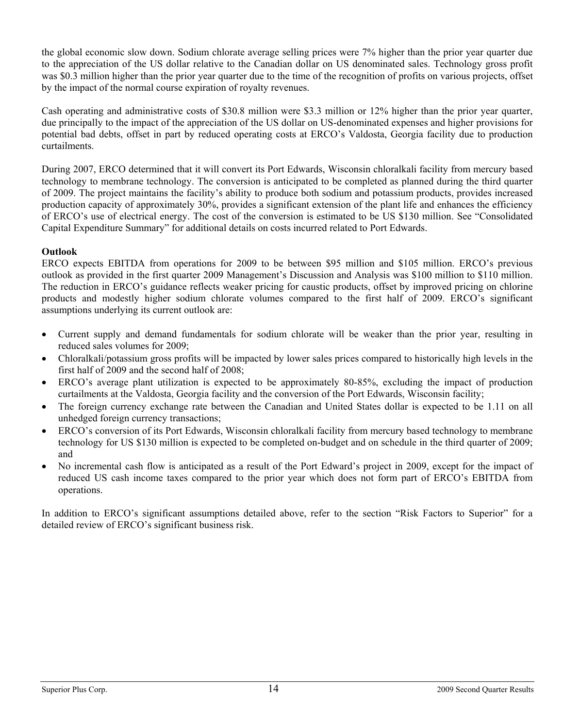the global economic slow down. Sodium chlorate average selling prices were 7% higher than the prior year quarter due to the appreciation of the US dollar relative to the Canadian dollar on US denominated sales. Technology gross profit was \$0.3 million higher than the prior year quarter due to the time of the recognition of profits on various projects, offset by the impact of the normal course expiration of royalty revenues.

Cash operating and administrative costs of \$30.8 million were \$3.3 million or 12% higher than the prior year quarter, due principally to the impact of the appreciation of the US dollar on US-denominated expenses and higher provisions for potential bad debts, offset in part by reduced operating costs at ERCO's Valdosta, Georgia facility due to production curtailments.

During 2007, ERCO determined that it will convert its Port Edwards, Wisconsin chloralkali facility from mercury based technology to membrane technology. The conversion is anticipated to be completed as planned during the third quarter of 2009. The project maintains the facility's ability to produce both sodium and potassium products, provides increased production capacity of approximately 30%, provides a significant extension of the plant life and enhances the efficiency of ERCO's use of electrical energy. The cost of the conversion is estimated to be US \$130 million. See "Consolidated Capital Expenditure Summary" for additional details on costs incurred related to Port Edwards.

## **Outlook**

ERCO expects EBITDA from operations for 2009 to be between \$95 million and \$105 million. ERCO's previous outlook as provided in the first quarter 2009 Management's Discussion and Analysis was \$100 million to \$110 million. The reduction in ERCO's guidance reflects weaker pricing for caustic products, offset by improved pricing on chlorine products and modestly higher sodium chlorate volumes compared to the first half of 2009. ERCO's significant assumptions underlying its current outlook are:

- Current supply and demand fundamentals for sodium chlorate will be weaker than the prior year, resulting in reduced sales volumes for 2009;
- Chloralkali/potassium gross profits will be impacted by lower sales prices compared to historically high levels in the first half of 2009 and the second half of 2008;
- ERCO's average plant utilization is expected to be approximately 80-85%, excluding the impact of production curtailments at the Valdosta, Georgia facility and the conversion of the Port Edwards, Wisconsin facility;
- The foreign currency exchange rate between the Canadian and United States dollar is expected to be 1.11 on all unhedged foreign currency transactions;
- ERCO's conversion of its Port Edwards, Wisconsin chloralkali facility from mercury based technology to membrane technology for US \$130 million is expected to be completed on-budget and on schedule in the third quarter of 2009; and
- No incremental cash flow is anticipated as a result of the Port Edward's project in 2009, except for the impact of reduced US cash income taxes compared to the prior year which does not form part of ERCO's EBITDA from operations.

In addition to ERCO's significant assumptions detailed above, refer to the section "Risk Factors to Superior" for a detailed review of ERCO's significant business risk.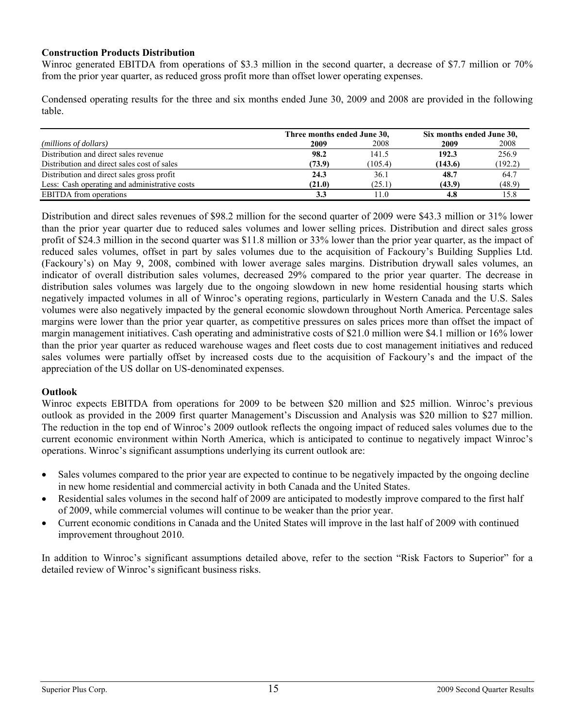## **Construction Products Distribution**

Winroc generated EBITDA from operations of \$3.3 million in the second quarter, a decrease of \$7.7 million or 70% from the prior year quarter, as reduced gross profit more than offset lower operating expenses.

Condensed operating results for the three and six months ended June 30, 2009 and 2008 are provided in the following table.

|                                               | Three months ended June 30, |         |         | Six months ended June 30, |
|-----------------------------------------------|-----------------------------|---------|---------|---------------------------|
| (millions of dollars)                         | 2009                        | 2008    | 2009    | 2008                      |
| Distribution and direct sales revenue         | 98.2                        | 141.5   | 192.3   | 256.9                     |
| Distribution and direct sales cost of sales   | (73.9)                      | (105.4) | (143.6) | (192.2)                   |
| Distribution and direct sales gross profit    | 24.3                        | 36.1    | 48.7    | 64.7                      |
| Less: Cash operating and administrative costs | (21.0)                      | (25.1)  | (43.9)  | (48.9)                    |
| <b>EBITDA</b> from operations                 | 3.3                         | 11.0    | 4.8     | 15.8                      |

Distribution and direct sales revenues of \$98.2 million for the second quarter of 2009 were \$43.3 million or 31% lower than the prior year quarter due to reduced sales volumes and lower selling prices. Distribution and direct sales gross profit of \$24.3 million in the second quarter was \$11.8 million or 33% lower than the prior year quarter, as the impact of reduced sales volumes, offset in part by sales volumes due to the acquisition of Fackoury's Building Supplies Ltd. (Fackoury's) on May 9, 2008, combined with lower average sales margins. Distribution drywall sales volumes, an indicator of overall distribution sales volumes, decreased 29% compared to the prior year quarter. The decrease in distribution sales volumes was largely due to the ongoing slowdown in new home residential housing starts which negatively impacted volumes in all of Winroc's operating regions, particularly in Western Canada and the U.S. Sales volumes were also negatively impacted by the general economic slowdown throughout North America. Percentage sales margins were lower than the prior year quarter, as competitive pressures on sales prices more than offset the impact of margin management initiatives. Cash operating and administrative costs of \$21.0 million were \$4.1 million or 16% lower than the prior year quarter as reduced warehouse wages and fleet costs due to cost management initiatives and reduced sales volumes were partially offset by increased costs due to the acquisition of Fackoury's and the impact of the appreciation of the US dollar on US-denominated expenses.

## **Outlook**

Winroc expects EBITDA from operations for 2009 to be between \$20 million and \$25 million. Winroc's previous outlook as provided in the 2009 first quarter Management's Discussion and Analysis was \$20 million to \$27 million. The reduction in the top end of Winroc's 2009 outlook reflects the ongoing impact of reduced sales volumes due to the current economic environment within North America, which is anticipated to continue to negatively impact Winroc's operations. Winroc's significant assumptions underlying its current outlook are:

- Sales volumes compared to the prior year are expected to continue to be negatively impacted by the ongoing decline in new home residential and commercial activity in both Canada and the United States.
- Residential sales volumes in the second half of 2009 are anticipated to modestly improve compared to the first half of 2009, while commercial volumes will continue to be weaker than the prior year.
- Current economic conditions in Canada and the United States will improve in the last half of 2009 with continued improvement throughout 2010.

In addition to Winroc's significant assumptions detailed above, refer to the section "Risk Factors to Superior" for a detailed review of Winroc's significant business risks.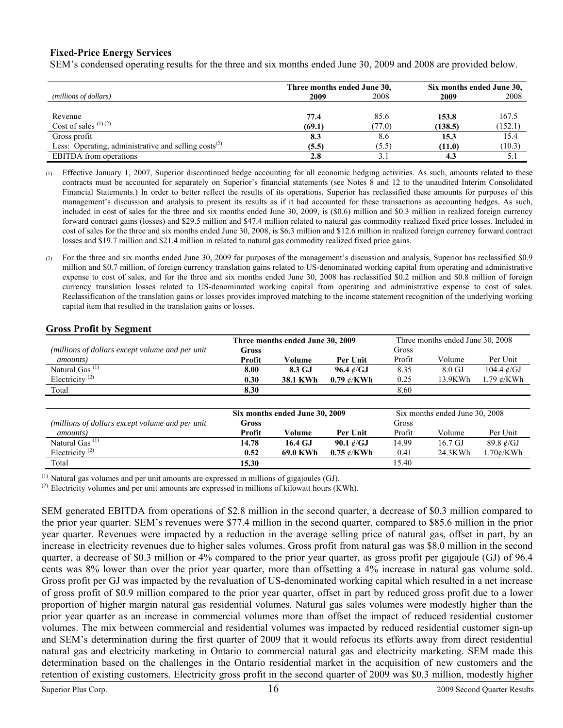#### **Fixed-Price Energy Services**

SEM's condensed operating results for the three and six months ended June 30, 2009 and 2008 are provided below.

|                                                           | Three months ended June 30, |        | Six months ended June 30, |         |  |  |
|-----------------------------------------------------------|-----------------------------|--------|---------------------------|---------|--|--|
| (millions of dollars)                                     | 2009                        | 2008   | 2009                      | 2008    |  |  |
|                                                           |                             |        |                           |         |  |  |
| Revenue                                                   | 77.4                        | 85.6   | 153.8                     | 167.5   |  |  |
| Cost of sales $(1)(2)$                                    | (69.1)                      | (77.0) | (138.5)                   | (152.1) |  |  |
| Gross profit                                              | 8.3                         | 8.6    | 15.3                      | 15.4    |  |  |
| Less: Operating, administrative and selling $costs^{(2)}$ | (5.5)                       | (5.5)  | (11.0)                    | (10.3)  |  |  |
| <b>EBITDA</b> from operations                             | 2.8                         | 3.1    | 4.3                       |         |  |  |

(1) Effective January 1, 2007, Superior discontinued hedge accounting for all economic hedging activities. As such, amounts related to these contracts must be accounted for separately on Superior's financial statements (see Notes 8 and 12 to the unaudited Interim Consolidated Financial Statements.) In order to better reflect the results of its operations, Superior has reclassified these amounts for purposes of this management's discussion and analysis to present its results as if it had accounted for these transactions as accounting hedges. As such, included in cost of sales for the three and six months ended June 30, 2009, is (\$0.6) million and \$0.3 million in realized foreign currency forward contract gains (losses) and \$29.5 million and \$47.4 million related to natural gas commodity realized fixed price losses. Included in cost of sales for the three and six months ended June 30, 2008, is \$6.3 million and \$12.6 million in realized foreign currency forward contract losses and \$19.7 million and \$21.4 million in related to natural gas commodity realized fixed price gains.

(2) For the three and six months ended June 30, 2009 for purposes of the management's discussion and analysis, Superior has reclassified \$0.9 million and \$0.7 million, of foreign currency translation gains related to US-denominated working capital from operating and administrative expense to cost of sales, and for the three and six months ended June 30, 2008 has reclassified \$0.2 million and \$0.8 million of foreign currency translation losses related to US-denominated working capital from operating and administrative expense to cost of sales. Reclassification of the translation gains or losses provides improved matching to the income statement recognition of the underlying working capital item that resulted in the translation gains or losses.

|                                                  | Three months ended June 30, 2009 |                                |                                |        | Three months ended June 30, 2008 |                                |
|--------------------------------------------------|----------------------------------|--------------------------------|--------------------------------|--------|----------------------------------|--------------------------------|
| (millions of dollars except volume and per unit) | Gross                            |                                |                                | Gross  |                                  |                                |
| <i>amounts</i> )                                 | Profit                           | Volume                         | Per Unit                       | Profit | Volume                           | Per Unit                       |
| Natural Gas $(1)$                                | 8.00                             | 8.3 GJ                         | 96.4 $\ell$ /GJ                | 8.35   | 8.0 <sub>GI</sub>                | 104.4 $\mathcal{C}/\text{GJ}$  |
| Electricity <sup><math>(2)</math></sup>          | 0.30                             | <b>38.1 KWh</b>                | $0.79 \text{ }\mathcal{C}/KWh$ | 0.25   | 13.9KWh                          | $1.79 \text{ }\mathcal{C}/KWh$ |
| Total                                            | 8.30                             |                                |                                | 8.60   |                                  |                                |
|                                                  |                                  |                                |                                |        |                                  |                                |
|                                                  |                                  |                                |                                |        |                                  |                                |
|                                                  |                                  | Six months ended June 30, 2009 |                                |        | Six months ended June 30, 2008   |                                |
| (millions of dollars except volume and per unit) | Gross                            |                                |                                | Gross  |                                  |                                |
| <i>amounts</i> )                                 | Profit                           | Volume                         | Per Unit                       | Profit | Volume                           | Per Unit                       |
| Natural Gas <sup>(1)</sup>                       | 14.78                            | 16.4 GJ                        | 90.1 $\ell$ /GJ                | 14.99  | $16.7 \,\mathrm{GJ}$             | 89.8 $\ell$ /GJ                |
| Electricity <sup>(2)</sup>                       | 0.52                             | 69.0 KWh                       | $0.75 \notin$ KWh              | 0.41   | 24.3KWh                          | 1.70¢/KWh                      |

#### **Gross Profit by Segment**

 $<sup>(1)</sup>$  Natural gas volumes and per unit amounts are expressed in millions of gigajoules (GJ).</sup>

 $^{(2)}$  Electricity volumes and per unit amounts are expressed in millions of kilowatt hours (KWh).

SEM generated EBITDA from operations of \$2.8 million in the second quarter, a decrease of \$0.3 million compared to the prior year quarter. SEM's revenues were \$77.4 million in the second quarter, compared to \$85.6 million in the prior year quarter. Revenues were impacted by a reduction in the average selling price of natural gas, offset in part, by an increase in electricity revenues due to higher sales volumes. Gross profit from natural gas was \$8.0 million in the second quarter, a decrease of \$0.3 million or 4% compared to the prior year quarter, as gross profit per gigajoule (GJ) of 96.4 cents was 8% lower than over the prior year quarter, more than offsetting a 4% increase in natural gas volume sold. Gross profit per GJ was impacted by the revaluation of US-denominated working capital which resulted in a net increase of gross profit of \$0.9 million compared to the prior year quarter, offset in part by reduced gross profit due to a lower proportion of higher margin natural gas residential volumes. Natural gas sales volumes were modestly higher than the prior year quarter as an increase in commercial volumes more than offset the impact of reduced residential customer volumes. The mix between commercial and residential volumes was impacted by reduced residential customer sign-up and SEM's determination during the first quarter of 2009 that it would refocus its efforts away from direct residential natural gas and electricity marketing in Ontario to commercial natural gas and electricity marketing. SEM made this determination based on the challenges in the Ontario residential market in the acquisition of new customers and the retention of existing customers. Electricity gross profit in the second quarter of 2009 was \$0.3 million, modestly higher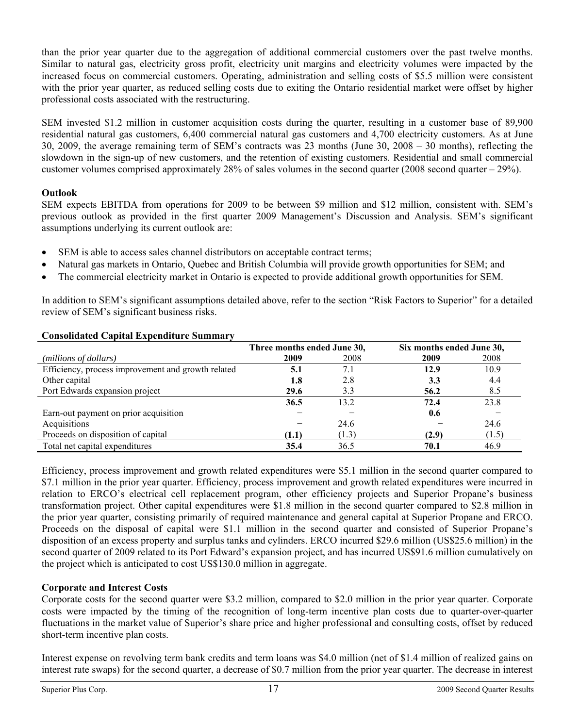than the prior year quarter due to the aggregation of additional commercial customers over the past twelve months. Similar to natural gas, electricity gross profit, electricity unit margins and electricity volumes were impacted by the increased focus on commercial customers. Operating, administration and selling costs of \$5.5 million were consistent with the prior year quarter, as reduced selling costs due to exiting the Ontario residential market were offset by higher professional costs associated with the restructuring.

SEM invested \$1.2 million in customer acquisition costs during the quarter, resulting in a customer base of 89,900 residential natural gas customers, 6,400 commercial natural gas customers and 4,700 electricity customers. As at June 30, 2009, the average remaining term of SEM's contracts was 23 months (June 30, 2008 – 30 months), reflecting the slowdown in the sign-up of new customers, and the retention of existing customers. Residential and small commercial customer volumes comprised approximately 28% of sales volumes in the second quarter (2008 second quarter – 29%).

## **Outlook**

SEM expects EBITDA from operations for 2009 to be between \$9 million and \$12 million, consistent with. SEM's previous outlook as provided in the first quarter 2009 Management's Discussion and Analysis. SEM's significant assumptions underlying its current outlook are:

- SEM is able to access sales channel distributors on acceptable contract terms;
- Natural gas markets in Ontario, Quebec and British Columbia will provide growth opportunities for SEM; and
- The commercial electricity market in Ontario is expected to provide additional growth opportunities for SEM.

In addition to SEM's significant assumptions detailed above, refer to the section "Risk Factors to Superior" for a detailed review of SEM's significant business risks.

|                                                    | Three months ended June 30, |       | Six months ended June 30, |       |
|----------------------------------------------------|-----------------------------|-------|---------------------------|-------|
| (millions of dollars)                              | 2009                        | 2008  | 2009                      | 2008  |
| Efficiency, process improvement and growth related | 5.1                         | 7.1   | 12.9                      | 10.9  |
| Other capital                                      | 1.8                         | 2.8   | 3.3                       | 4.4   |
| Port Edwards expansion project                     | 29.6                        | 3.3   | 56.2                      | 8.5   |
|                                                    | 36.5                        | 13.2  | 72.4                      | 23.8  |
| Earn-out payment on prior acquisition              |                             |       | 0.6                       |       |
| Acquisitions                                       |                             | 24.6  |                           | 24.6  |
| Proceeds on disposition of capital                 | (1.1)                       | (1.3) | (2.9)                     | (1.5) |
| Total net capital expenditures                     | 35.4                        | 36.5  | 70.1                      | 46.9  |

## **Consolidated Capital Expenditure Summary**

Efficiency, process improvement and growth related expenditures were \$5.1 million in the second quarter compared to \$7.1 million in the prior year quarter. Efficiency, process improvement and growth related expenditures were incurred in relation to ERCO's electrical cell replacement program, other efficiency projects and Superior Propane's business transformation project. Other capital expenditures were \$1.8 million in the second quarter compared to \$2.8 million in the prior year quarter, consisting primarily of required maintenance and general capital at Superior Propane and ERCO. Proceeds on the disposal of capital were \$1.1 million in the second quarter and consisted of Superior Propane's disposition of an excess property and surplus tanks and cylinders. ERCO incurred \$29.6 million (US\$25.6 million) in the second quarter of 2009 related to its Port Edward's expansion project, and has incurred US\$91.6 million cumulatively on the project which is anticipated to cost US\$130.0 million in aggregate.

## **Corporate and Interest Costs**

Corporate costs for the second quarter were \$3.2 million, compared to \$2.0 million in the prior year quarter. Corporate costs were impacted by the timing of the recognition of long-term incentive plan costs due to quarter-over-quarter fluctuations in the market value of Superior's share price and higher professional and consulting costs, offset by reduced short-term incentive plan costs.

Interest expense on revolving term bank credits and term loans was \$4.0 million (net of \$1.4 million of realized gains on interest rate swaps) for the second quarter, a decrease of \$0.7 million from the prior year quarter. The decrease in interest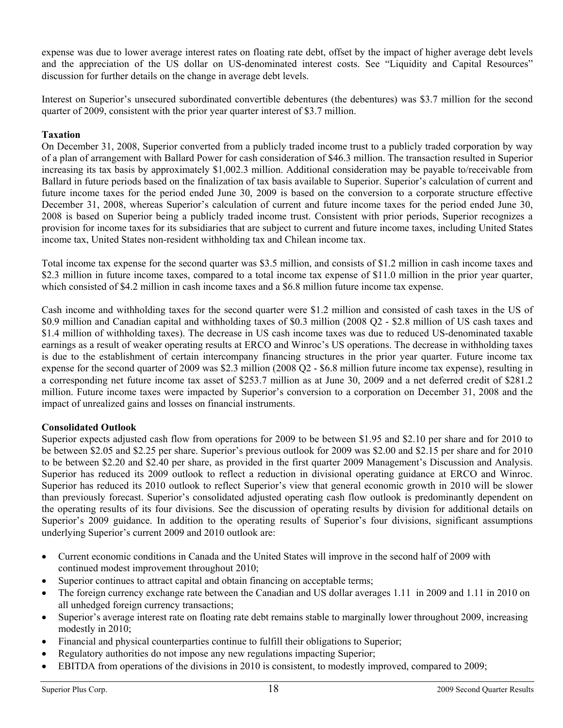expense was due to lower average interest rates on floating rate debt, offset by the impact of higher average debt levels and the appreciation of the US dollar on US-denominated interest costs. See "Liquidity and Capital Resources" discussion for further details on the change in average debt levels.

Interest on Superior's unsecured subordinated convertible debentures (the debentures) was \$3.7 million for the second quarter of 2009, consistent with the prior year quarter interest of \$3.7 million.

## **Taxation**

On December 31, 2008, Superior converted from a publicly traded income trust to a publicly traded corporation by way of a plan of arrangement with Ballard Power for cash consideration of \$46.3 million. The transaction resulted in Superior increasing its tax basis by approximately \$1,002.3 million. Additional consideration may be payable to/receivable from Ballard in future periods based on the finalization of tax basis available to Superior. Superior's calculation of current and future income taxes for the period ended June 30, 2009 is based on the conversion to a corporate structure effective December 31, 2008, whereas Superior's calculation of current and future income taxes for the period ended June 30, 2008 is based on Superior being a publicly traded income trust. Consistent with prior periods, Superior recognizes a provision for income taxes for its subsidiaries that are subject to current and future income taxes, including United States income tax, United States non-resident withholding tax and Chilean income tax.

Total income tax expense for the second quarter was \$3.5 million, and consists of \$1.2 million in cash income taxes and \$2.3 million in future income taxes, compared to a total income tax expense of \$11.0 million in the prior year quarter, which consisted of \$4.2 million in cash income taxes and a \$6.8 million future income tax expense.

Cash income and withholding taxes for the second quarter were \$1.2 million and consisted of cash taxes in the US of \$0.9 million and Canadian capital and withholding taxes of \$0.3 million (2008 Q2 - \$2.8 million of US cash taxes and \$1.4 million of withholding taxes). The decrease in US cash income taxes was due to reduced US-denominated taxable earnings as a result of weaker operating results at ERCO and Winroc's US operations. The decrease in withholding taxes is due to the establishment of certain intercompany financing structures in the prior year quarter. Future income tax expense for the second quarter of 2009 was \$2.3 million (2008 Q2 - \$6.8 million future income tax expense), resulting in a corresponding net future income tax asset of \$253.7 million as at June 30, 2009 and a net deferred credit of \$281.2 million. Future income taxes were impacted by Superior's conversion to a corporation on December 31, 2008 and the impact of unrealized gains and losses on financial instruments.

## **Consolidated Outlook**

Superior expects adjusted cash flow from operations for 2009 to be between \$1.95 and \$2.10 per share and for 2010 to be between \$2.05 and \$2.25 per share. Superior's previous outlook for 2009 was \$2.00 and \$2.15 per share and for 2010 to be between \$2.20 and \$2.40 per share, as provided in the first quarter 2009 Management's Discussion and Analysis. Superior has reduced its 2009 outlook to reflect a reduction in divisional operating guidance at ERCO and Winroc. Superior has reduced its 2010 outlook to reflect Superior's view that general economic growth in 2010 will be slower than previously forecast. Superior's consolidated adjusted operating cash flow outlook is predominantly dependent on the operating results of its four divisions. See the discussion of operating results by division for additional details on Superior's 2009 guidance. In addition to the operating results of Superior's four divisions, significant assumptions underlying Superior's current 2009 and 2010 outlook are:

- Current economic conditions in Canada and the United States will improve in the second half of 2009 with continued modest improvement throughout 2010;
- Superior continues to attract capital and obtain financing on acceptable terms;
- The foreign currency exchange rate between the Canadian and US dollar averages 1.11 in 2009 and 1.11 in 2010 on all unhedged foreign currency transactions;
- Superior's average interest rate on floating rate debt remains stable to marginally lower throughout 2009, increasing modestly in 2010;
- Financial and physical counterparties continue to fulfill their obligations to Superior;
- Regulatory authorities do not impose any new regulations impacting Superior;
- EBITDA from operations of the divisions in 2010 is consistent, to modestly improved, compared to 2009;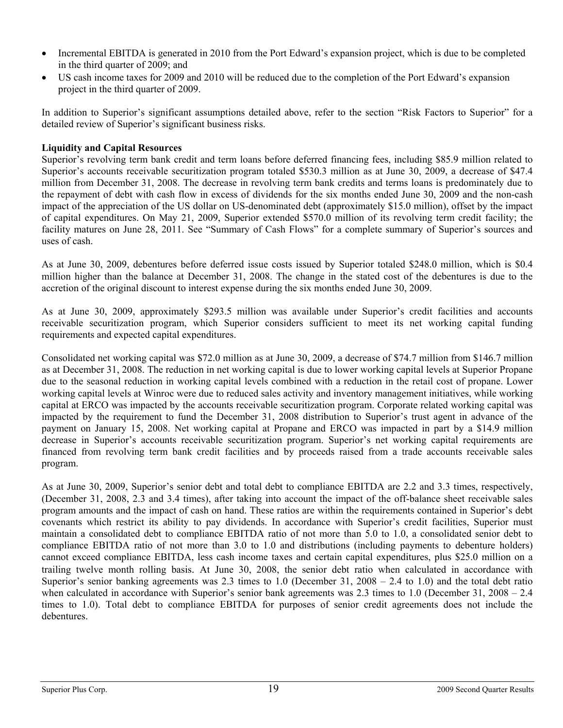- Incremental EBITDA is generated in 2010 from the Port Edward's expansion project, which is due to be completed in the third quarter of 2009; and
- US cash income taxes for 2009 and 2010 will be reduced due to the completion of the Port Edward's expansion project in the third quarter of 2009.

In addition to Superior's significant assumptions detailed above, refer to the section "Risk Factors to Superior" for a detailed review of Superior's significant business risks.

## **Liquidity and Capital Resources**

Superior's revolving term bank credit and term loans before deferred financing fees, including \$85.9 million related to Superior's accounts receivable securitization program totaled \$530.3 million as at June 30, 2009, a decrease of \$47.4 million from December 31, 2008. The decrease in revolving term bank credits and terms loans is predominately due to the repayment of debt with cash flow in excess of dividends for the six months ended June 30, 2009 and the non-cash impact of the appreciation of the US dollar on US-denominated debt (approximately \$15.0 million), offset by the impact of capital expenditures. On May 21, 2009, Superior extended \$570.0 million of its revolving term credit facility; the facility matures on June 28, 2011. See "Summary of Cash Flows" for a complete summary of Superior's sources and uses of cash.

As at June 30, 2009, debentures before deferred issue costs issued by Superior totaled \$248.0 million, which is \$0.4 million higher than the balance at December 31, 2008. The change in the stated cost of the debentures is due to the accretion of the original discount to interest expense during the six months ended June 30, 2009.

As at June 30, 2009, approximately \$293.5 million was available under Superior's credit facilities and accounts receivable securitization program, which Superior considers sufficient to meet its net working capital funding requirements and expected capital expenditures.

Consolidated net working capital was \$72.0 million as at June 30, 2009, a decrease of \$74.7 million from \$146.7 million as at December 31, 2008. The reduction in net working capital is due to lower working capital levels at Superior Propane due to the seasonal reduction in working capital levels combined with a reduction in the retail cost of propane. Lower working capital levels at Winroc were due to reduced sales activity and inventory management initiatives, while working capital at ERCO was impacted by the accounts receivable securitization program. Corporate related working capital was impacted by the requirement to fund the December 31, 2008 distribution to Superior's trust agent in advance of the payment on January 15, 2008. Net working capital at Propane and ERCO was impacted in part by a \$14.9 million decrease in Superior's accounts receivable securitization program. Superior's net working capital requirements are financed from revolving term bank credit facilities and by proceeds raised from a trade accounts receivable sales program.

As at June 30, 2009, Superior's senior debt and total debt to compliance EBITDA are 2.2 and 3.3 times, respectively, (December 31, 2008, 2.3 and 3.4 times), after taking into account the impact of the off-balance sheet receivable sales program amounts and the impact of cash on hand. These ratios are within the requirements contained in Superior's debt covenants which restrict its ability to pay dividends. In accordance with Superior's credit facilities, Superior must maintain a consolidated debt to compliance EBITDA ratio of not more than 5.0 to 1.0, a consolidated senior debt to compliance EBITDA ratio of not more than 3.0 to 1.0 and distributions (including payments to debenture holders) cannot exceed compliance EBITDA, less cash income taxes and certain capital expenditures, plus \$25.0 million on a trailing twelve month rolling basis. At June 30, 2008, the senior debt ratio when calculated in accordance with Superior's senior banking agreements was 2.3 times to 1.0 (December 31,  $2008 - 2.4$  to 1.0) and the total debt ratio when calculated in accordance with Superior's senior bank agreements was 2.3 times to 1.0 (December 31, 2008 – 2.4 times to 1.0). Total debt to compliance EBITDA for purposes of senior credit agreements does not include the debentures.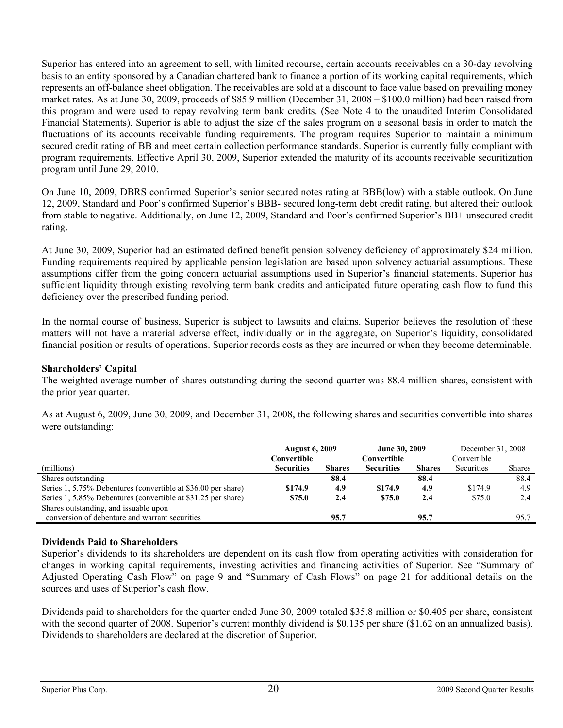Superior has entered into an agreement to sell, with limited recourse, certain accounts receivables on a 30-day revolving basis to an entity sponsored by a Canadian chartered bank to finance a portion of its working capital requirements, which represents an off-balance sheet obligation. The receivables are sold at a discount to face value based on prevailing money market rates. As at June 30, 2009, proceeds of \$85.9 million (December 31, 2008 – \$100.0 million) had been raised from this program and were used to repay revolving term bank credits. (See Note 4 to the unaudited Interim Consolidated Financial Statements). Superior is able to adjust the size of the sales program on a seasonal basis in order to match the fluctuations of its accounts receivable funding requirements. The program requires Superior to maintain a minimum secured credit rating of BB and meet certain collection performance standards. Superior is currently fully compliant with program requirements. Effective April 30, 2009, Superior extended the maturity of its accounts receivable securitization program until June 29, 2010.

On June 10, 2009, DBRS confirmed Superior's senior secured notes rating at BBB(low) with a stable outlook. On June 12, 2009, Standard and Poor's confirmed Superior's BBB- secured long-term debt credit rating, but altered their outlook from stable to negative. Additionally, on June 12, 2009, Standard and Poor's confirmed Superior's BB+ unsecured credit rating.

At June 30, 2009, Superior had an estimated defined benefit pension solvency deficiency of approximately \$24 million. Funding requirements required by applicable pension legislation are based upon solvency actuarial assumptions. These assumptions differ from the going concern actuarial assumptions used in Superior's financial statements. Superior has sufficient liquidity through existing revolving term bank credits and anticipated future operating cash flow to fund this deficiency over the prescribed funding period.

In the normal course of business, Superior is subject to lawsuits and claims. Superior believes the resolution of these matters will not have a material adverse effect, individually or in the aggregate, on Superior's liquidity, consolidated financial position or results of operations. Superior records costs as they are incurred or when they become determinable.

## **Shareholders' Capital**

The weighted average number of shares outstanding during the second quarter was 88.4 million shares, consistent with the prior year quarter.

|                                                               | <b>August 6, 2009</b> |               | June 30, 2009     |               | December 31, 2008 |               |
|---------------------------------------------------------------|-----------------------|---------------|-------------------|---------------|-------------------|---------------|
|                                                               | Convertible           |               | Convertible       |               | Convertible       |               |
| (millions)                                                    | <b>Securities</b>     | <b>Shares</b> | <b>Securities</b> | <b>Shares</b> | Securities        | <b>Shares</b> |
| Shares outstanding                                            |                       | 88.4          |                   | 88.4          |                   | 88.4          |
| Series 1, 5.75% Debentures (convertible at \$36.00 per share) | \$174.9               | 4.9           | \$174.9           | 4.9           | \$174.9           | 4.9           |
| Series 1, 5.85% Debentures (convertible at \$31.25 per share) | \$75.0                | $2.4^{\circ}$ | \$75.0            | 2.4           | \$75.0            | 2.4           |
| Shares outstanding, and issuable upon                         |                       |               |                   |               |                   |               |
| conversion of debenture and warrant securities                |                       | 95.7          |                   | 95.7          |                   | 95.7          |

As at August 6, 2009, June 30, 2009, and December 31, 2008, the following shares and securities convertible into shares were outstanding:

#### **Dividends Paid to Shareholders**

Superior's dividends to its shareholders are dependent on its cash flow from operating activities with consideration for changes in working capital requirements, investing activities and financing activities of Superior. See "Summary of Adjusted Operating Cash Flow" on page 9 and "Summary of Cash Flows" on page 21 for additional details on the sources and uses of Superior's cash flow.

Dividends paid to shareholders for the quarter ended June 30, 2009 totaled \$35.8 million or \$0.405 per share, consistent with the second quarter of 2008. Superior's current monthly dividend is \$0.135 per share (\$1.62 on an annualized basis). Dividends to shareholders are declared at the discretion of Superior.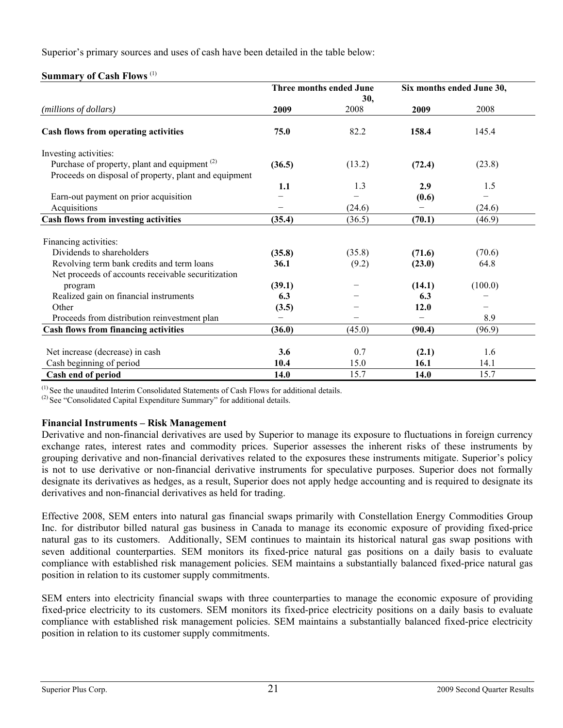Superior's primary sources and uses of cash have been detailed in the table below:

## **Summary of Cash Flows** (1)

|        |                                                            | Six months ended June 30,                                                           |                                                                        |  |
|--------|------------------------------------------------------------|-------------------------------------------------------------------------------------|------------------------------------------------------------------------|--|
|        | 30,                                                        |                                                                                     |                                                                        |  |
| 2009   |                                                            | 2009                                                                                | 2008                                                                   |  |
| 75.0   | 82.2                                                       | 158.4                                                                               | 145.4                                                                  |  |
|        |                                                            |                                                                                     |                                                                        |  |
|        |                                                            |                                                                                     | (23.8)                                                                 |  |
|        |                                                            |                                                                                     |                                                                        |  |
| 1.1    | 1.3                                                        | 2.9                                                                                 | 1.5                                                                    |  |
|        |                                                            |                                                                                     |                                                                        |  |
|        | (24.6)                                                     |                                                                                     | (24.6)                                                                 |  |
| (35.4) | (36.5)                                                     | (70.1)                                                                              | (46.9)                                                                 |  |
|        |                                                            |                                                                                     |                                                                        |  |
|        |                                                            |                                                                                     | (70.6)                                                                 |  |
| 36.1   |                                                            |                                                                                     | 64.8                                                                   |  |
|        |                                                            |                                                                                     |                                                                        |  |
|        |                                                            |                                                                                     | (100.0)                                                                |  |
| 6.3    |                                                            | 6.3                                                                                 |                                                                        |  |
|        |                                                            | 12.0                                                                                |                                                                        |  |
|        |                                                            |                                                                                     | 8.9                                                                    |  |
| (36.0) | (45.0)                                                     | (90.4)                                                                              | (96.9)                                                                 |  |
|        |                                                            |                                                                                     | 1.6                                                                    |  |
|        |                                                            |                                                                                     | 14.1                                                                   |  |
|        |                                                            |                                                                                     | 15.7                                                                   |  |
|        | (36.5)<br>(35.8)<br>(39.1)<br>(3.5)<br>3.6<br>10.4<br>14.0 | Three months ended June<br>2008<br>(13.2)<br>(35.8)<br>(9.2)<br>0.7<br>15.0<br>15.7 | (72.4)<br>(0.6)<br>(71.6)<br>(23.0)<br>(14.1)<br>(2.1)<br>16.1<br>14.0 |  |

(1) See the unaudited Interim Consolidated Statements of Cash Flows for additional details.

 $^{(2)}$  See "Consolidated Capital Expenditure Summary" for additional details.

## **Financial Instruments – Risk Management**

Derivative and non-financial derivatives are used by Superior to manage its exposure to fluctuations in foreign currency exchange rates, interest rates and commodity prices. Superior assesses the inherent risks of these instruments by grouping derivative and non-financial derivatives related to the exposures these instruments mitigate. Superior's policy is not to use derivative or non-financial derivative instruments for speculative purposes. Superior does not formally designate its derivatives as hedges, as a result, Superior does not apply hedge accounting and is required to designate its derivatives and non-financial derivatives as held for trading.

Effective 2008, SEM enters into natural gas financial swaps primarily with Constellation Energy Commodities Group Inc. for distributor billed natural gas business in Canada to manage its economic exposure of providing fixed-price natural gas to its customers. Additionally, SEM continues to maintain its historical natural gas swap positions with seven additional counterparties. SEM monitors its fixed-price natural gas positions on a daily basis to evaluate compliance with established risk management policies. SEM maintains a substantially balanced fixed-price natural gas position in relation to its customer supply commitments.

SEM enters into electricity financial swaps with three counterparties to manage the economic exposure of providing fixed-price electricity to its customers. SEM monitors its fixed-price electricity positions on a daily basis to evaluate compliance with established risk management policies. SEM maintains a substantially balanced fixed-price electricity position in relation to its customer supply commitments.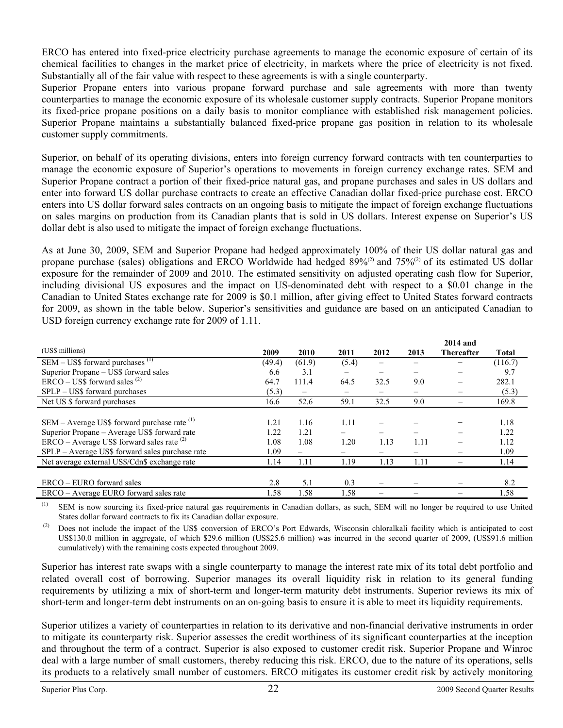ERCO has entered into fixed-price electricity purchase agreements to manage the economic exposure of certain of its chemical facilities to changes in the market price of electricity, in markets where the price of electricity is not fixed. Substantially all of the fair value with respect to these agreements is with a single counterparty.

Superior Propane enters into various propane forward purchase and sale agreements with more than twenty counterparties to manage the economic exposure of its wholesale customer supply contracts. Superior Propane monitors its fixed-price propane positions on a daily basis to monitor compliance with established risk management policies. Superior Propane maintains a substantially balanced fixed-price propane gas position in relation to its wholesale customer supply commitments.

Superior, on behalf of its operating divisions, enters into foreign currency forward contracts with ten counterparties to manage the economic exposure of Superior's operations to movements in foreign currency exchange rates. SEM and Superior Propane contract a portion of their fixed-price natural gas, and propane purchases and sales in US dollars and enter into forward US dollar purchase contracts to create an effective Canadian dollar fixed-price purchase cost. ERCO enters into US dollar forward sales contracts on an ongoing basis to mitigate the impact of foreign exchange fluctuations on sales margins on production from its Canadian plants that is sold in US dollars. Interest expense on Superior's US dollar debt is also used to mitigate the impact of foreign exchange fluctuations.

As at June 30, 2009, SEM and Superior Propane had hedged approximately 100% of their US dollar natural gas and propane purchase (sales) obligations and ERCO Worldwide had hedged 89%<sup>(2)</sup> and 75%<sup>(2)</sup> of its estimated US dollar exposure for the remainder of 2009 and 2010. The estimated sensitivity on adjusted operating cash flow for Superior, including divisional US exposures and the impact on US-denominated debt with respect to a \$0.01 change in the Canadian to United States exchange rate for 2009 is \$0.1 million, after giving effect to United States forward contracts for 2009, as shown in the table below. Superior's sensitivities and guidance are based on an anticipated Canadian to USD foreign currency exchange rate for 2009 of 1.11.

|                                                  |        |                          |       |                          |      | 2014 and          |              |
|--------------------------------------------------|--------|--------------------------|-------|--------------------------|------|-------------------|--------------|
| (US\$ millions)                                  | 2009   | 2010                     | 2011  | 2012                     | 2013 | <b>Thereafter</b> | <b>Total</b> |
| $SEM - US\$ forward purchases <sup>(1)</sup>     | (49.4) | (61.9)                   | (5.4) | $\overline{\phantom{0}}$ |      |                   | (116.7)      |
| Superior Propane - US\$ forward sales            | 6.6    | 3.1                      | —     |                          |      |                   | 9.7          |
| $ERCO - USS$ forward sales $^{(2)}$              | 64.7   | 111.4                    | 64.5  | 32.5                     | 9.0  |                   | 282.1        |
| SPLP – US\$ forward purchases                    | (5.3)  | $\qquad \qquad -$        |       | -                        |      |                   | (5.3)        |
| Net US \$ forward purchases                      | 16.6   | 52.6                     | 59.1  | 32.5                     | 9.0  |                   | 169.8        |
|                                                  |        |                          |       |                          |      |                   |              |
| $SEM - Average US$$ forward purchase rate $(1)$  | 1.21   | 1.16                     | 1.11  | $\overline{\phantom{0}}$ |      |                   | 1.18         |
| Superior Propane - Average US\$ forward rate     | 1.22   | 1.21                     | -     |                          |      |                   | 1.22         |
| $ERCO - Average US$$ forward sales rate $^{(2)}$ | 1.08   | 1.08                     | 1.20  | 1.13                     | 1.11 | -                 | 1.12         |
| SPLP – Average US\$ forward sales purchase rate  | 1.09   | $\overline{\phantom{0}}$ |       |                          |      | -                 | 1.09         |
| Net average external US\$/Cdn\$ exchange rate    | 1.14   | 1.11                     | 1.19  | 1.13                     | 1.11 |                   | 1.14         |
|                                                  |        |                          |       |                          |      |                   |              |
| ERCO – EURO forward sales                        | 2.8    | 5.1                      | 0.3   | $\overline{\phantom{0}}$ |      |                   | 8.2          |
| ERCO – Average EURO forward sales rate           | 1.58   | 1.58                     | 1.58  |                          |      | -                 | 1.58         |

(1) SEM is now sourcing its fixed-price natural gas requirements in Canadian dollars, as such, SEM will no longer be required to use United States dollar forward contracts to fix its Canadian dollar exposure.

 (2) Does not include the impact of the US\$ conversion of ERCO's Port Edwards, Wisconsin chloralkali facility which is anticipated to cost US\$130.0 million in aggregate, of which \$29.6 million (US\$25.6 million) was incurred in the second quarter of 2009, (US\$91.6 million cumulatively) with the remaining costs expected throughout 2009.

Superior has interest rate swaps with a single counterparty to manage the interest rate mix of its total debt portfolio and related overall cost of borrowing. Superior manages its overall liquidity risk in relation to its general funding requirements by utilizing a mix of short-term and longer-term maturity debt instruments. Superior reviews its mix of short-term and longer-term debt instruments on an on-going basis to ensure it is able to meet its liquidity requirements.

Superior utilizes a variety of counterparties in relation to its derivative and non-financial derivative instruments in order to mitigate its counterparty risk. Superior assesses the credit worthiness of its significant counterparties at the inception and throughout the term of a contract. Superior is also exposed to customer credit risk. Superior Propane and Winroc deal with a large number of small customers, thereby reducing this risk. ERCO, due to the nature of its operations, sells its products to a relatively small number of customers. ERCO mitigates its customer credit risk by actively monitoring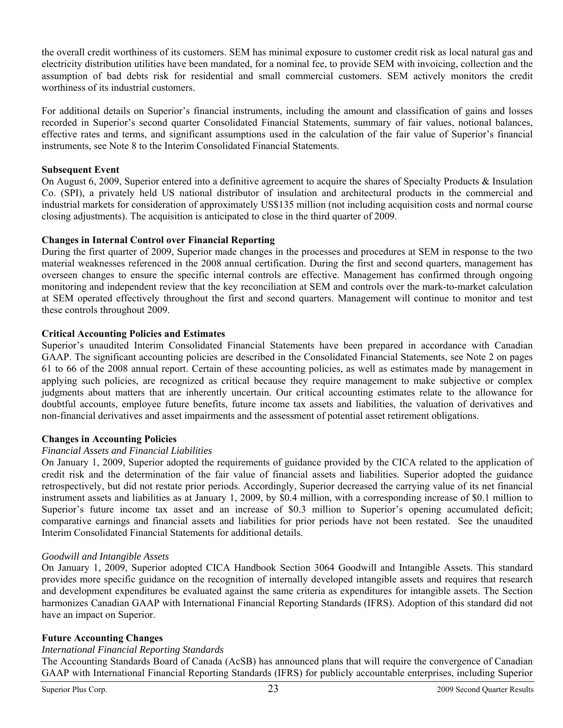the overall credit worthiness of its customers. SEM has minimal exposure to customer credit risk as local natural gas and electricity distribution utilities have been mandated, for a nominal fee, to provide SEM with invoicing, collection and the assumption of bad debts risk for residential and small commercial customers. SEM actively monitors the credit worthiness of its industrial customers.

For additional details on Superior's financial instruments, including the amount and classification of gains and losses recorded in Superior's second quarter Consolidated Financial Statements, summary of fair values, notional balances, effective rates and terms, and significant assumptions used in the calculation of the fair value of Superior's financial instruments, see Note 8 to the Interim Consolidated Financial Statements.

### **Subsequent Event**

On August 6, 2009, Superior entered into a definitive agreement to acquire the shares of Specialty Products & Insulation Co. (SPI), a privately held US national distributor of insulation and architectural products in the commercial and industrial markets for consideration of approximately US\$135 million (not including acquisition costs and normal course closing adjustments). The acquisition is anticipated to close in the third quarter of 2009.

### **Changes in Internal Control over Financial Reporting**

During the first quarter of 2009, Superior made changes in the processes and procedures at SEM in response to the two material weaknesses referenced in the 2008 annual certification. During the first and second quarters, management has overseen changes to ensure the specific internal controls are effective. Management has confirmed through ongoing monitoring and independent review that the key reconciliation at SEM and controls over the mark-to-market calculation at SEM operated effectively throughout the first and second quarters. Management will continue to monitor and test these controls throughout 2009.

### **Critical Accounting Policies and Estimates**

Superior's unaudited Interim Consolidated Financial Statements have been prepared in accordance with Canadian GAAP. The significant accounting policies are described in the Consolidated Financial Statements, see Note 2 on pages 61 to 66 of the 2008 annual report. Certain of these accounting policies, as well as estimates made by management in applying such policies, are recognized as critical because they require management to make subjective or complex judgments about matters that are inherently uncertain. Our critical accounting estimates relate to the allowance for doubtful accounts, employee future benefits, future income tax assets and liabilities, the valuation of derivatives and non-financial derivatives and asset impairments and the assessment of potential asset retirement obligations.

#### **Changes in Accounting Policies**

## *Financial Assets and Financial Liabilities*

On January 1, 2009, Superior adopted the requirements of guidance provided by the CICA related to the application of credit risk and the determination of the fair value of financial assets and liabilities. Superior adopted the guidance retrospectively, but did not restate prior periods. Accordingly, Superior decreased the carrying value of its net financial instrument assets and liabilities as at January 1, 2009, by \$0.4 million, with a corresponding increase of \$0.1 million to Superior's future income tax asset and an increase of \$0.3 million to Superior's opening accumulated deficit; comparative earnings and financial assets and liabilities for prior periods have not been restated. See the unaudited Interim Consolidated Financial Statements for additional details.

#### *Goodwill and Intangible Assets*

On January 1, 2009, Superior adopted CICA Handbook Section 3064 Goodwill and Intangible Assets. This standard provides more specific guidance on the recognition of internally developed intangible assets and requires that research and development expenditures be evaluated against the same criteria as expenditures for intangible assets. The Section harmonizes Canadian GAAP with International Financial Reporting Standards (IFRS). Adoption of this standard did not have an impact on Superior.

#### **Future Accounting Changes**

#### *International Financial Reporting Standards*

The Accounting Standards Board of Canada (AcSB) has announced plans that will require the convergence of Canadian GAAP with International Financial Reporting Standards (IFRS) for publicly accountable enterprises, including Superior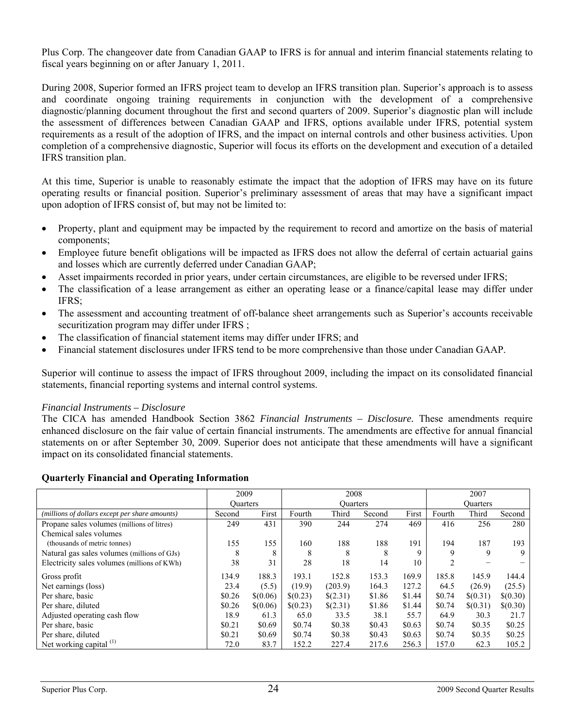Plus Corp. The changeover date from Canadian GAAP to IFRS is for annual and interim financial statements relating to fiscal years beginning on or after January 1, 2011.

During 2008, Superior formed an IFRS project team to develop an IFRS transition plan. Superior's approach is to assess and coordinate ongoing training requirements in conjunction with the development of a comprehensive diagnostic/planning document throughout the first and second quarters of 2009. Superior's diagnostic plan will include the assessment of differences between Canadian GAAP and IFRS, options available under IFRS, potential system requirements as a result of the adoption of IFRS, and the impact on internal controls and other business activities. Upon completion of a comprehensive diagnostic, Superior will focus its efforts on the development and execution of a detailed IFRS transition plan.

At this time, Superior is unable to reasonably estimate the impact that the adoption of IFRS may have on its future operating results or financial position. Superior's preliminary assessment of areas that may have a significant impact upon adoption of IFRS consist of, but may not be limited to:

- Property, plant and equipment may be impacted by the requirement to record and amortize on the basis of material components;
- Employee future benefit obligations will be impacted as IFRS does not allow the deferral of certain actuarial gains and losses which are currently deferred under Canadian GAAP;
- Asset impairments recorded in prior years, under certain circumstances, are eligible to be reversed under IFRS;
- The classification of a lease arrangement as either an operating lease or a finance/capital lease may differ under IFRS;
- The assessment and accounting treatment of off-balance sheet arrangements such as Superior's accounts receivable securitization program may differ under IFRS ;
- The classification of financial statement items may differ under IFRS; and
- Financial statement disclosures under IFRS tend to be more comprehensive than those under Canadian GAAP.

Superior will continue to assess the impact of IFRS throughout 2009, including the impact on its consolidated financial statements, financial reporting systems and internal control systems.

#### *Financial Instruments – Disclosure*

The CICA has amended Handbook Section 3862 *Financial Instruments – Disclosure.* These amendments require enhanced disclosure on the fair value of certain financial instruments. The amendments are effective for annual financial statements on or after September 30, 2009. Superior does not anticipate that these amendments will have a significant impact on its consolidated financial statements.

#### **Quarterly Financial and Operating Information**

|                                                | 2009            |          | 2008            |          |        |          | 2007   |          |          |
|------------------------------------------------|-----------------|----------|-----------------|----------|--------|----------|--------|----------|----------|
|                                                | <b>Ouarters</b> |          | <b>Ouarters</b> |          |        | Quarters |        |          |          |
| (millions of dollars except per share amounts) | Second          | First    | Fourth          | Third    | Second | First    | Fourth | Third    | Second   |
| Propane sales volumes (millions of litres)     | 249             | 431      | 390             | 244      | 274    | 469      | 416    | 256      | 280      |
| Chemical sales volumes                         |                 |          |                 |          |        |          |        |          |          |
| (thousands of metric tonnes)                   | 155             | 155      | 160             | 188      | 188    | 191      | 194    | 187      | 193      |
| Natural gas sales volumes (millions of GJs)    | 8               | 8        | 8               | 8        | 8      | 9        | 9      | 9        | 9        |
| Electricity sales volumes (millions of KWh)    | 38              | 31       | 28              | 18       | 14     | 10       |        |          |          |
| Gross profit                                   | 134.9           | 188.3    | 193.1           | 152.8    | 153.3  | 169.9    | 185.8  | 145.9    | 144.4    |
| Net earnings (loss)                            | 23.4            | (5.5)    | (19.9)          | (203.9)  | 164.3  | 127.2    | 64.5   | (26.9)   | (25.5)   |
| Per share, basic                               | \$0.26          | \$(0.06) | \$(0.23)        | \$(2.31) | \$1.86 | \$1.44   | \$0.74 | \$(0.31) | \$(0.30) |
| Per share, diluted                             | \$0.26          | \$(0.06) | \$(0.23)        | \$(2.31) | \$1.86 | \$1.44   | \$0.74 | \$(0.31) | \$(0.30) |
| Adjusted operating cash flow                   | 18.9            | 61.3     | 65.0            | 33.5     | 38.1   | 55.7     | 64.9   | 30.3     | 21.7     |
| Per share, basic                               | \$0.21          | \$0.69   | \$0.74          | \$0.38   | \$0.43 | \$0.63   | \$0.74 | \$0.35   | \$0.25   |
| Per share, diluted                             | \$0.21          | \$0.69   | \$0.74          | \$0.38   | \$0.43 | \$0.63   | \$0.74 | \$0.35   | \$0.25   |
| Net working capital <sup>(1)</sup>             | 72.0            | 83.7     | 152.2           | 227.4    | 217.6  | 256.3    | 157.0  | 62.3     | 105.2    |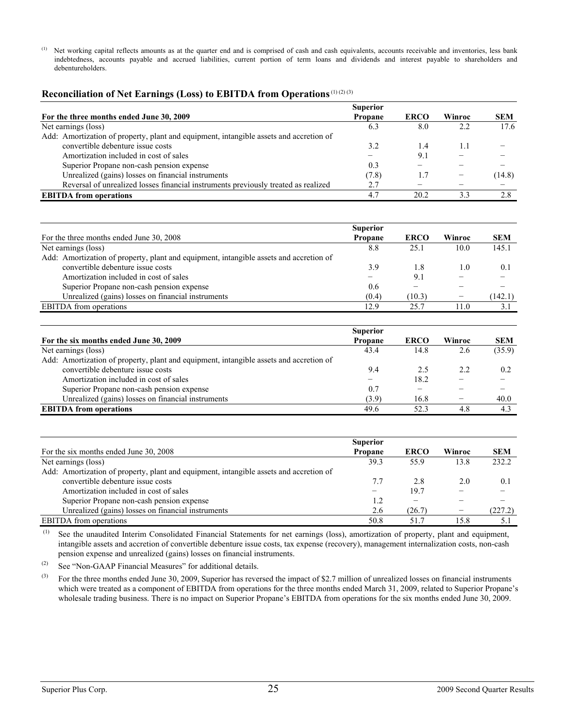<sup>(1)</sup> Net working capital reflects amounts as at the quarter end and is comprised of cash and cash equivalents, accounts receivable and inventories, less bank indebtedness, accounts payable and accrued liabilities, current portion of term loans and dividends and interest payable to shareholders and debentureholders.

#### **Reconciliation of Net Earnings (Loss) to EBITDA from Operations** (1) (2) (3)

|                                                                                        | <b>Superior</b> |               |                |            |
|----------------------------------------------------------------------------------------|-----------------|---------------|----------------|------------|
| For the three months ended June 30, 2009                                               | Propane         | <b>ERCO</b>   | Winroc         | <b>SEM</b> |
| Net earnings (loss)                                                                    | 6.3             | 8.0           | 2.2            | 17.6       |
| Add: Amortization of property, plant and equipment, intangible assets and accretion of |                 |               |                |            |
| convertible debenture issue costs                                                      | 3.2             | $\mathcal{A}$ | 1.1            |            |
| Amortization included in cost of sales                                                 |                 | 9.1           |                |            |
| Superior Propane non-cash pension expense                                              | 0.3             |               |                |            |
| Unrealized (gains) losses on financial instruments                                     | (7.8)           | 1.7           | -              | (14.8)     |
| Reversal of unrealized losses financial instruments previously treated as realized     | 2.7             |               |                |            |
| <b>EBITDA</b> from operations                                                          | 4.7             | 20.2          | 3 <sup>3</sup> | 2.8        |

|                                                                                        | <b>Superior</b> |             |        |            |
|----------------------------------------------------------------------------------------|-----------------|-------------|--------|------------|
| For the three months ended June 30, 2008                                               | Propane         | <b>ERCO</b> | Winroc | <b>SEM</b> |
| Net earnings (loss)                                                                    | 8.8             | 25.1        | 10.0   | 145.1      |
| Add: Amortization of property, plant and equipment, intangible assets and accretion of |                 |             |        |            |
| convertible debenture issue costs                                                      | 3.9             | 1.8         | 1.0    | $\Omega$ . |
| Amortization included in cost of sales                                                 |                 | 9.1         |        |            |
| Superior Propane non-cash pension expense                                              | 0.6             |             |        |            |
| Unrealized (gains) losses on financial instruments                                     | (0.4)           | (10.3)      |        | (142.1)    |
| <b>EBITDA</b> from operations                                                          | 12.9            | 25.7        | 11 0   |            |

|                                                                                        | <b>Superior</b> |             |        |            |
|----------------------------------------------------------------------------------------|-----------------|-------------|--------|------------|
| For the six months ended June 30, 2009                                                 | Propane         | <b>ERCO</b> | Winroc | <b>SEM</b> |
| Net earnings (loss)                                                                    | 43.4            | 14.8        | 2.6    | (35.9)     |
| Add: Amortization of property, plant and equipment, intangible assets and accretion of |                 |             |        |            |
| convertible debenture issue costs                                                      | 9.4             | 2.5         | 2.2    | 0.2        |
| Amortization included in cost of sales                                                 |                 | 18.2        |        |            |
| Superior Propane non-cash pension expense                                              | 0.7             |             |        |            |
| Unrealized (gains) losses on financial instruments                                     | (3.9)           | 16.8        |        | 40.0       |
| <b>EBITDA</b> from operations                                                          | 49.6            | 52.3        | 4.8    | 4.3        |

|                                                                                        | <b>Superior</b> |             |        |            |
|----------------------------------------------------------------------------------------|-----------------|-------------|--------|------------|
| For the six months ended June 30, 2008                                                 | Propane         | <b>ERCO</b> | Winroc | <b>SEM</b> |
| Net earnings (loss)                                                                    | 39.3            | 55.9        | 13.8   | 232.2      |
| Add: Amortization of property, plant and equipment, intangible assets and accretion of |                 |             |        |            |
| convertible debenture issue costs                                                      | 7.7             | 2.8         | 2.0    | 0.1        |
| Amortization included in cost of sales                                                 | -               | 19.7        |        |            |
| Superior Propane non-cash pension expense                                              | 1.2             |             |        |            |
| Unrealized (gains) losses on financial instruments                                     | 2.6             | (26.7)      |        | (227.2)    |
| <b>EBITDA</b> from operations                                                          | 50.8            | 51.7        | 15.8   |            |

 (1) See the unaudited Interim Consolidated Financial Statements for net earnings (loss), amortization of property, plant and equipment, intangible assets and accretion of convertible debenture issue costs, tax expense (recovery), management internalization costs, non-cash pension expense and unrealized (gains) losses on financial instruments.

(2) See "Non-GAAP Financial Measures" for additional details.

(3) For the three months ended June 30, 2009, Superior has reversed the impact of \$2.7 million of unrealized losses on financial instruments which were treated as a component of EBITDA from operations for the three months ended March 31, 2009, related to Superior Propane's wholesale trading business. There is no impact on Superior Propane's EBITDA from operations for the six months ended June 30, 2009.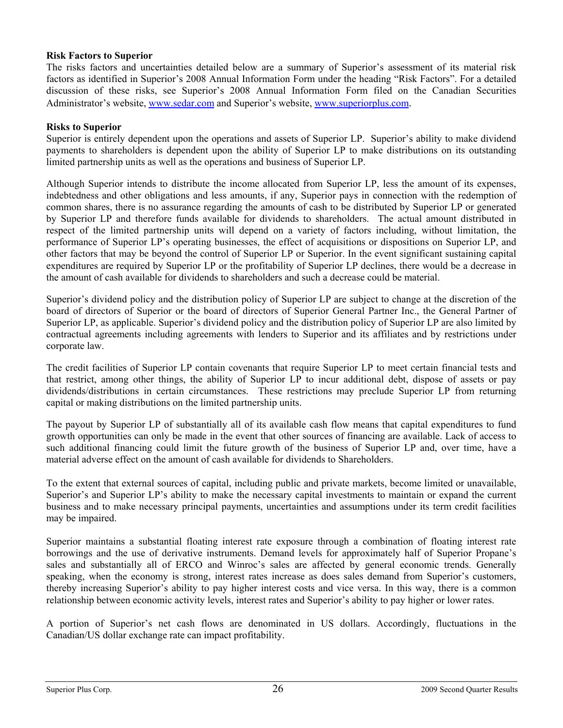## **Risk Factors to Superior**

The risks factors and uncertainties detailed below are a summary of Superior's assessment of its material risk factors as identified in Superior's 2008 Annual Information Form under the heading "Risk Factors". For a detailed discussion of these risks, see Superior's 2008 Annual Information Form filed on the Canadian Securities Administrator's website, [www.sedar.com](http://www.sedar.com/) and Superior's website, [www.superiorplus.com.](http://www.superiorplus.com/)

### **Risks to Superior**

Superior is entirely dependent upon the operations and assets of Superior LP. Superior's ability to make dividend payments to shareholders is dependent upon the ability of Superior LP to make distributions on its outstanding limited partnership units as well as the operations and business of Superior LP.

Although Superior intends to distribute the income allocated from Superior LP, less the amount of its expenses, indebtedness and other obligations and less amounts, if any, Superior pays in connection with the redemption of common shares, there is no assurance regarding the amounts of cash to be distributed by Superior LP or generated by Superior LP and therefore funds available for dividends to shareholders. The actual amount distributed in respect of the limited partnership units will depend on a variety of factors including, without limitation, the performance of Superior LP's operating businesses, the effect of acquisitions or dispositions on Superior LP, and other factors that may be beyond the control of Superior LP or Superior. In the event significant sustaining capital expenditures are required by Superior LP or the profitability of Superior LP declines, there would be a decrease in the amount of cash available for dividends to shareholders and such a decrease could be material.

Superior's dividend policy and the distribution policy of Superior LP are subject to change at the discretion of the board of directors of Superior or the board of directors of Superior General Partner Inc., the General Partner of Superior LP, as applicable. Superior's dividend policy and the distribution policy of Superior LP are also limited by contractual agreements including agreements with lenders to Superior and its affiliates and by restrictions under corporate law.

The credit facilities of Superior LP contain covenants that require Superior LP to meet certain financial tests and that restrict, among other things, the ability of Superior LP to incur additional debt, dispose of assets or pay dividends/distributions in certain circumstances. These restrictions may preclude Superior LP from returning capital or making distributions on the limited partnership units.

The payout by Superior LP of substantially all of its available cash flow means that capital expenditures to fund growth opportunities can only be made in the event that other sources of financing are available. Lack of access to such additional financing could limit the future growth of the business of Superior LP and, over time, have a material adverse effect on the amount of cash available for dividends to Shareholders.

To the extent that external sources of capital, including public and private markets, become limited or unavailable, Superior's and Superior LP's ability to make the necessary capital investments to maintain or expand the current business and to make necessary principal payments, uncertainties and assumptions under its term credit facilities may be impaired.

Superior maintains a substantial floating interest rate exposure through a combination of floating interest rate borrowings and the use of derivative instruments. Demand levels for approximately half of Superior Propane's sales and substantially all of ERCO and Winroc's sales are affected by general economic trends. Generally speaking, when the economy is strong, interest rates increase as does sales demand from Superior's customers, thereby increasing Superior's ability to pay higher interest costs and vice versa. In this way, there is a common relationship between economic activity levels, interest rates and Superior's ability to pay higher or lower rates.

A portion of Superior's net cash flows are denominated in US dollars. Accordingly, fluctuations in the Canadian/US dollar exchange rate can impact profitability.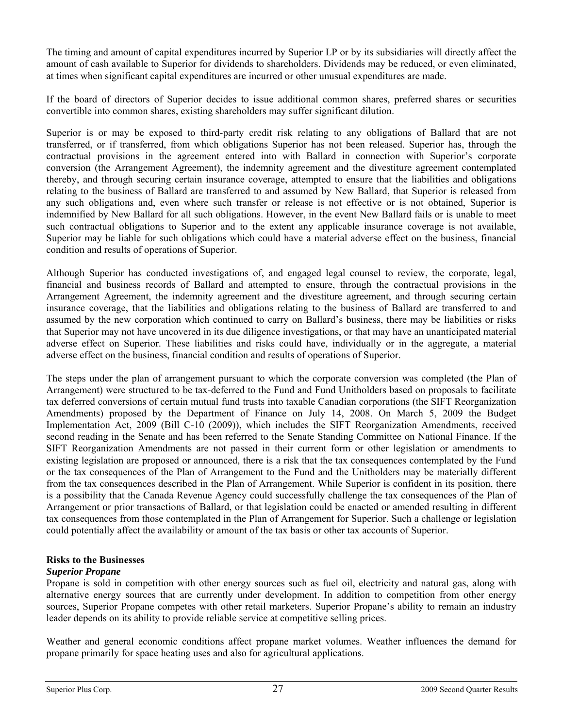The timing and amount of capital expenditures incurred by Superior LP or by its subsidiaries will directly affect the amount of cash available to Superior for dividends to shareholders. Dividends may be reduced, or even eliminated, at times when significant capital expenditures are incurred or other unusual expenditures are made.

If the board of directors of Superior decides to issue additional common shares, preferred shares or securities convertible into common shares, existing shareholders may suffer significant dilution.

Superior is or may be exposed to third-party credit risk relating to any obligations of Ballard that are not transferred, or if transferred, from which obligations Superior has not been released. Superior has, through the contractual provisions in the agreement entered into with Ballard in connection with Superior's corporate conversion (the Arrangement Agreement), the indemnity agreement and the divestiture agreement contemplated thereby, and through securing certain insurance coverage, attempted to ensure that the liabilities and obligations relating to the business of Ballard are transferred to and assumed by New Ballard, that Superior is released from any such obligations and, even where such transfer or release is not effective or is not obtained, Superior is indemnified by New Ballard for all such obligations. However, in the event New Ballard fails or is unable to meet such contractual obligations to Superior and to the extent any applicable insurance coverage is not available, Superior may be liable for such obligations which could have a material adverse effect on the business, financial condition and results of operations of Superior.

Although Superior has conducted investigations of, and engaged legal counsel to review, the corporate, legal, financial and business records of Ballard and attempted to ensure, through the contractual provisions in the Arrangement Agreement, the indemnity agreement and the divestiture agreement, and through securing certain insurance coverage, that the liabilities and obligations relating to the business of Ballard are transferred to and assumed by the new corporation which continued to carry on Ballard's business, there may be liabilities or risks that Superior may not have uncovered in its due diligence investigations, or that may have an unanticipated material adverse effect on Superior. These liabilities and risks could have, individually or in the aggregate, a material adverse effect on the business, financial condition and results of operations of Superior.

The steps under the plan of arrangement pursuant to which the corporate conversion was completed (the Plan of Arrangement) were structured to be tax-deferred to the Fund and Fund Unitholders based on proposals to facilitate tax deferred conversions of certain mutual fund trusts into taxable Canadian corporations (the SIFT Reorganization Amendments) proposed by the Department of Finance on July 14, 2008. On March 5, 2009 the Budget Implementation Act, 2009 (Bill C-10 (2009)), which includes the SIFT Reorganization Amendments, received second reading in the Senate and has been referred to the Senate Standing Committee on National Finance. If the SIFT Reorganization Amendments are not passed in their current form or other legislation or amendments to existing legislation are proposed or announced, there is a risk that the tax consequences contemplated by the Fund or the tax consequences of the Plan of Arrangement to the Fund and the Unitholders may be materially different from the tax consequences described in the Plan of Arrangement. While Superior is confident in its position, there is a possibility that the Canada Revenue Agency could successfully challenge the tax consequences of the Plan of Arrangement or prior transactions of Ballard, or that legislation could be enacted or amended resulting in different tax consequences from those contemplated in the Plan of Arrangement for Superior. Such a challenge or legislation could potentially affect the availability or amount of the tax basis or other tax accounts of Superior.

## **Risks to the Businesses**

## *Superior Propane*

Propane is sold in competition with other energy sources such as fuel oil, electricity and natural gas, along with alternative energy sources that are currently under development. In addition to competition from other energy sources, Superior Propane competes with other retail marketers. Superior Propane's ability to remain an industry leader depends on its ability to provide reliable service at competitive selling prices.

Weather and general economic conditions affect propane market volumes. Weather influences the demand for propane primarily for space heating uses and also for agricultural applications.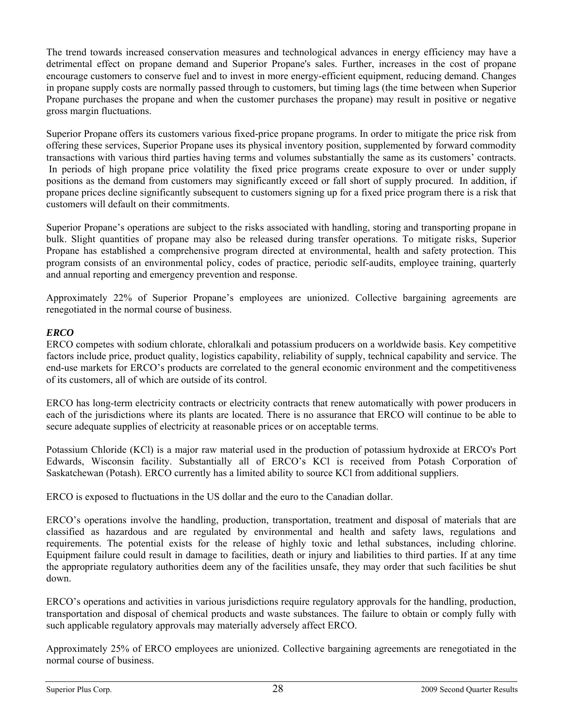The trend towards increased conservation measures and technological advances in energy efficiency may have a detrimental effect on propane demand and Superior Propane's sales. Further, increases in the cost of propane encourage customers to conserve fuel and to invest in more energy-efficient equipment, reducing demand. Changes in propane supply costs are normally passed through to customers, but timing lags (the time between when Superior Propane purchases the propane and when the customer purchases the propane) may result in positive or negative gross margin fluctuations.

Superior Propane offers its customers various fixed-price propane programs. In order to mitigate the price risk from offering these services, Superior Propane uses its physical inventory position, supplemented by forward commodity transactions with various third parties having terms and volumes substantially the same as its customers' contracts. In periods of high propane price volatility the fixed price programs create exposure to over or under supply positions as the demand from customers may significantly exceed or fall short of supply procured. In addition, if propane prices decline significantly subsequent to customers signing up for a fixed price program there is a risk that customers will default on their commitments.

Superior Propane's operations are subject to the risks associated with handling, storing and transporting propane in bulk. Slight quantities of propane may also be released during transfer operations. To mitigate risks, Superior Propane has established a comprehensive program directed at environmental, health and safety protection. This program consists of an environmental policy, codes of practice, periodic self-audits, employee training, quarterly and annual reporting and emergency prevention and response.

Approximately 22% of Superior Propane's employees are unionized. Collective bargaining agreements are renegotiated in the normal course of business.

## *ERCO*

ERCO competes with sodium chlorate, chloralkali and potassium producers on a worldwide basis. Key competitive factors include price, product quality, logistics capability, reliability of supply, technical capability and service. The end-use markets for ERCO's products are correlated to the general economic environment and the competitiveness of its customers, all of which are outside of its control.

ERCO has long-term electricity contracts or electricity contracts that renew automatically with power producers in each of the jurisdictions where its plants are located. There is no assurance that ERCO will continue to be able to secure adequate supplies of electricity at reasonable prices or on acceptable terms.

Potassium Chloride (KCl) is a major raw material used in the production of potassium hydroxide at ERCO's Port Edwards, Wisconsin facility. Substantially all of ERCO's KCl is received from Potash Corporation of Saskatchewan (Potash). ERCO currently has a limited ability to source KCl from additional suppliers.

ERCO is exposed to fluctuations in the US dollar and the euro to the Canadian dollar.

ERCO's operations involve the handling, production, transportation, treatment and disposal of materials that are classified as hazardous and are regulated by environmental and health and safety laws, regulations and requirements. The potential exists for the release of highly toxic and lethal substances, including chlorine. Equipment failure could result in damage to facilities, death or injury and liabilities to third parties. If at any time the appropriate regulatory authorities deem any of the facilities unsafe, they may order that such facilities be shut down.

ERCO's operations and activities in various jurisdictions require regulatory approvals for the handling, production, transportation and disposal of chemical products and waste substances. The failure to obtain or comply fully with such applicable regulatory approvals may materially adversely affect ERCO.

Approximately 25% of ERCO employees are unionized. Collective bargaining agreements are renegotiated in the normal course of business.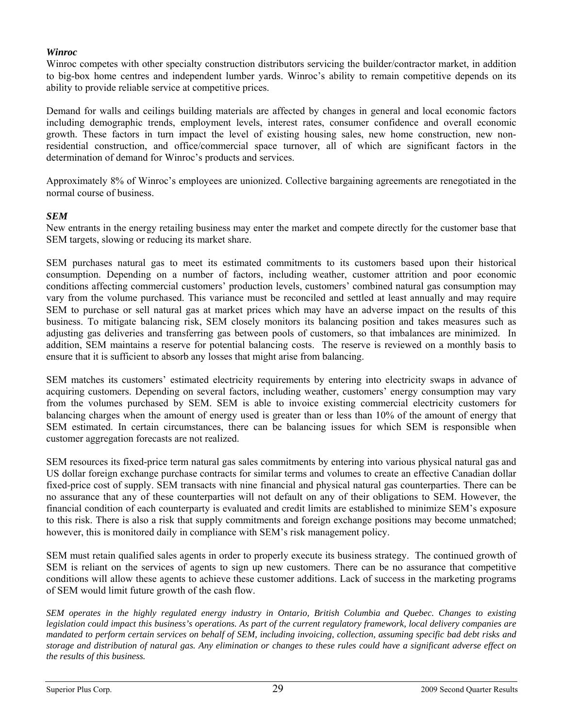### *Winroc*

Winroc competes with other specialty construction distributors servicing the builder/contractor market, in addition to big-box home centres and independent lumber yards. Winroc's ability to remain competitive depends on its ability to provide reliable service at competitive prices.

Demand for walls and ceilings building materials are affected by changes in general and local economic factors including demographic trends, employment levels, interest rates, consumer confidence and overall economic growth. These factors in turn impact the level of existing housing sales, new home construction, new nonresidential construction, and office/commercial space turnover, all of which are significant factors in the determination of demand for Winroc's products and services.

Approximately 8% of Winroc's employees are unionized. Collective bargaining agreements are renegotiated in the normal course of business.

### *SEM*

New entrants in the energy retailing business may enter the market and compete directly for the customer base that SEM targets, slowing or reducing its market share.

SEM purchases natural gas to meet its estimated commitments to its customers based upon their historical consumption. Depending on a number of factors, including weather, customer attrition and poor economic conditions affecting commercial customers' production levels, customers' combined natural gas consumption may vary from the volume purchased. This variance must be reconciled and settled at least annually and may require SEM to purchase or sell natural gas at market prices which may have an adverse impact on the results of this business. To mitigate balancing risk, SEM closely monitors its balancing position and takes measures such as adjusting gas deliveries and transferring gas between pools of customers, so that imbalances are minimized. In addition, SEM maintains a reserve for potential balancing costs. The reserve is reviewed on a monthly basis to ensure that it is sufficient to absorb any losses that might arise from balancing.

SEM matches its customers' estimated electricity requirements by entering into electricity swaps in advance of acquiring customers. Depending on several factors, including weather, customers' energy consumption may vary from the volumes purchased by SEM. SEM is able to invoice existing commercial electricity customers for balancing charges when the amount of energy used is greater than or less than 10% of the amount of energy that SEM estimated. In certain circumstances, there can be balancing issues for which SEM is responsible when customer aggregation forecasts are not realized.

SEM resources its fixed-price term natural gas sales commitments by entering into various physical natural gas and US dollar foreign exchange purchase contracts for similar terms and volumes to create an effective Canadian dollar fixed-price cost of supply. SEM transacts with nine financial and physical natural gas counterparties. There can be no assurance that any of these counterparties will not default on any of their obligations to SEM. However, the financial condition of each counterparty is evaluated and credit limits are established to minimize SEM's exposure to this risk. There is also a risk that supply commitments and foreign exchange positions may become unmatched; however, this is monitored daily in compliance with SEM's risk management policy.

SEM must retain qualified sales agents in order to properly execute its business strategy. The continued growth of SEM is reliant on the services of agents to sign up new customers. There can be no assurance that competitive conditions will allow these agents to achieve these customer additions. Lack of success in the marketing programs of SEM would limit future growth of the cash flow.

*SEM operates in the highly regulated energy industry in Ontario, British Columbia and Quebec. Changes to existing legislation could impact this business's operations. As part of the current regulatory framework, local delivery companies are mandated to perform certain services on behalf of SEM, including invoicing, collection, assuming specific bad debt risks and storage and distribution of natural gas. Any elimination or changes to these rules could have a significant adverse effect on the results of this business.*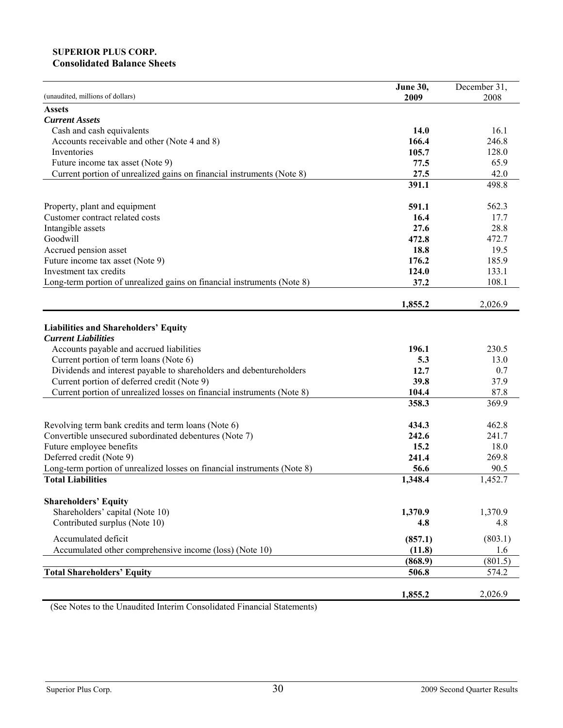## **SUPERIOR PLUS CORP. Consolidated Balance Sheets**

|                                                                           | June 30, | December 31, |
|---------------------------------------------------------------------------|----------|--------------|
| (unaudited, millions of dollars)                                          | 2009     | 2008         |
| <b>Assets</b>                                                             |          |              |
| <b>Current Assets</b>                                                     |          |              |
| Cash and cash equivalents                                                 | 14.0     | 16.1         |
| Accounts receivable and other (Note 4 and 8)                              | 166.4    | 246.8        |
| Inventories                                                               | 105.7    | 128.0        |
| Future income tax asset (Note 9)                                          | 77.5     | 65.9         |
| Current portion of unrealized gains on financial instruments (Note 8)     | 27.5     | 42.0         |
|                                                                           | 391.1    | 498.8        |
| Property, plant and equipment                                             | 591.1    | 562.3        |
| Customer contract related costs                                           | 16.4     | 17.7         |
| Intangible assets                                                         | 27.6     | 28.8         |
| Goodwill                                                                  | 472.8    | 472.7        |
| Accrued pension asset                                                     | 18.8     | 19.5         |
| Future income tax asset (Note 9)                                          | 176.2    | 185.9        |
| Investment tax credits                                                    | 124.0    | 133.1        |
| Long-term portion of unrealized gains on financial instruments (Note 8)   | 37.2     | 108.1        |
|                                                                           |          |              |
|                                                                           | 1,855.2  | 2,026.9      |
|                                                                           |          |              |
| <b>Liabilities and Shareholders' Equity</b><br><b>Current Liabilities</b> |          |              |
| Accounts payable and accrued liabilities                                  | 196.1    | 230.5        |
| Current portion of term loans (Note 6)                                    | 5.3      | 13.0         |
| Dividends and interest payable to shareholders and debentureholders       | 12.7     | 0.7          |
| Current portion of deferred credit (Note 9)                               | 39.8     | 37.9         |
| Current portion of unrealized losses on financial instruments (Note 8)    | 104.4    | 87.8         |
|                                                                           | 358.3    | 369.9        |
|                                                                           |          |              |
| Revolving term bank credits and term loans (Note 6)                       | 434.3    | 462.8        |
| Convertible unsecured subordinated debentures (Note 7)                    | 242.6    | 241.7        |
| Future employee benefits                                                  | 15.2     | 18.0         |
| Deferred credit (Note 9)                                                  | 241.4    | 269.8        |
| Long-term portion of unrealized losses on financial instruments (Note 8)  | 56.6     | 90.5         |
| <b>Total Liabilities</b>                                                  | 1,348.4  | 1,452.7      |
|                                                                           |          |              |
| <b>Shareholders' Equity</b><br>Shareholders' capital (Note 10)            |          | 1,370.9      |
|                                                                           | 1,370.9  |              |
| Contributed surplus (Note 10)                                             | 4.8      | 4.8          |
| Accumulated deficit                                                       | (857.1)  | (803.1)      |
| Accumulated other comprehensive income (loss) (Note 10)                   | (11.8)   | 1.6          |
|                                                                           | (868.9)  | (801.5)      |
| <b>Total Shareholders' Equity</b>                                         | 506.8    | 574.2        |
|                                                                           |          |              |
|                                                                           | 1,855.2  | 2,026.9      |

(See Notes to the Unaudited Interim Consolidated Financial Statements)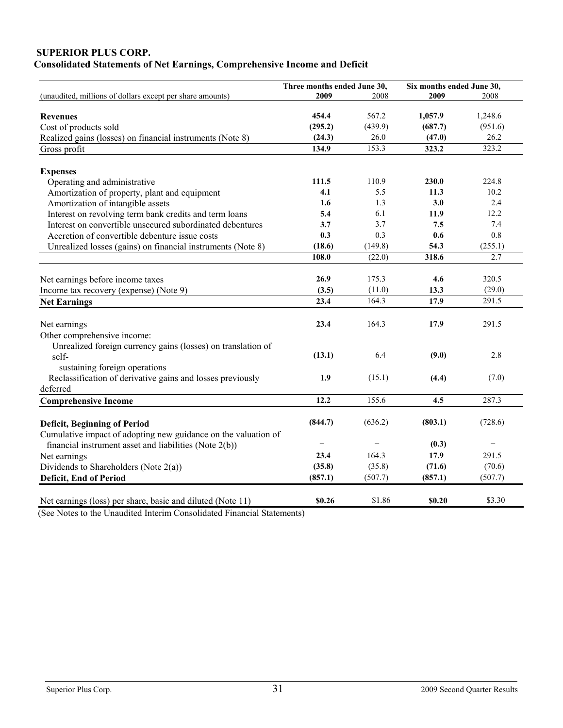## **SUPERIOR PLUS CORP. Consolidated Statements of Net Earnings, Comprehensive Income and Deficit**

|                                                                                                | Three months ended June 30, |                          | Six months ended June 30, |         |
|------------------------------------------------------------------------------------------------|-----------------------------|--------------------------|---------------------------|---------|
| (unaudited, millions of dollars except per share amounts)                                      | 2009                        | 2008                     | 2009                      | 2008    |
| <b>Revenues</b>                                                                                | 454.4                       | 567.2                    | 1,057.9                   | 1,248.6 |
| Cost of products sold                                                                          | (295.2)                     | (439.9)                  | (687.7)                   | (951.6) |
| Realized gains (losses) on financial instruments (Note 8)                                      | (24.3)                      | 26.0                     | (47.0)                    | 26.2    |
| Gross profit                                                                                   | 134.9                       | 153.3                    | 323.2                     | 323.2   |
|                                                                                                |                             |                          |                           |         |
| <b>Expenses</b>                                                                                |                             |                          |                           |         |
| Operating and administrative                                                                   | 111.5                       | 110.9                    | 230.0                     | 224.8   |
| Amortization of property, plant and equipment                                                  | 4.1                         | 5.5                      | 11.3                      | 10.2    |
| Amortization of intangible assets                                                              | 1.6                         | 1.3                      | 3.0                       | 2.4     |
| Interest on revolving term bank credits and term loans                                         | 5.4                         | 6.1                      | 11.9                      | 12.2    |
| Interest on convertible unsecured subordinated debentures                                      | 3.7                         | 3.7                      | 7.5                       | 7.4     |
| Accretion of convertible debenture issue costs                                                 | 0.3                         | 0.3                      | 0.6                       | 0.8     |
| Unrealized losses (gains) on financial instruments (Note 8)                                    | (18.6)                      | (149.8)                  | 54.3                      | (255.1) |
|                                                                                                | 108.0                       | (22.0)                   | 318.6                     | 2.7     |
|                                                                                                |                             |                          |                           |         |
| Net earnings before income taxes                                                               | 26.9                        | 175.3                    | 4.6                       | 320.5   |
| Income tax recovery (expense) (Note 9)                                                         | (3.5)                       | (11.0)                   | 13.3                      | (29.0)  |
| <b>Net Earnings</b>                                                                            | 23.4                        | 164.3                    | 17.9                      | 291.5   |
|                                                                                                |                             |                          |                           |         |
| Net earnings                                                                                   | 23.4                        | 164.3                    | 17.9                      | 291.5   |
| Other comprehensive income:                                                                    |                             |                          |                           |         |
| Unrealized foreign currency gains (losses) on translation of                                   | (13.1)                      | 6.4                      | (9.0)                     | 2.8     |
| self-                                                                                          |                             |                          |                           |         |
| sustaining foreign operations                                                                  |                             |                          |                           |         |
| Reclassification of derivative gains and losses previously                                     | 1.9                         | (15.1)                   | (4.4)                     | (7.0)   |
| deferred                                                                                       | 12.2                        | 155.6                    |                           | 287.3   |
| <b>Comprehensive Income</b>                                                                    |                             |                          | 4.5                       |         |
|                                                                                                | (844.7)                     | (636.2)                  | (803.1)                   | (728.6) |
| Deficit, Beginning of Period<br>Cumulative impact of adopting new guidance on the valuation of |                             |                          |                           |         |
|                                                                                                | $\overline{\phantom{0}}$    | $\overline{\phantom{0}}$ | (0.3)                     |         |
| financial instrument asset and liabilities (Note $2(b)$ )<br>Net earnings                      | 23.4                        | 164.3                    | 17.9                      | 291.5   |
| Dividends to Shareholders (Note $2(a)$ )                                                       | (35.8)                      | (35.8)                   | (71.6)                    | (70.6)  |
| Deficit, End of Period                                                                         | (857.1)                     | (507.7)                  | (857.1)                   | (507.7) |
|                                                                                                |                             |                          |                           |         |
| Net earnings (loss) per share, basic and diluted (Note 11)                                     | \$0.26                      | \$1.86                   | \$0.20                    | \$3.30  |
|                                                                                                |                             |                          |                           |         |

(See Notes to the Unaudited Interim Consolidated Financial Statements)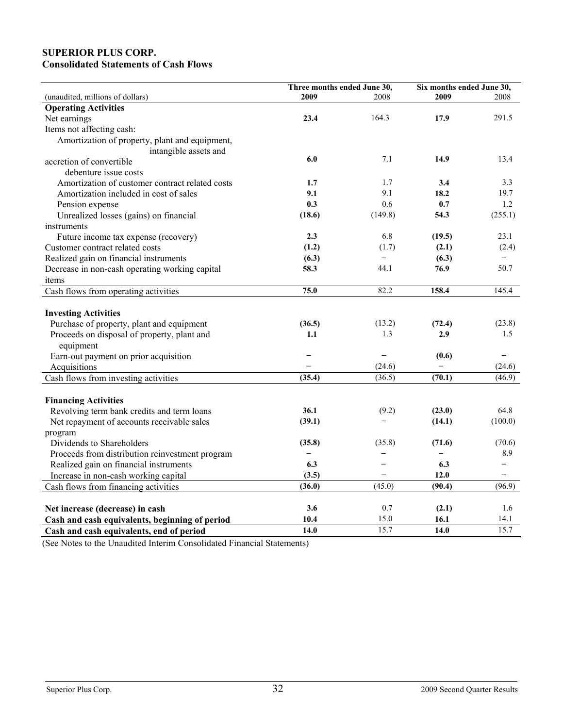## **SUPERIOR PLUS CORP. Consolidated Statements of Cash Flows**

|                                                 |                          | Three months ended June 30, |        | Six months ended June 30, |
|-------------------------------------------------|--------------------------|-----------------------------|--------|---------------------------|
| (unaudited, millions of dollars)                | 2009                     | 2008                        | 2009   | 2008                      |
| <b>Operating Activities</b>                     |                          |                             |        |                           |
| Net earnings                                    | 23.4                     | 164.3                       | 17.9   | 291.5                     |
| Items not affecting cash:                       |                          |                             |        |                           |
| Amortization of property, plant and equipment,  |                          |                             |        |                           |
| intangible assets and                           |                          |                             |        |                           |
| accretion of convertible                        | 6.0                      | 7.1                         | 14.9   | 13.4                      |
| debenture issue costs                           |                          |                             |        |                           |
| Amortization of customer contract related costs | 1.7                      | 1.7                         | 3.4    | 3.3                       |
| Amortization included in cost of sales          | 9.1                      | 9.1                         | 18.2   | 19.7                      |
| Pension expense                                 | 0.3                      | 0.6                         | 0.7    | 1.2                       |
| Unrealized losses (gains) on financial          | (18.6)                   | (149.8)                     | 54.3   | (255.1)                   |
| instruments                                     |                          |                             |        |                           |
| Future income tax expense (recovery)            | 2.3                      | 6.8                         | (19.5) | 23.1                      |
| Customer contract related costs                 | (1.2)                    | (1.7)                       | (2.1)  | (2.4)                     |
| Realized gain on financial instruments          | (6.3)                    | $\overline{\phantom{0}}$    | (6.3)  |                           |
| Decrease in non-cash operating working capital  | 58.3                     | 44.1                        | 76.9   | 50.7                      |
| items                                           |                          |                             |        |                           |
| Cash flows from operating activities            | 75.0                     | 82.2                        | 158.4  | 145.4                     |
|                                                 |                          |                             |        |                           |
| <b>Investing Activities</b>                     |                          |                             |        |                           |
| Purchase of property, plant and equipment       | (36.5)                   | (13.2)                      | (72.4) | (23.8)                    |
| Proceeds on disposal of property, plant and     | 1.1                      | 1.3                         | 2.9    | 1.5                       |
| equipment                                       |                          |                             |        |                           |
| Earn-out payment on prior acquisition           |                          |                             | (0.6)  | $\overline{\phantom{0}}$  |
| Acquisitions                                    |                          | (24.6)                      |        | (24.6)                    |
| Cash flows from investing activities            | (35.4)                   | (36.5)                      | (70.1) | (46.9)                    |
|                                                 |                          |                             |        |                           |
| <b>Financing Activities</b>                     |                          |                             |        |                           |
| Revolving term bank credits and term loans      | 36.1                     | (9.2)                       | (23.0) | 64.8                      |
| Net repayment of accounts receivable sales      | (39.1)                   |                             | (14.1) | (100.0)                   |
| program                                         |                          |                             |        |                           |
| Dividends to Shareholders                       | (35.8)                   | (35.8)                      | (71.6) | (70.6)                    |
| Proceeds from distribution reinvestment program | $\overline{\phantom{0}}$ | $\overline{\phantom{0}}$    |        | 8.9                       |
| Realized gain on financial instruments          | 6.3                      |                             | 6.3    | -                         |
| Increase in non-cash working capital            | (3.5)                    | $\overline{\phantom{0}}$    | 12.0   | $\qquad \qquad -$         |
| Cash flows from financing activities            | (36.0)                   | (45.0)                      | (90.4) | (96.9)                    |
|                                                 |                          |                             |        |                           |
| Net increase (decrease) in cash                 | 3.6                      | 0.7                         | (2.1)  | 1.6                       |
| Cash and cash equivalents, beginning of period  | 10.4                     | 15.0                        | 16.1   | 14.1                      |
| Cash and cash equivalents, end of period        | 14.0                     | 15.7                        | 14.0   | 15.7                      |

(See Notes to the Unaudited Interim Consolidated Financial Statements)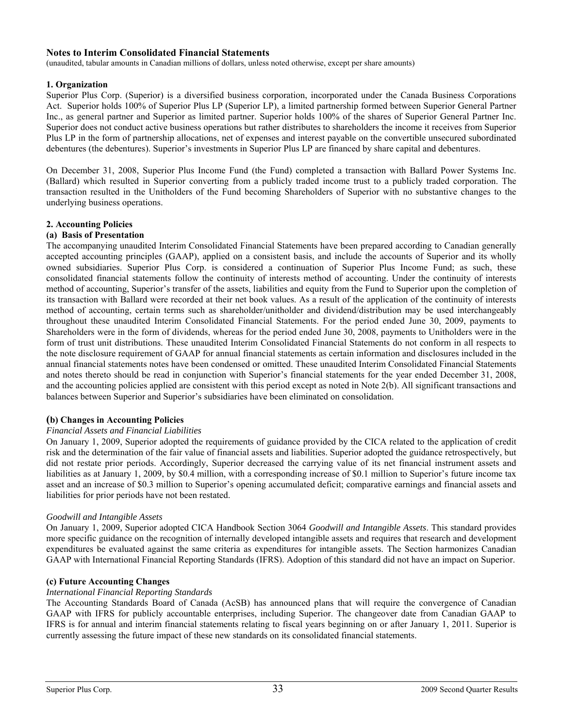#### **Notes to Interim Consolidated Financial Statements**

(unaudited, tabular amounts in Canadian millions of dollars, unless noted otherwise, except per share amounts)

#### **1. Organization**

Superior Plus Corp. (Superior) is a diversified business corporation, incorporated under the Canada Business Corporations Act. Superior holds 100% of Superior Plus LP (Superior LP), a limited partnership formed between Superior General Partner Inc., as general partner and Superior as limited partner. Superior holds 100% of the shares of Superior General Partner Inc. Superior does not conduct active business operations but rather distributes to shareholders the income it receives from Superior Plus LP in the form of partnership allocations, net of expenses and interest payable on the convertible unsecured subordinated debentures (the debentures). Superior's investments in Superior Plus LP are financed by share capital and debentures.

On December 31, 2008, Superior Plus Income Fund (the Fund) completed a transaction with Ballard Power Systems Inc. (Ballard) which resulted in Superior converting from a publicly traded income trust to a publicly traded corporation. The transaction resulted in the Unitholders of the Fund becoming Shareholders of Superior with no substantive changes to the underlying business operations.

#### **2. Accounting Policies**

#### **(a) Basis of Presentation**

The accompanying unaudited Interim Consolidated Financial Statements have been prepared according to Canadian generally accepted accounting principles (GAAP), applied on a consistent basis, and include the accounts of Superior and its wholly owned subsidiaries. Superior Plus Corp. is considered a continuation of Superior Plus Income Fund; as such, these consolidated financial statements follow the continuity of interests method of accounting. Under the continuity of interests method of accounting, Superior's transfer of the assets, liabilities and equity from the Fund to Superior upon the completion of its transaction with Ballard were recorded at their net book values. As a result of the application of the continuity of interests method of accounting, certain terms such as shareholder/unitholder and dividend/distribution may be used interchangeably throughout these unaudited Interim Consolidated Financial Statements. For the period ended June 30, 2009, payments to Shareholders were in the form of dividends, whereas for the period ended June 30, 2008, payments to Unitholders were in the form of trust unit distributions. These unaudited Interim Consolidated Financial Statements do not conform in all respects to the note disclosure requirement of GAAP for annual financial statements as certain information and disclosures included in the annual financial statements notes have been condensed or omitted. These unaudited Interim Consolidated Financial Statements and notes thereto should be read in conjunction with Superior's financial statements for the year ended December 31, 2008, and the accounting policies applied are consistent with this period except as noted in Note 2(b). All significant transactions and balances between Superior and Superior's subsidiaries have been eliminated on consolidation.

#### **(b) Changes in Accounting Policies**

#### *Financial Assets and Financial Liabilities*

On January 1, 2009, Superior adopted the requirements of guidance provided by the CICA related to the application of credit risk and the determination of the fair value of financial assets and liabilities. Superior adopted the guidance retrospectively, but did not restate prior periods. Accordingly, Superior decreased the carrying value of its net financial instrument assets and liabilities as at January 1, 2009, by \$0.4 million, with a corresponding increase of \$0.1 million to Superior's future income tax asset and an increase of \$0.3 million to Superior's opening accumulated deficit; comparative earnings and financial assets and liabilities for prior periods have not been restated.

#### *Goodwill and Intangible Assets*

On January 1, 2009, Superior adopted CICA Handbook Section 3064 *Goodwill and Intangible Assets*. This standard provides more specific guidance on the recognition of internally developed intangible assets and requires that research and development expenditures be evaluated against the same criteria as expenditures for intangible assets. The Section harmonizes Canadian GAAP with International Financial Reporting Standards (IFRS). Adoption of this standard did not have an impact on Superior.

#### **(c) Future Accounting Changes**

#### *International Financial Reporting Standards*

The Accounting Standards Board of Canada (AcSB) has announced plans that will require the convergence of Canadian GAAP with IFRS for publicly accountable enterprises, including Superior. The changeover date from Canadian GAAP to IFRS is for annual and interim financial statements relating to fiscal years beginning on or after January 1, 2011. Superior is currently assessing the future impact of these new standards on its consolidated financial statements.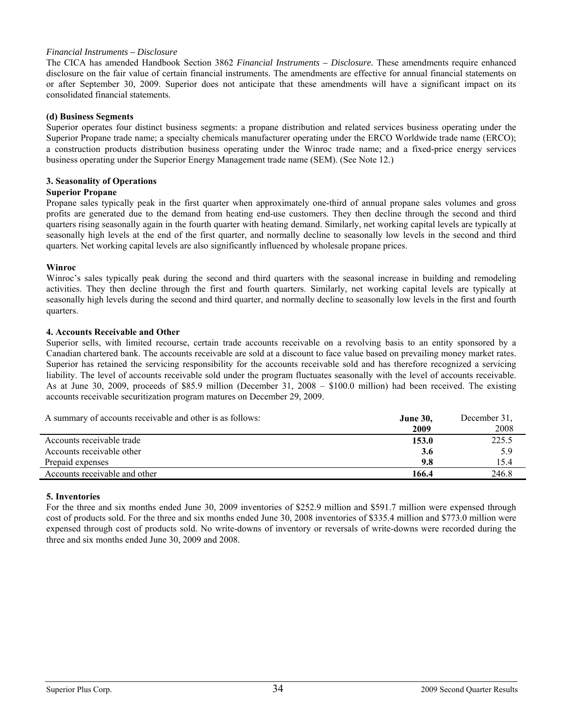#### *Financial Instruments – Disclosure*

The CICA has amended Handbook Section 3862 *Financial Instruments – Disclosure.* These amendments require enhanced disclosure on the fair value of certain financial instruments. The amendments are effective for annual financial statements on or after September 30, 2009. Superior does not anticipate that these amendments will have a significant impact on its consolidated financial statements.

#### **(d) Business Segments**

Superior operates four distinct business segments: a propane distribution and related services business operating under the Superior Propane trade name; a specialty chemicals manufacturer operating under the ERCO Worldwide trade name (ERCO); a construction products distribution business operating under the Winroc trade name; and a fixed-price energy services business operating under the Superior Energy Management trade name (SEM). (See Note 12.)

#### **3. Seasonality of Operations**

#### **Superior Propane**

Propane sales typically peak in the first quarter when approximately one-third of annual propane sales volumes and gross profits are generated due to the demand from heating end-use customers. They then decline through the second and third quarters rising seasonally again in the fourth quarter with heating demand. Similarly, net working capital levels are typically at seasonally high levels at the end of the first quarter, and normally decline to seasonally low levels in the second and third quarters. Net working capital levels are also significantly influenced by wholesale propane prices.

#### **Winroc**

Winroc's sales typically peak during the second and third quarters with the seasonal increase in building and remodeling activities. They then decline through the first and fourth quarters. Similarly, net working capital levels are typically at seasonally high levels during the second and third quarter, and normally decline to seasonally low levels in the first and fourth quarters.

#### **4. Accounts Receivable and Other**

Superior sells, with limited recourse, certain trade accounts receivable on a revolving basis to an entity sponsored by a Canadian chartered bank. The accounts receivable are sold at a discount to face value based on prevailing money market rates. Superior has retained the servicing responsibility for the accounts receivable sold and has therefore recognized a servicing liability. The level of accounts receivable sold under the program fluctuates seasonally with the level of accounts receivable. As at June 30, 2009, proceeds of \$85.9 million (December 31, 2008 – \$100.0 million) had been received. The existing accounts receivable securitization program matures on December 29, 2009.

| A summary of accounts receivable and other is as follows: | <b>June 30,</b> | December 31. |  |  |
|-----------------------------------------------------------|-----------------|--------------|--|--|
|                                                           | 2009            | 2008         |  |  |
| Accounts receivable trade                                 | 153.0           | 225.5        |  |  |
| Accounts receivable other                                 | 3.6             | 5.9          |  |  |
| Prepaid expenses                                          | 9.8             | 15.4         |  |  |
| Accounts receivable and other                             | 166.4           | 246.8        |  |  |

#### **5. Inventories**

For the three and six months ended June 30, 2009 inventories of \$252.9 million and \$591.7 million were expensed through cost of products sold. For the three and six months ended June 30, 2008 inventories of \$335.4 million and \$773.0 million were expensed through cost of products sold. No write-downs of inventory or reversals of write-downs were recorded during the three and six months ended June 30, 2009 and 2008.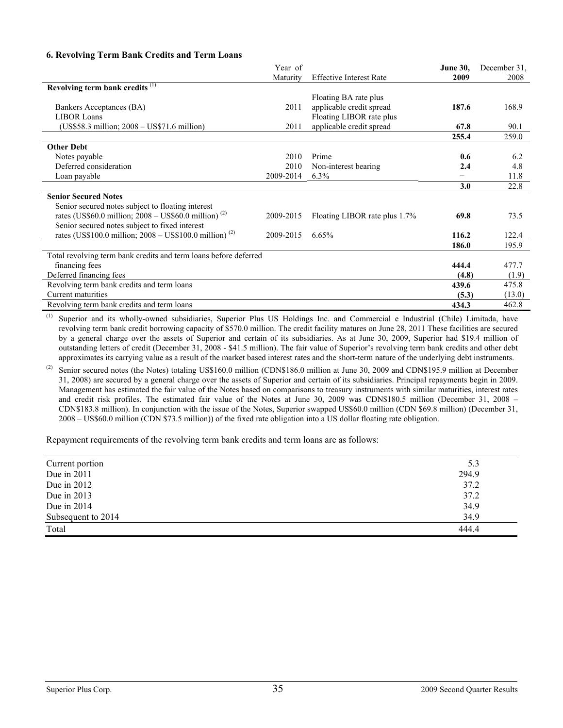#### **6. Revolving Term Bank Credits and Term Loans**

|                                                                     | Year of   |                                | <b>June 30,</b> | December 31. |
|---------------------------------------------------------------------|-----------|--------------------------------|-----------------|--------------|
|                                                                     | Maturity  | <b>Effective Interest Rate</b> | 2009            | 2008         |
| Revolving term bank credits <sup>(1)</sup>                          |           |                                |                 |              |
|                                                                     |           | Floating BA rate plus          |                 |              |
| Bankers Acceptances (BA)                                            | 2011      | applicable credit spread       | 187.6           | 168.9        |
| <b>LIBOR Loans</b>                                                  |           | Floating LIBOR rate plus       |                 |              |
| (US\$58.3 million; 2008 – US\$71.6 million)                         | 2011      | applicable credit spread       | 67.8            | 90.1         |
|                                                                     |           |                                | 255.4           | 259.0        |
| <b>Other Debt</b>                                                   |           |                                |                 |              |
| Notes payable                                                       | 2010      | Prime                          | 0.6             | 6.2          |
| Deferred consideration                                              | 2010      | Non-interest bearing           | 2.4             | 4.8          |
| Loan payable                                                        | 2009-2014 | $6.3\%$                        | -               | 11.8         |
|                                                                     |           |                                | 3.0             | 22.8         |
| <b>Senior Secured Notes</b>                                         |           |                                |                 |              |
| Senior secured notes subject to floating interest                   |           |                                |                 |              |
| rates (US\$60.0 million; $2008 - US$60.0$ million) <sup>(2)</sup>   | 2009-2015 | Floating LIBOR rate plus 1.7%  | 69.8            | 73.5         |
| Senior secured notes subject to fixed interest                      |           |                                |                 |              |
| rates (US\$100.0 million; $2008 - US$100.0$ million) <sup>(2)</sup> | 2009-2015 | 6.65%                          | 116.2           | 122.4        |
|                                                                     |           |                                | 186.0           | 195.9        |
| Total revolving term bank credits and term loans before deferred    |           |                                |                 |              |
| financing fees                                                      |           |                                | 444.4           | 477.7        |
| Deferred financing fees                                             |           |                                | (4.8)           | (1.9)        |
| Revolving term bank credits and term loans                          |           |                                | 439.6           | 475.8        |
| Current maturities                                                  |           |                                | (5.3)           | (13.0)       |
| Revolving term bank credits and term loans                          |           |                                | 434.3           | 462.8        |

(1) Superior and its wholly-owned subsidiaries, Superior Plus US Holdings Inc. and Commercial e Industrial (Chile) Limitada, have revolving term bank credit borrowing capacity of \$570.0 million. The credit facility matures on June 28, 2011 These facilities are secured by a general charge over the assets of Superior and certain of its subsidiaries. As at June 30, 2009, Superior had \$19.4 million of outstanding letters of credit (December 31, 2008 - \$41.5 million). The fair value of Superior's revolving term bank credits and other debt approximates its carrying value as a result of the market based interest rates and the short-term nature of the underlying debt instruments.

(2) Senior secured notes (the Notes) totaling US\$160.0 million (CDN\$186.0 million at June 30, 2009 and CDN\$195.9 million at December 31, 2008) are secured by a general charge over the assets of Superior and certain of its subsidiaries. Principal repayments begin in 2009. Management has estimated the fair value of the Notes based on comparisons to treasury instruments with similar maturities, interest rates and credit risk profiles. The estimated fair value of the Notes at June 30, 2009 was CDN\$180.5 million (December 31, 2008 – CDN\$183.8 million). In conjunction with the issue of the Notes, Superior swapped US\$60.0 million (CDN \$69.8 million) (December 31, 2008 – US\$60.0 million (CDN \$73.5 million)) of the fixed rate obligation into a US dollar floating rate obligation.

Repayment requirements of the revolving term bank credits and term loans are as follows:

| Current portion    | 5.3   |
|--------------------|-------|
| Due in $2011$      | 294.9 |
| Due in $2012$      | 37.2  |
| Due in $2013$      | 37.2  |
| Due in $2014$      | 34.9  |
| Subsequent to 2014 | 34.9  |
| Total              | 444.4 |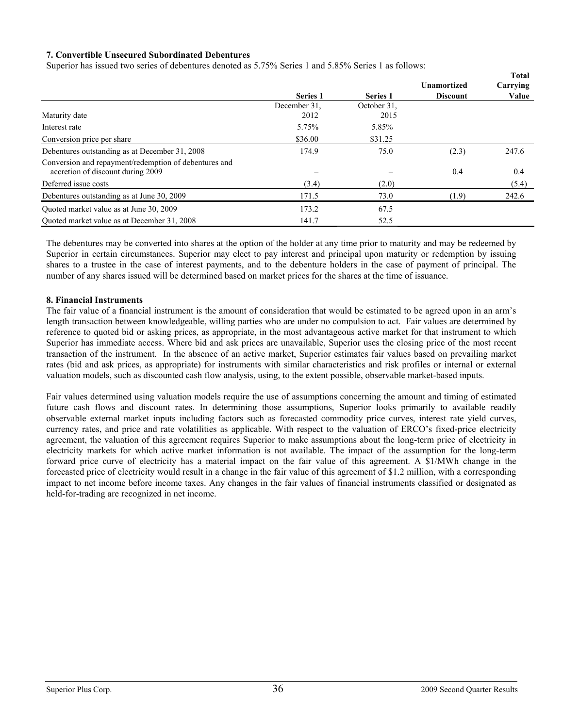#### **7. Convertible Unsecured Subordinated Debentures**

Superior has issued two series of debentures denoted as 5.75% Series 1 and 5.85% Series 1 as follows:

|                                                       |                 |                 |                 | .        |
|-------------------------------------------------------|-----------------|-----------------|-----------------|----------|
|                                                       |                 |                 | Unamortized     | Carrying |
|                                                       | <b>Series 1</b> | <b>Series 1</b> | <b>Discount</b> | Value    |
|                                                       | December 31.    | October 31.     |                 |          |
| Maturity date                                         | 2012            | 2015            |                 |          |
| Interest rate                                         | 5.75%           | 5.85%           |                 |          |
| Conversion price per share                            | \$36.00         | \$31.25         |                 |          |
| Debentures outstanding as at December 31, 2008        | 174.9           | 75.0            | (2.3)           | 247.6    |
| Conversion and repayment/redemption of debentures and |                 |                 |                 |          |
| accretion of discount during 2009                     |                 |                 | 0.4             | 0.4      |
| Deferred issue costs                                  | (3.4)           | (2.0)           |                 | (5.4)    |
| Debentures outstanding as at June 30, 2009            | 171.5           | 73.0            | (1.9)           | 242.6    |
| Quoted market value as at June 30, 2009               | 173.2           | 67.5            |                 |          |
| Ouoted market value as at December 31, 2008           | 141.7           | 52.5            |                 |          |

The debentures may be converted into shares at the option of the holder at any time prior to maturity and may be redeemed by Superior in certain circumstances. Superior may elect to pay interest and principal upon maturity or redemption by issuing shares to a trustee in the case of interest payments, and to the debenture holders in the case of payment of principal. The number of any shares issued will be determined based on market prices for the shares at the time of issuance.

#### **8. Financial Instruments**

The fair value of a financial instrument is the amount of consideration that would be estimated to be agreed upon in an arm's length transaction between knowledgeable, willing parties who are under no compulsion to act. Fair values are determined by reference to quoted bid or asking prices, as appropriate, in the most advantageous active market for that instrument to which Superior has immediate access. Where bid and ask prices are unavailable, Superior uses the closing price of the most recent transaction of the instrument. In the absence of an active market, Superior estimates fair values based on prevailing market rates (bid and ask prices, as appropriate) for instruments with similar characteristics and risk profiles or internal or external valuation models, such as discounted cash flow analysis, using, to the extent possible, observable market-based inputs.

Fair values determined using valuation models require the use of assumptions concerning the amount and timing of estimated future cash flows and discount rates. In determining those assumptions, Superior looks primarily to available readily observable external market inputs including factors such as forecasted commodity price curves, interest rate yield curves, currency rates, and price and rate volatilities as applicable. With respect to the valuation of ERCO's fixed-price electricity agreement, the valuation of this agreement requires Superior to make assumptions about the long-term price of electricity in electricity markets for which active market information is not available. The impact of the assumption for the long-term forward price curve of electricity has a material impact on the fair value of this agreement. A \$1/MWh change in the forecasted price of electricity would result in a change in the fair value of this agreement of \$1.2 million, with a corresponding impact to net income before income taxes. Any changes in the fair values of financial instruments classified or designated as held-for-trading are recognized in net income.

**Total**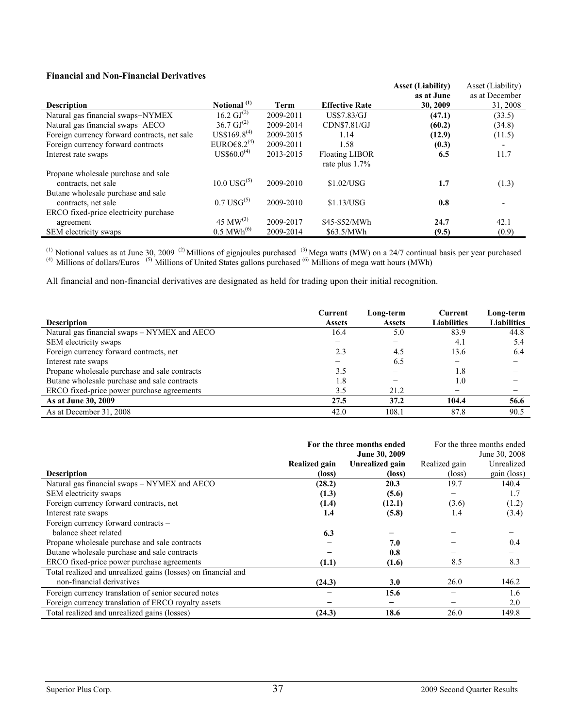#### **Financial and Non-Financial Derivatives**

| <b>Description</b>                           | Notional <sup>(1)</sup>    | <b>Term</b> | <b>Effective Rate</b>                   | <b>Asset (Liability)</b><br>as at June<br>30, 2009 | Asset (Liability)<br>as at December<br>31, 2008 |
|----------------------------------------------|----------------------------|-------------|-----------------------------------------|----------------------------------------------------|-------------------------------------------------|
| Natural gas financial swaps-NYMEX            | $16.2 \text{ GJ}^{(2)}$    | 2009-2011   | <b>US\$7.83/GJ</b>                      | (47.1)                                             | (33.5)                                          |
| Natural gas financial swaps-AECO             | $36.7 \,\mathrm{GJ}^{(2)}$ | 2009-2014   | CDN\$7.81/GJ                            | (60.2)                                             | (34.8)                                          |
| Foreign currency forward contracts, net sale | $US$169.8^{(4)}$           | 2009-2015   | 1.14                                    | (12.9)                                             | (11.5)                                          |
| Foreign currency forward contracts           | EURO€8.2 <sup>(4)</sup>    | 2009-2011   | 1.58                                    | (0.3)                                              |                                                 |
| Interest rate swaps                          | $US$60.0^{(4)}$            | 2013-2015   | <b>Floating LIBOR</b><br>rate plus 1.7% | 6.5                                                | 11.7                                            |
| Propane wholesale purchase and sale          |                            |             |                                         |                                                    |                                                 |
| contracts, net sale                          | $10.0$ USG <sup>(5)</sup>  | 2009-2010   | \$1.02/USG                              | 1.7                                                | (1.3)                                           |
| Butane wholesale purchase and sale           |                            |             |                                         |                                                    |                                                 |
| contracts, net sale                          | $0.7$ USG <sup>(5)</sup>   | 2009-2010   | \$1.13/USG                              | 0.8                                                |                                                 |
| ERCO fixed-price electricity purchase        |                            |             |                                         |                                                    |                                                 |
| agreement                                    | 45 MW <sup>(3)</sup>       | 2009-2017   | \$45-\$52/MWh                           | 24.7                                               | 42.1                                            |
| SEM electricity swaps                        | $0.5 \text{ MWh}^{(6)}$    | 2009-2014   | \$63.5/MWh                              | (9.5)                                              | (0.9)                                           |

<sup>(1)</sup> Notional values as at June 30, 2009<sup>(2)</sup> Millions of gigajoules purchased <sup>(3)</sup> Mega watts (MW) on a 24/7 continual basis per year purchased  $(4)$  Millions of dollars/Euros  $(5)$  Millions of United States gallons purchased  $(6)$  Millions of mega watt hours (MWh)

All financial and non-financial derivatives are designated as held for trading upon their initial recognition.

|                                               | Current       | Long-term     | Current     | Long-term          |
|-----------------------------------------------|---------------|---------------|-------------|--------------------|
| <b>Description</b>                            | <b>Assets</b> | <b>Assets</b> | Liabilities | <b>Liabilities</b> |
| Natural gas financial swaps – NYMEX and AECO  | 16.4          | 5.0           | 83.9        | 44.8               |
| SEM electricity swaps                         |               |               | 4.1         | 5.4                |
| Foreign currency forward contracts, net       | 2.3           | 4.5           | 13.6        | 6.4                |
| Interest rate swaps                           |               | 6.5           | -           |                    |
| Propane wholesale purchase and sale contracts | 3.5           |               | 1.8         |                    |
| Butane wholesale purchase and sale contracts  | 1.8           |               | 1.0         |                    |
| ERCO fixed-price power purchase agreements    | 3.5           | 21.2          |             |                    |
| As at June 30, 2009                           | 27.5          | 37.2          | 104.4       | 56.6               |
| As at December 31, 2008                       | 42.0          | 108.1         | 87.8        | 90.5               |

|                                                               | For the three months ended<br>June 30, 2009 |                 | For the three months ended<br>June 30, 2008 |             |  |
|---------------------------------------------------------------|---------------------------------------------|-----------------|---------------------------------------------|-------------|--|
|                                                               | Realized gain                               | Unrealized gain | Realized gain                               | Unrealized  |  |
| <b>Description</b>                                            | (loss)                                      | (loss)          | (loss)                                      | gain (loss) |  |
| Natural gas financial swaps - NYMEX and AECO                  | (28.2)                                      | 20.3            | 19.7                                        | 140.4       |  |
| SEM electricity swaps                                         | (1.3)                                       | (5.6)           |                                             | 1.7         |  |
| Foreign currency forward contracts, net                       | (1.4)                                       | (12.1)          | (3.6)                                       | (1.2)       |  |
| Interest rate swaps                                           | 1.4                                         | (5.8)           | 1.4                                         | (3.4)       |  |
| Foreign currency forward contracts –                          |                                             |                 |                                             |             |  |
| balance sheet related                                         | 6.3                                         |                 |                                             |             |  |
| Propane wholesale purchase and sale contracts                 |                                             | 7.0             |                                             | 0.4         |  |
| Butane wholesale purchase and sale contracts                  |                                             | 0.8             |                                             |             |  |
| ERCO fixed-price power purchase agreements                    | (1.1)                                       | (1.6)           | 8.5                                         | 8.3         |  |
| Total realized and unrealized gains (losses) on financial and |                                             |                 |                                             |             |  |
| non-financial derivatives                                     | (24.3)                                      | 3.0             | 26.0                                        | 146.2       |  |
| Foreign currency translation of senior secured notes          |                                             | 15.6            |                                             | 1.6         |  |
| Foreign currency translation of ERCO royalty assets           |                                             |                 |                                             | 2.0         |  |
| Total realized and unrealized gains (losses)                  | (24.3)                                      | 18.6            | 26.0                                        | 149.8       |  |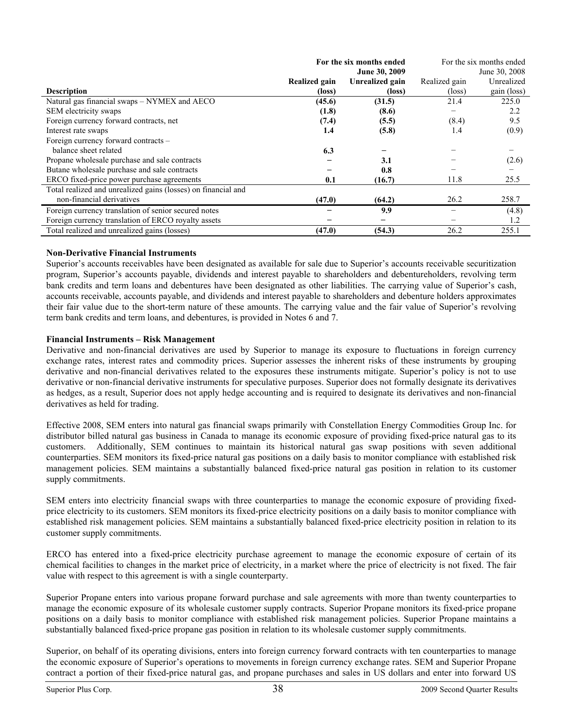|                                                               | For the six months ended |                 | For the six months ended |             |  |
|---------------------------------------------------------------|--------------------------|-----------------|--------------------------|-------------|--|
|                                                               | June 30, 2009            |                 | June 30, 2008            |             |  |
|                                                               | Realized gain            | Unrealized gain | Realized gain            | Unrealized  |  |
| <b>Description</b>                                            | (loss)                   | (loss)          | $(\text{loss})$          | gain (loss) |  |
| Natural gas financial swaps - NYMEX and AECO                  | (45.6)                   | (31.5)          | 21.4                     | 225.0       |  |
| SEM electricity swaps                                         | (1.8)                    | (8.6)           |                          | 2.2         |  |
| Foreign currency forward contracts, net                       | (7.4)                    | (5.5)           | (8.4)                    | 9.5         |  |
| Interest rate swaps                                           | 1.4                      | (5.8)           | 1.4                      | (0.9)       |  |
| Foreign currency forward contracts -                          |                          |                 |                          |             |  |
| balance sheet related                                         | 6.3                      |                 |                          |             |  |
| Propane wholesale purchase and sale contracts                 |                          | 3.1             |                          | (2.6)       |  |
| Butane wholesale purchase and sale contracts                  |                          | 0.8             |                          |             |  |
| ERCO fixed-price power purchase agreements                    | 0.1                      | (16.7)          | 11.8                     | 25.5        |  |
| Total realized and unrealized gains (losses) on financial and |                          |                 |                          |             |  |
| non-financial derivatives                                     | (47.0)                   | (64.2)          | 26.2                     | 258.7       |  |
| Foreign currency translation of senior secured notes          |                          | 9.9             |                          | (4.8)       |  |
| Foreign currency translation of ERCO royalty assets           |                          |                 |                          | 1.2         |  |
| Total realized and unrealized gains (losses)                  | (47.0)                   | (54.3)          | 26.2                     | 255.1       |  |

#### **Non-Derivative Financial Instruments**

Superior's accounts receivables have been designated as available for sale due to Superior's accounts receivable securitization program, Superior's accounts payable, dividends and interest payable to shareholders and debentureholders, revolving term bank credits and term loans and debentures have been designated as other liabilities. The carrying value of Superior's cash, accounts receivable, accounts payable, and dividends and interest payable to shareholders and debenture holders approximates their fair value due to the short-term nature of these amounts. The carrying value and the fair value of Superior's revolving term bank credits and term loans, and debentures, is provided in Notes 6 and 7.

#### **Financial Instruments – Risk Management**

Derivative and non-financial derivatives are used by Superior to manage its exposure to fluctuations in foreign currency exchange rates, interest rates and commodity prices. Superior assesses the inherent risks of these instruments by grouping derivative and non-financial derivatives related to the exposures these instruments mitigate. Superior's policy is not to use derivative or non-financial derivative instruments for speculative purposes. Superior does not formally designate its derivatives as hedges, as a result, Superior does not apply hedge accounting and is required to designate its derivatives and non-financial derivatives as held for trading.

Effective 2008, SEM enters into natural gas financial swaps primarily with Constellation Energy Commodities Group Inc. for distributor billed natural gas business in Canada to manage its economic exposure of providing fixed-price natural gas to its customers. Additionally, SEM continues to maintain its historical natural gas swap positions with seven additional counterparties. SEM monitors its fixed-price natural gas positions on a daily basis to monitor compliance with established risk management policies. SEM maintains a substantially balanced fixed-price natural gas position in relation to its customer supply commitments.

SEM enters into electricity financial swaps with three counterparties to manage the economic exposure of providing fixedprice electricity to its customers. SEM monitors its fixed-price electricity positions on a daily basis to monitor compliance with established risk management policies. SEM maintains a substantially balanced fixed-price electricity position in relation to its customer supply commitments.

ERCO has entered into a fixed-price electricity purchase agreement to manage the economic exposure of certain of its chemical facilities to changes in the market price of electricity, in a market where the price of electricity is not fixed. The fair value with respect to this agreement is with a single counterparty.

Superior Propane enters into various propane forward purchase and sale agreements with more than twenty counterparties to manage the economic exposure of its wholesale customer supply contracts. Superior Propane monitors its fixed-price propane positions on a daily basis to monitor compliance with established risk management policies. Superior Propane maintains a substantially balanced fixed-price propane gas position in relation to its wholesale customer supply commitments.

Superior, on behalf of its operating divisions, enters into foreign currency forward contracts with ten counterparties to manage the economic exposure of Superior's operations to movements in foreign currency exchange rates. SEM and Superior Propane contract a portion of their fixed-price natural gas, and propane purchases and sales in US dollars and enter into forward US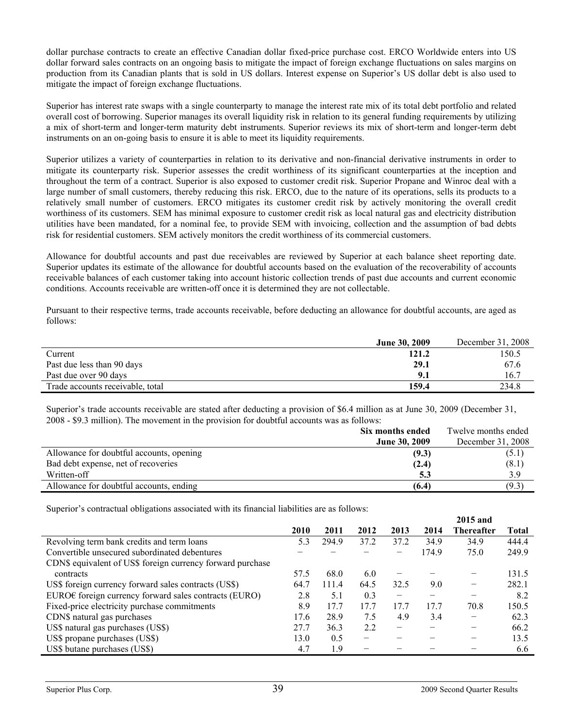dollar purchase contracts to create an effective Canadian dollar fixed-price purchase cost. ERCO Worldwide enters into US dollar forward sales contracts on an ongoing basis to mitigate the impact of foreign exchange fluctuations on sales margins on production from its Canadian plants that is sold in US dollars. Interest expense on Superior's US dollar debt is also used to mitigate the impact of foreign exchange fluctuations.

Superior has interest rate swaps with a single counterparty to manage the interest rate mix of its total debt portfolio and related overall cost of borrowing. Superior manages its overall liquidity risk in relation to its general funding requirements by utilizing a mix of short-term and longer-term maturity debt instruments. Superior reviews its mix of short-term and longer-term debt instruments on an on-going basis to ensure it is able to meet its liquidity requirements.

Superior utilizes a variety of counterparties in relation to its derivative and non-financial derivative instruments in order to mitigate its counterparty risk. Superior assesses the credit worthiness of its significant counterparties at the inception and throughout the term of a contract. Superior is also exposed to customer credit risk. Superior Propane and Winroc deal with a large number of small customers, thereby reducing this risk. ERCO, due to the nature of its operations, sells its products to a relatively small number of customers. ERCO mitigates its customer credit risk by actively monitoring the overall credit worthiness of its customers. SEM has minimal exposure to customer credit risk as local natural gas and electricity distribution utilities have been mandated, for a nominal fee, to provide SEM with invoicing, collection and the assumption of bad debts risk for residential customers. SEM actively monitors the credit worthiness of its commercial customers.

Allowance for doubtful accounts and past due receivables are reviewed by Superior at each balance sheet reporting date. Superior updates its estimate of the allowance for doubtful accounts based on the evaluation of the recoverability of accounts receivable balances of each customer taking into account historic collection trends of past due accounts and current economic conditions. Accounts receivable are written-off once it is determined they are not collectable.

Pursuant to their respective terms, trade accounts receivable, before deducting an allowance for doubtful accounts, are aged as follows:

|                                  | <b>June 30, 2009</b> | December 31, 2008 |
|----------------------------------|----------------------|-------------------|
| Current                          | 121.2                | 150.5             |
| Past due less than 90 days       | 29.1                 | 67.6              |
| Past due over 90 days            | 9.1                  | 16.7              |
| Trade accounts receivable, total | 159.4                | 234.8             |

Superior's trade accounts receivable are stated after deducting a provision of \$6.4 million as at June 30, 2009 (December 31, 2008 - \$9.3 million). The movement in the provision for doubtful accounts was as follows:

|                                          | Six months ended | Twelve months ended |
|------------------------------------------|------------------|---------------------|
|                                          | June 30, 2009    | December 31, 2008   |
| Allowance for doubtful accounts, opening | (9.3)            | (5.1)               |
| Bad debt expense, net of recoveries      | (2.4)            | (8.1)               |
| Written-off                              | 5.3              | 3.9                 |
| Allowance for doubtful accounts, ending  | (6.4)            | 9.3                 |

Superior's contractual obligations associated with its financial liabilities are as follows:

|      |       |                          |                          |       | 7019 анч          |              |
|------|-------|--------------------------|--------------------------|-------|-------------------|--------------|
| 2010 | 2011  | 2012                     | 2013                     | 2014  | <b>Thereafter</b> | <b>Total</b> |
| 5.3  | 294.9 | 37.2                     | 37.2                     | 34.9  | 34.9              | 444.4        |
|      |       |                          |                          | 174.9 | 75.0              | 249.9        |
|      |       |                          |                          |       |                   |              |
| 57.5 | 68.0  | 6.0                      |                          |       |                   | 131.5        |
| 64.7 | 111.4 | 64.5                     | 32.5                     | 9.0   |                   | 282.1        |
| 2.8  | 5.1   | 0.3                      | -                        |       |                   | 8.2          |
| 8.9  | 17.7  | 17.7                     | 17.7                     | 17.7  | 70.8              | 150.5        |
| 17.6 | 28.9  | 7.5                      | 4.9                      | 3.4   |                   | 62.3         |
| 27.7 | 36.3  | 2.2                      | $\overline{\phantom{0}}$ |       |                   | 66.2         |
| 13.0 | 0.5   | $\overline{\phantom{0}}$ |                          |       |                   | 13.5         |
| 4.7  | 1.9   |                          |                          |       |                   | 6.6          |
|      |       |                          |                          |       |                   |              |

**2015 and**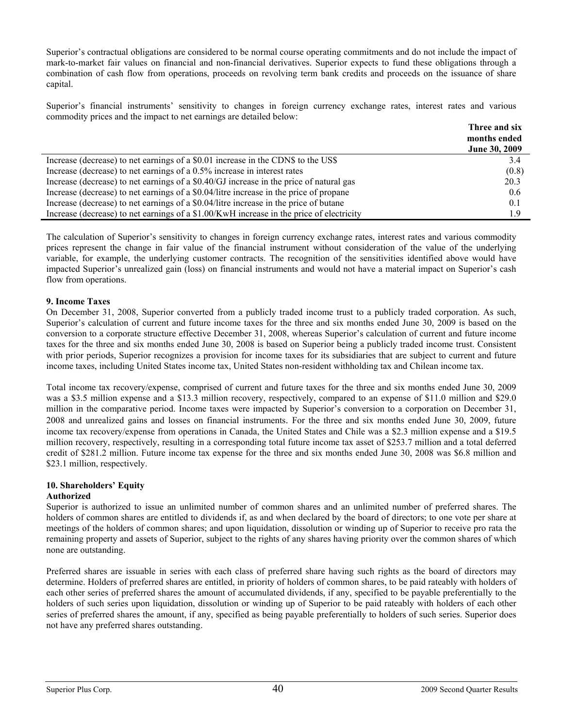Superior's contractual obligations are considered to be normal course operating commitments and do not include the impact of mark-to-market fair values on financial and non-financial derivatives. Superior expects to fund these obligations through a combination of cash flow from operations, proceeds on revolving term bank credits and proceeds on the issuance of share capital.

Superior's financial instruments' sensitivity to changes in foreign currency exchange rates, interest rates and various commodity prices and the impact to net earnings are detailed below:

|                                                                                          | Three and six        |
|------------------------------------------------------------------------------------------|----------------------|
|                                                                                          | months ended         |
|                                                                                          | <b>June 30, 2009</b> |
| Increase (decrease) to net earnings of a \$0.01 increase in the CDN\$ to the US\$        | 3.4                  |
| Increase (decrease) to net earnings of a 0.5% increase in interest rates                 | (0.8)                |
| Increase (decrease) to net earnings of a \$0.40/GJ increase in the price of natural gas  | 20.3                 |
| Increase (decrease) to net earnings of a \$0.04/litre increase in the price of propane   | 0.6                  |
| Increase (decrease) to net earnings of a \$0.04/litre increase in the price of butane    | 0.1                  |
| Increase (decrease) to net earnings of a \$1.00/KwH increase in the price of electricity | 1 Q                  |

The calculation of Superior's sensitivity to changes in foreign currency exchange rates, interest rates and various commodity prices represent the change in fair value of the financial instrument without consideration of the value of the underlying variable, for example, the underlying customer contracts. The recognition of the sensitivities identified above would have impacted Superior's unrealized gain (loss) on financial instruments and would not have a material impact on Superior's cash flow from operations.

#### **9. Income Taxes**

On December 31, 2008, Superior converted from a publicly traded income trust to a publicly traded corporation. As such, Superior's calculation of current and future income taxes for the three and six months ended June 30, 2009 is based on the conversion to a corporate structure effective December 31, 2008, whereas Superior's calculation of current and future income taxes for the three and six months ended June 30, 2008 is based on Superior being a publicly traded income trust. Consistent with prior periods, Superior recognizes a provision for income taxes for its subsidiaries that are subject to current and future income taxes, including United States income tax, United States non-resident withholding tax and Chilean income tax.

Total income tax recovery/expense, comprised of current and future taxes for the three and six months ended June 30, 2009 was a \$3.5 million expense and a \$13.3 million recovery, respectively, compared to an expense of \$11.0 million and \$29.0 million in the comparative period. Income taxes were impacted by Superior's conversion to a corporation on December 31, 2008 and unrealized gains and losses on financial instruments. For the three and six months ended June 30, 2009, future income tax recovery/expense from operations in Canada, the United States and Chile was a \$2.3 million expense and a \$19.5 million recovery, respectively, resulting in a corresponding total future income tax asset of \$253.7 million and a total deferred credit of \$281.2 million. Future income tax expense for the three and six months ended June 30, 2008 was \$6.8 million and \$23.1 million, respectively.

# **10. Shareholders' Equity**

## **Authorized**

Superior is authorized to issue an unlimited number of common shares and an unlimited number of preferred shares. The holders of common shares are entitled to dividends if, as and when declared by the board of directors; to one vote per share at meetings of the holders of common shares; and upon liquidation, dissolution or winding up of Superior to receive pro rata the remaining property and assets of Superior, subject to the rights of any shares having priority over the common shares of which none are outstanding.

Preferred shares are issuable in series with each class of preferred share having such rights as the board of directors may determine. Holders of preferred shares are entitled, in priority of holders of common shares, to be paid rateably with holders of each other series of preferred shares the amount of accumulated dividends, if any, specified to be payable preferentially to the holders of such series upon liquidation, dissolution or winding up of Superior to be paid rateably with holders of each other series of preferred shares the amount, if any, specified as being payable preferentially to holders of such series. Superior does not have any preferred shares outstanding.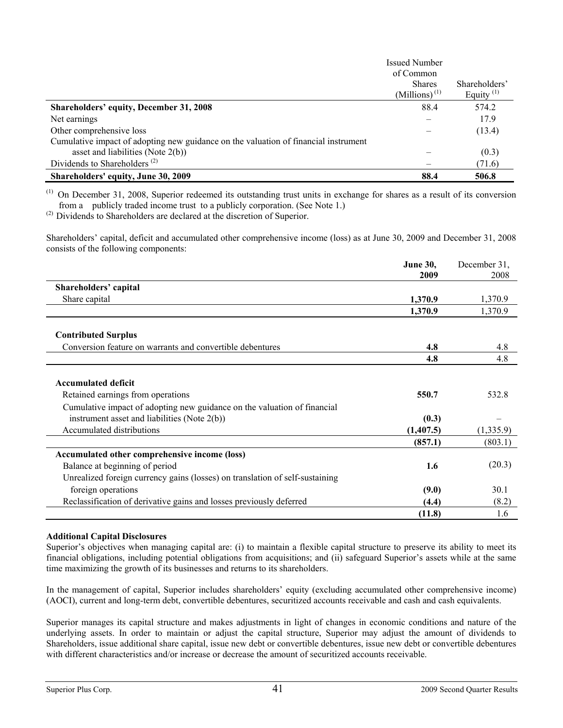|                                                                                     | <b>Issued Number</b>        |                                    |
|-------------------------------------------------------------------------------------|-----------------------------|------------------------------------|
|                                                                                     | of Common                   |                                    |
|                                                                                     | <b>Shares</b>               | Shareholders'                      |
|                                                                                     | $(Millions)$ <sup>(1)</sup> | Equity <sup><math>(1)</math></sup> |
| <b>Shareholders' equity, December 31, 2008</b>                                      | 88.4                        | 574.2                              |
| Net earnings                                                                        |                             | 17.9                               |
| Other comprehensive loss                                                            |                             | (13.4)                             |
| Cumulative impact of adopting new guidance on the valuation of financial instrument |                             |                                    |
| asset and liabilities (Note $2(b)$ )                                                |                             | (0.3)                              |
| Dividends to Shareholders <sup>(2)</sup>                                            |                             | (71.6)                             |
| <b>Shareholders' equity, June 30, 2009</b>                                          | 88.4                        | 506.8                              |

(1) On December 31, 2008, Superior redeemed its outstanding trust units in exchange for shares as a result of its conversion from a publicly traded income trust to a publicly corporation. (See Note 1.)

(2) Dividends to Shareholders are declared at the discretion of Superior.

Shareholders' capital, deficit and accumulated other comprehensive income (loss) as at June 30, 2009 and December 31, 2008 consists of the following components:

|                                                                              | June 30,  | December 31, |
|------------------------------------------------------------------------------|-----------|--------------|
|                                                                              | 2009      | 2008         |
| Shareholders' capital                                                        |           |              |
| Share capital                                                                | 1,370.9   | 1,370.9      |
|                                                                              | 1,370.9   | 1,370.9      |
|                                                                              |           |              |
| <b>Contributed Surplus</b>                                                   |           |              |
| Conversion feature on warrants and convertible debentures                    | 4.8       | 4.8          |
|                                                                              | 4.8       | 4.8          |
|                                                                              |           |              |
| <b>Accumulated deficit</b>                                                   |           |              |
| Retained earnings from operations                                            | 550.7     | 532.8        |
| Cumulative impact of adopting new guidance on the valuation of financial     |           |              |
| instrument asset and liabilities (Note $2(b)$ )                              | (0.3)     |              |
| Accumulated distributions                                                    | (1,407.5) | (1,335.9)    |
|                                                                              | (857.1)   | (803.1)      |
| Accumulated other comprehensive income (loss)                                |           |              |
| Balance at beginning of period                                               | 1.6       | (20.3)       |
| Unrealized foreign currency gains (losses) on translation of self-sustaining |           |              |
| foreign operations                                                           | (9.0)     | 30.1         |
| Reclassification of derivative gains and losses previously deferred          | (4.4)     | (8.2)        |
|                                                                              | (11.8)    | 1.6          |

#### **Additional Capital Disclosures**

Superior's objectives when managing capital are: (i) to maintain a flexible capital structure to preserve its ability to meet its financial obligations, including potential obligations from acquisitions; and (ii) safeguard Superior's assets while at the same time maximizing the growth of its businesses and returns to its shareholders.

In the management of capital, Superior includes shareholders' equity (excluding accumulated other comprehensive income) (AOCI), current and long-term debt, convertible debentures, securitized accounts receivable and cash and cash equivalents.

Superior manages its capital structure and makes adjustments in light of changes in economic conditions and nature of the underlying assets. In order to maintain or adjust the capital structure, Superior may adjust the amount of dividends to Shareholders, issue additional share capital, issue new debt or convertible debentures, issue new debt or convertible debentures with different characteristics and/or increase or decrease the amount of securitized accounts receivable.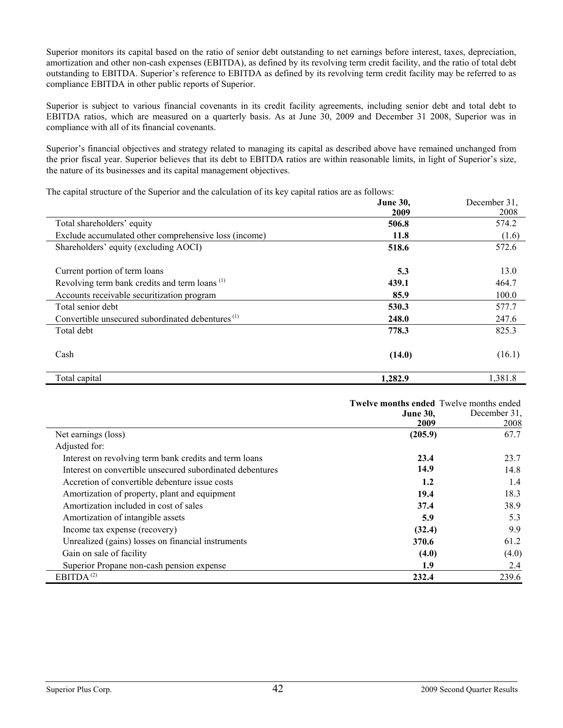Superior monitors its capital based on the ratio of senior debt outstanding to net earnings before interest, taxes, depreciation, amortization and other non-cash expenses (EBITDA), as defined by its revolving term credit facility, and the ratio of total debt outstanding to EBITDA. Superior's reference to EBITDA as defined by its revolving term credit facility may be referred to as compliance EBITDA in other public reports of Superior.

Superior is subject to various financial covenants in its credit facility agreements, including senior debt and total debt to EBITDA ratios, which are measured on a quarterly basis. As at June 30, 2009 and December 31 2008, Superior was in compliance with all of its financial covenants.

Superior's financial objectives and strategy related to managing its capital as described above have remained unchanged from the prior fiscal year. Superior believes that its debt to EBITDA ratios are within reasonable limits, in light of Superior's size, the nature of its businesses and its capital management objectives.

The capital structure of the Superior and the calculation of its key capital ratios are as follows:

|                                                              | <b>June 30,</b><br>2009 | December 31,<br>2008 |
|--------------------------------------------------------------|-------------------------|----------------------|
| Total shareholders' equity                                   | 506.8                   | 574.2                |
| Exclude accumulated other comprehensive loss (income)        | 11.8                    | (1.6)                |
| Shareholders' equity (excluding AOCI)                        | 518.6                   | 572.6                |
|                                                              |                         |                      |
| Current portion of term loans                                | 5.3                     | 13.0                 |
| Revolving term bank credits and term loans <sup>(1)</sup>    | 439.1                   | 464.7                |
| Accounts receivable securitization program                   | 85.9                    | 100.0                |
| Total senior debt                                            | 530.3                   | 577.7                |
| Convertible unsecured subordinated debentures <sup>(1)</sup> | 248.0                   | 247.6                |
| Total debt                                                   | 778.3                   | 825.3                |
|                                                              |                         |                      |
| Cash                                                         | (14.0)                  | (16.1)               |
|                                                              |                         |                      |
| Total capital                                                | 1,282.9                 | 1,381.8              |

|                                                           | <b>Twelve months ended</b> Twelve months ended<br><b>June 30,</b> | December 31, |
|-----------------------------------------------------------|-------------------------------------------------------------------|--------------|
|                                                           | 2009                                                              | 2008         |
| Net earnings (loss)                                       | (205.9)                                                           | 67.7         |
| Adjusted for:                                             |                                                                   |              |
| Interest on revolving term bank credits and term loans    | 23.4                                                              | 23.7         |
| Interest on convertible unsecured subordinated debentures | 14.9                                                              | 14.8         |
| Accretion of convertible debenture issue costs            | 1.2                                                               | 1.4          |
| Amortization of property, plant and equipment             | 19.4                                                              | 18.3         |
| Amortization included in cost of sales                    | 37.4                                                              | 38.9         |
| Amortization of intangible assets                         | 5.9                                                               | 5.3          |
| Income tax expense (recovery)                             | (32.4)                                                            | 9.9          |
| Unrealized (gains) losses on financial instruments        | 370.6                                                             | 61.2         |
| Gain on sale of facility                                  | (4.0)                                                             | (4.0)        |
| Superior Propane non-cash pension expense                 | 1.9                                                               | 2.4          |
| EBITDA <sup>(2)</sup>                                     | 232.4                                                             | 239.6        |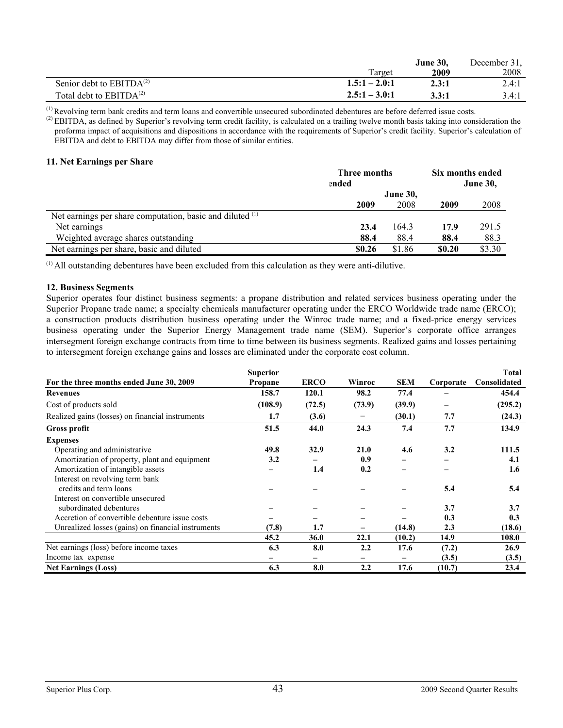|                            |                 | <b>June 30,</b> | December 31. |
|----------------------------|-----------------|-----------------|--------------|
|                            | Target          | 2009            | 2008         |
| Senior debt to $EBITDA(2)$ | $1.5:1 - 2.0:1$ | 2.3:1           | 2.4:1        |
| Total debt to $EBITDA(2)$  | $2.5:1 - 3.0:1$ | 3.3:1           | 3.4:1        |

(1) Revolving term bank credits and term loans and convertible unsecured subordinated debentures are before deferred issue costs.

 $^{(2)}$  EBITDA, as defined by Superior's revolving term credit facility, is calculated on a trailing twelve month basis taking into consideration the proforma impact of acquisitions and dispositions in accordance with the requirements of Superior's credit facility. Superior's calculation of EBITDA and debt to EBITDA may differ from those of similar entities.

#### **11. Net Earnings per Share**

|                                                                      | Three months<br>ended | Six months ended<br><b>June 30,</b> |        |        |
|----------------------------------------------------------------------|-----------------------|-------------------------------------|--------|--------|
|                                                                      | <b>June 30,</b>       |                                     |        |        |
|                                                                      | 2009                  | 2008                                | 2009   | 2008   |
| Net earnings per share computation, basic and diluted <sup>(1)</sup> |                       |                                     |        |        |
| Net earnings                                                         | 23.4                  | 164.3                               | 17.9   | 291.5  |
| Weighted average shares outstanding                                  | 88.4                  | 88.4                                | 88.4   | 88.3   |
| Net earnings per share, basic and diluted                            | \$0.26                | \$1.86                              | \$0.20 | \$3.30 |

(1) All outstanding debentures have been excluded from this calculation as they were anti-dilutive.

#### **12. Business Segments**

Superior operates four distinct business segments: a propane distribution and related services business operating under the Superior Propane trade name; a specialty chemicals manufacturer operating under the ERCO Worldwide trade name (ERCO); a construction products distribution business operating under the Winroc trade name; and a fixed-price energy services business operating under the Superior Energy Management trade name (SEM). Superior's corporate office arranges intersegment foreign exchange contracts from time to time between its business segments. Realized gains and losses pertaining to intersegment foreign exchange gains and losses are eliminated under the corporate cost column.

|                                                    | <b>Superior</b> |             |        |            |           | <b>Total</b> |
|----------------------------------------------------|-----------------|-------------|--------|------------|-----------|--------------|
| For the three months ended June 30, 2009           | Propane         | <b>ERCO</b> | Winroc | <b>SEM</b> | Corporate | Consolidated |
| <b>Revenues</b>                                    | 158.7           | 120.1       | 98.2   | 77.4       |           | 454.4        |
| Cost of products sold                              | (108.9)         | (72.5)      | (73.9) | (39.9)     |           | (295.2)      |
| Realized gains (losses) on financial instruments   | 1.7             | (3.6)       |        | (30.1)     | 7.7       | (24.3)       |
| Gross profit                                       | 51.5            | 44.0        | 24.3   | 7.4        | 7.7       | 134.9        |
| <b>Expenses</b>                                    |                 |             |        |            |           |              |
| Operating and administrative                       | 49.8            | 32.9        | 21.0   | 4.6        | 3.2       | 111.5        |
| Amortization of property, plant and equipment      | 3.2             |             | 0.9    |            |           | 4.1          |
| Amortization of intangible assets                  |                 | 1.4         | 0.2    |            |           | 1.6          |
| Interest on revolving term bank                    |                 |             |        |            |           |              |
| credits and term loans                             |                 |             |        |            | 5.4       | 5.4          |
| Interest on convertible unsecured                  |                 |             |        |            |           |              |
| subordinated debentures                            |                 |             |        |            | 3.7       | 3.7          |
| Accretion of convertible debenture issue costs     |                 |             |        |            | 0.3       | 0.3          |
| Unrealized losses (gains) on financial instruments | (7.8)           | 1.7         |        | (14.8)     | 2.3       | (18.6)       |
|                                                    | 45.2            | 36.0        | 22.1   | (10.2)     | 14.9      | 108.0        |
| Net earnings (loss) before income taxes            | 6.3             | 8.0         | 2.2    | 17.6       | (7.2)     | 26.9         |
| Income tax expense                                 |                 | —           |        | —          | (3.5)     | (3.5)        |
| <b>Net Earnings (Loss)</b>                         | 6.3             | 8.0         | 2.2    | 17.6       | (10.7)    | 23.4         |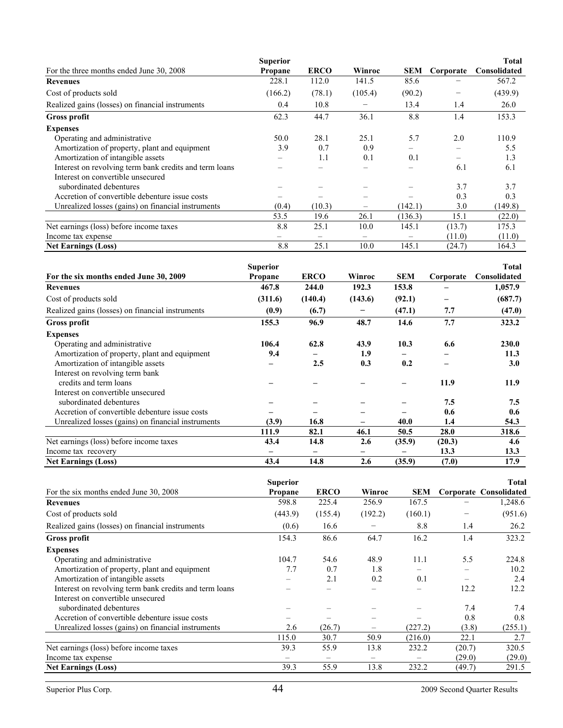|                                                        | <b>Superior</b> |             |         |            |                          | <b>Total</b> |
|--------------------------------------------------------|-----------------|-------------|---------|------------|--------------------------|--------------|
| For the three months ended June 30, 2008               | <b>Propane</b>  | <b>ERCO</b> | Winroc  | <b>SEM</b> | Corporate                | Consolidated |
| <b>Revenues</b>                                        | 228.1           | 112.0       | 141.5   | 85.6       |                          | 567.2        |
| Cost of products sold                                  | (166.2)         | (78.1)      | (105.4) | (90.2)     |                          | (439.9)      |
| Realized gains (losses) on financial instruments       | 0.4             | 10.8        |         | 13.4       | 1.4                      | 26.0         |
| Gross profit                                           | 62.3            | 44.7        | 36.1    | 8.8        | 1.4                      | 153.3        |
| <b>Expenses</b>                                        |                 |             |         |            |                          |              |
| Operating and administrative                           | 50.0            | 28.1        | 25.1    | 5.7        | 2.0                      | 110.9        |
| Amortization of property, plant and equipment          | 3.9             | 0.7         | 0.9     |            |                          | 5.5          |
| Amortization of intangible assets                      |                 | 1.1         | 0.1     | 0.1        | $\overline{\phantom{0}}$ | 1.3          |
| Interest on revolving term bank credits and term loans |                 |             |         |            | 6.1                      | 6.1          |
| Interest on convertible unsecured                      |                 |             |         |            |                          |              |
| subordinated debentures                                |                 |             |         |            | 3.7                      | 3.7          |
| Accretion of convertible debenture issue costs         |                 |             |         |            | 0.3                      | 0.3          |
| Unrealized losses (gains) on financial instruments     | (0.4)           | (10.3)      | -       | (142.1)    | 3.0                      | (149.8)      |
|                                                        | 53.5            | 19.6        | 26.1    | (136.3)    | 15.1                     | (22.0)       |
| Net earnings (loss) before income taxes                | 8.8             | 25.1        | 10.0    | 145.1      | (13.7)                   | 175.3        |
| Income tax expense                                     |                 |             |         |            | (11.0)                   | (11.0)       |
| <b>Net Earnings (Loss)</b>                             | 8.8             | 25.1        | 10.0    | 145.1      | (24.7)                   | 164.3        |

|                                                    | <b>Superior</b> |             |         |            |           | Total        |
|----------------------------------------------------|-----------------|-------------|---------|------------|-----------|--------------|
| For the six months ended June 30, 2009             | Propane         | <b>ERCO</b> | Winroc  | <b>SEM</b> | Corporate | Consolidated |
| <b>Revenues</b>                                    | 467.8           | 244.0       | 192.3   | 153.8      |           | 1,057.9      |
| Cost of products sold                              | (311.6)         | (140.4)     | (143.6) | (92.1)     | —         | (687.7)      |
| Realized gains (losses) on financial instruments   | (0.9)           | (6.7)       |         | (47.1)     | 7.7       | (47.0)       |
| Gross profit                                       | 155.3           | 96.9        | 48.7    | 14.6       | 7.7       | 323.2        |
| <b>Expenses</b>                                    |                 |             |         |            |           |              |
| Operating and administrative                       | 106.4           | 62.8        | 43.9    | 10.3       | 6.6       | 230.0        |
| Amortization of property, plant and equipment      | 9.4             |             | 1.9     |            |           | 11.3         |
| Amortization of intangible assets                  |                 | 2.5         | 0.3     | 0.2        |           | 3.0          |
| Interest on revolving term bank                    |                 |             |         |            |           |              |
| credits and term loans                             |                 |             |         |            | 11.9      | 11.9         |
| Interest on convertible unsecured                  |                 |             |         |            |           |              |
| subordinated debentures                            |                 |             |         |            | 7.5       | 7.5          |
| Accretion of convertible debenture issue costs     |                 |             |         |            | 0.6       | 0.6          |
| Unrealized losses (gains) on financial instruments | (3.9)           | 16.8        |         | 40.0       | 1.4       | 54.3         |
|                                                    | 111.9           | 82.1        | 46.1    | 50.5       | 28.0      | 318.6        |
| Net earnings (loss) before income taxes            | 43.4            | 14.8        | 2.6     | (35.9)     | (20.3)    | 4.6          |
| Income tax recovery                                |                 |             |         |            | 13.3      | 13.3         |
| <b>Net Earnings (Loss)</b>                         | 43.4            | 14.8        | 2.6     | (35.9)     | (7.0)     | 17.9         |

|                                                        | <b>Superior</b> |             |                          |                          |        | Total                         |
|--------------------------------------------------------|-----------------|-------------|--------------------------|--------------------------|--------|-------------------------------|
| For the six months ended June 30, 2008                 | <b>Propane</b>  | <b>ERCO</b> | Winroc                   | <b>SEM</b>               |        | <b>Corporate Consolidated</b> |
| <b>Revenues</b>                                        | 598.8           | 225.4       | 256.9                    | 167.5                    |        | 1,248.6                       |
| Cost of products sold                                  | (443.9)         | (155.4)     | (192.2)                  | (160.1)                  |        | (951.6)                       |
| Realized gains (losses) on financial instruments       | (0.6)           | 16.6        |                          | 8.8                      | 1.4    | 26.2                          |
| <b>Gross profit</b>                                    | 154.3           | 86.6        | 64.7                     | 16.2                     | 1.4    | 323.2                         |
| <b>Expenses</b>                                        |                 |             |                          |                          |        |                               |
| Operating and administrative                           | 104.7           | 54.6        | 48.9                     | 11.1                     | 5.5    | 224.8                         |
| Amortization of property, plant and equipment          | 7.7             | 0.7         | 1.8                      | -                        |        | 10.2                          |
| Amortization of intangible assets                      |                 | 2.1         | 0.2                      | 0.1                      |        | 2.4                           |
| Interest on revolving term bank credits and term loans |                 |             | $\overline{\phantom{0}}$ | $\overline{\phantom{0}}$ | 12.2   | 12.2                          |
| Interest on convertible unsecured                      |                 |             |                          |                          |        |                               |
| subordinated debentures                                |                 |             |                          |                          | 7.4    | 7.4                           |
| Accretion of convertible debenture issue costs         |                 |             |                          |                          | 0.8    | 0.8                           |
| Unrealized losses (gains) on financial instruments     | 2.6             | (26.7)      | -                        | (227.2)                  | (3.8)  | (255.1)                       |
|                                                        | 115.0           | 30.7        | 50.9                     | (216.0)                  | 22.1   | 2.7                           |
| Net earnings (loss) before income taxes                | 39.3            | 55.9        | 13.8                     | 232.2                    | (20.7) | 320.5                         |
| Income tax expense                                     |                 |             | -                        |                          | (29.0) | (29.0)                        |
| <b>Net Earnings (Loss)</b>                             | 39.3            | 55.9        | 13.8                     | 232.2                    | (49.7) | 291.5                         |